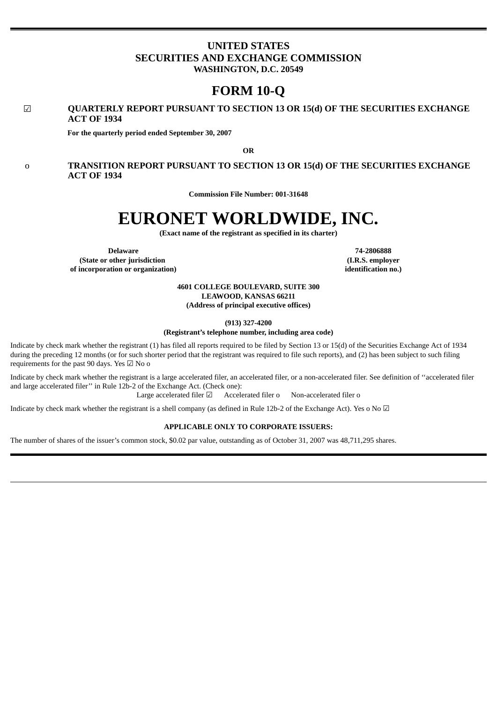# **UNITED STATES SECURITIES AND EXCHANGE COMMISSION WASHINGTON, D.C. 20549**

# **FORM 10-Q**

# ☑ **QUARTERLY REPORT PURSUANT TO SECTION 13 OR 15(d) OF THE SECURITIES EXCHANGE ACT OF 1934**

**For the quarterly period ended September 30, 2007**

**OR**

# o **TRANSITION REPORT PURSUANT TO SECTION 13 OR 15(d) OF THE SECURITIES EXCHANGE ACT OF 1934**

**Commission File Number: 001-31648**

# **EURONET WORLDWIDE, INC.**

**(Exact name of the registrant as specified in its charter)**

**Delaware 74-2806888 (State or other jurisdiction of incorporation or organization)**

**(I.R.S. employer identification no.)**

# **4601 COLLEGE BOULEVARD, SUITE 300 LEAWOOD, KANSAS 66211 (Address of principal executive offices)**

**(913) 327-4200**

**(Registrant's telephone number, including area code)**

Indicate by check mark whether the registrant (1) has filed all reports required to be filed by Section 13 or 15(d) of the Securities Exchange Act of 1934 during the preceding 12 months (or for such shorter period that the registrant was required to file such reports), and (2) has been subject to such filing requirements for the past 90 days. Yes  $\boxtimes$  No o

Indicate by check mark whether the registrant is a large accelerated filer, an accelerated filer, or a non-accelerated filer. See definition of ''accelerated filer and large accelerated filer'' in Rule 12b-2 of the Exchange Act. (Check one):

Large accelerated filer **☑** Accelerated filer o Non-accelerated filer o

Indicate by check mark whether the registrant is a shell company (as defined in Rule 12b-2 of the Exchange Act). Yes o No  $\Box$ 

# **APPLICABLE ONLY TO CORPORATE ISSUERS:**

The number of shares of the issuer's common stock, \$0.02 par value, outstanding as of October 31, 2007 was 48,711,295 shares.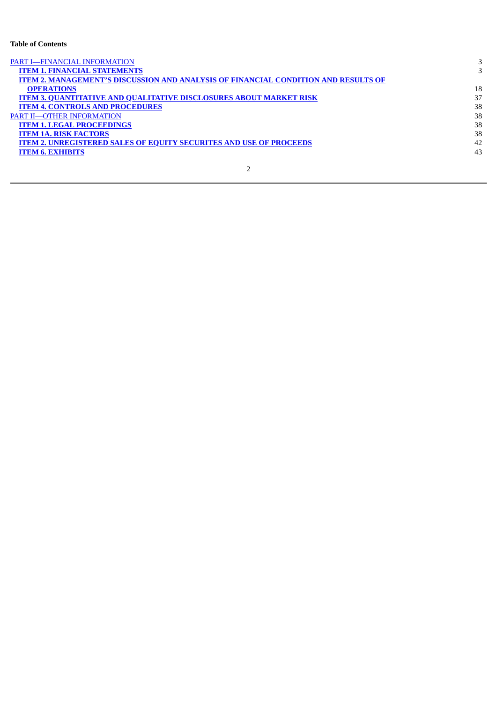# **Table of Contents**

| <b>PART I-FINANCIAL INFORMATION</b>                                                       |    |
|-------------------------------------------------------------------------------------------|----|
| <b>ITEM 1. FINANCIAL STATEMENTS</b>                                                       |    |
| <b>ITEM 2. MANAGEMENT'S DISCUSSION AND ANALYSIS OF FINANCIAL CONDITION AND RESULTS OF</b> |    |
| <b>OPERATIONS</b>                                                                         | 18 |
| <b>ITEM 3. QUANTITATIVE AND QUALITATIVE DISCLOSURES ABOUT MARKET RISK</b>                 | 37 |
| <b>ITEM 4. CONTROLS AND PROCEDURES</b>                                                    | 38 |
| <b>PART II-OTHER INFORMATION</b>                                                          | 38 |
| <b>ITEM 1. LEGAL PROCEEDINGS</b>                                                          | 38 |
| <b>ITEM 1A. RISK FACTORS</b>                                                              | 38 |
| <b>ITEM 2. UNREGISTERED SALES OF EQUITY SECURITES AND USE OF PROCEEDS</b>                 | 42 |
| <b>ITEM 6. EXHIBITS</b>                                                                   | 43 |
|                                                                                           |    |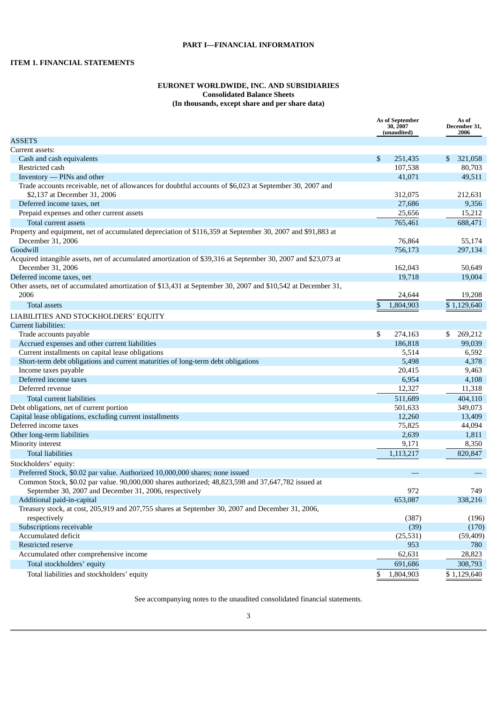# **PART I—FINANCIAL INFORMATION**

# <span id="page-3-1"></span><span id="page-3-0"></span>**ITEM 1. FINANCIAL STATEMENTS**

# **EURONET WORLDWIDE, INC. AND SUBSIDIARIES Consolidated Balance Sheets (In thousands, except share and per share data)**

|                                                                                                                                                             |              | As of September<br>30, 2007<br>(unaudited) | As of<br>December 31,<br>2006 |
|-------------------------------------------------------------------------------------------------------------------------------------------------------------|--------------|--------------------------------------------|-------------------------------|
| <b>ASSETS</b>                                                                                                                                               |              |                                            |                               |
| Current assets:                                                                                                                                             |              |                                            |                               |
| Cash and cash equivalents                                                                                                                                   | \$           | 251,435                                    | \$<br>321,058                 |
| Restricted cash                                                                                                                                             |              | 107,538                                    | 80,703                        |
| Inventory — PINs and other                                                                                                                                  |              | 41,071                                     | 49,511                        |
| Trade accounts receivable, net of allowances for doubtful accounts of \$6,023 at September 30, 2007 and                                                     |              |                                            |                               |
| \$2,137 at December 31, 2006                                                                                                                                |              | 312,075                                    | 212,631                       |
| Deferred income taxes, net                                                                                                                                  |              | 27,686                                     | 9,356                         |
| Prepaid expenses and other current assets                                                                                                                   |              | 25,656                                     | 15,212                        |
| Total current assets                                                                                                                                        |              | 765,461                                    | 688,471                       |
| Property and equipment, net of accumulated depreciation of \$116,359 at September 30, 2007 and \$91,883 at<br>December 31, 2006                             |              | 76,864                                     | 55,174                        |
| Goodwill                                                                                                                                                    |              | 756,173                                    | 297,134                       |
| Acquired intangible assets, net of accumulated amortization of \$39,316 at September 30, 2007 and \$23,073 at                                               |              |                                            |                               |
| December 31, 2006                                                                                                                                           |              | 162,043                                    | 50,649                        |
| Deferred income taxes, net                                                                                                                                  |              | 19,718                                     | 19,004                        |
| Other assets, net of accumulated amortization of \$13,431 at September 30, 2007 and \$10,542 at December 31,                                                |              |                                            |                               |
| 2006                                                                                                                                                        |              | 24,644                                     | 19,208                        |
| Total assets                                                                                                                                                | \$           | 1,804,903                                  | \$1,129,640                   |
| LIABILITIES AND STOCKHOLDERS' EQUITY                                                                                                                        |              |                                            |                               |
| <b>Current liabilities:</b>                                                                                                                                 |              |                                            |                               |
| Trade accounts payable                                                                                                                                      | \$           | 274,163                                    | 269,212<br>\$                 |
| Accrued expenses and other current liabilities                                                                                                              |              | 186,818                                    | 99,039                        |
| Current installments on capital lease obligations                                                                                                           |              | 5,514                                      | 6,592                         |
| Short-term debt obligations and current maturities of long-term debt obligations                                                                            |              | 5,498                                      | 4,378                         |
| Income taxes payable                                                                                                                                        |              | 20,415                                     | 9,463                         |
| Deferred income taxes                                                                                                                                       |              | 6,954                                      | 4,108                         |
| Deferred revenue                                                                                                                                            |              | 12,327                                     | 11,318                        |
| Total current liabilities                                                                                                                                   |              | 511,689                                    | 404,110                       |
| Debt obligations, net of current portion                                                                                                                    |              | 501,633                                    | 349,073                       |
| Capital lease obligations, excluding current installments                                                                                                   |              | 12,260                                     | 13,409                        |
| Deferred income taxes                                                                                                                                       |              | 75,825                                     | 44,094                        |
| Other long-term liabilities                                                                                                                                 |              | 2,639                                      | 1,811                         |
| Minority interest                                                                                                                                           |              | 9,171                                      | 8,350                         |
| <b>Total liabilities</b>                                                                                                                                    |              | 1,113,217                                  | 820,847                       |
|                                                                                                                                                             |              |                                            |                               |
| Stockholders' equity:                                                                                                                                       |              |                                            |                               |
| Preferred Stock, \$0.02 par value. Authorized 10,000,000 shares; none issued                                                                                |              |                                            |                               |
| Common Stock, \$0.02 par value. 90,000,000 shares authorized; 48,823,598 and 37,647,782 issued at<br>September 30, 2007 and December 31, 2006, respectively |              |                                            |                               |
|                                                                                                                                                             |              | 972                                        | 749                           |
| Additional paid-in-capital<br>Treasury stock, at cost, 205,919 and 207,755 shares at September 30, 2007 and December 31, 2006,                              |              | 653,087                                    | 338,216                       |
| respectively                                                                                                                                                |              | (387)                                      | (196)                         |
| Subscriptions receivable                                                                                                                                    |              | (39)                                       | (170)                         |
| Accumulated deficit                                                                                                                                         |              | (25, 531)                                  | (59, 409)                     |
| <b>Restricted reserve</b>                                                                                                                                   |              | 953                                        | 780                           |
| Accumulated other comprehensive income                                                                                                                      |              | 62,631                                     | 28,823                        |
| Total stockholders' equity                                                                                                                                  |              | 691,686                                    | 308,793                       |
| Total liabilities and stockholders' equity                                                                                                                  | $\mathbb{S}$ | 1,804,903                                  | \$1,129,640                   |

See accompanying notes to the unaudited consolidated financial statements.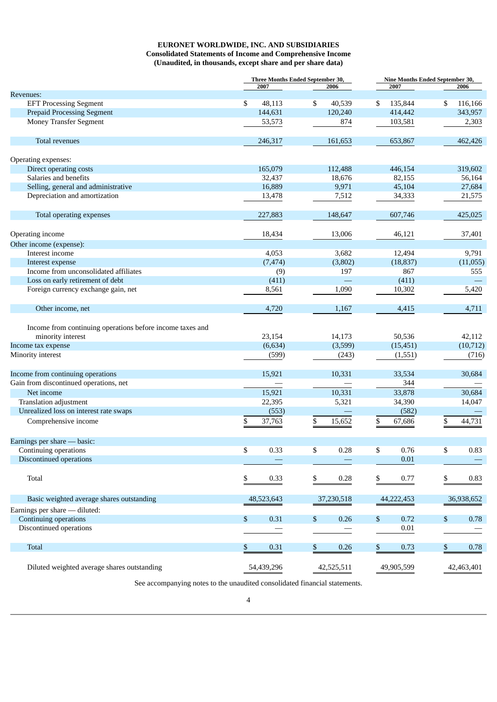# **EURONET WORLDWIDE, INC. AND SUBSIDIARIES Consolidated Statements of Income and Comprehensive Income (Unaudited, in thousands, except share and per share data)**

|                                                           | Three Months Ended September 30,<br>2007<br>2006 |                           | 2007               | Nine Months Ended September 30,<br>2006 |  |
|-----------------------------------------------------------|--------------------------------------------------|---------------------------|--------------------|-----------------------------------------|--|
| <b>Revenues:</b>                                          |                                                  |                           |                    |                                         |  |
| <b>EFT Processing Segment</b>                             | \$<br>48,113                                     | 40,539<br>\$              | 135,844<br>\$      | 116,166<br>\$                           |  |
| <b>Prepaid Processing Segment</b>                         | 144,631                                          | 120,240                   | 414,442            | 343,957                                 |  |
| <b>Money Transfer Segment</b>                             | 53,573                                           | 874                       | 103,581            | 2,303                                   |  |
| <b>Total revenues</b>                                     | 246,317                                          | 161,653                   | 653,867            | 462,426                                 |  |
| Operating expenses:                                       |                                                  |                           |                    |                                         |  |
| Direct operating costs                                    | 165,079                                          | 112,488                   | 446,154            | 319,602                                 |  |
| Salaries and benefits                                     | 32,437                                           | 18,676                    | 82,155             | 56,164                                  |  |
| Selling, general and administrative                       | 16,889                                           | 9,971                     | 45,104             | 27,684                                  |  |
| Depreciation and amortization                             | 13,478                                           | 7,512                     | 34,333             | 21,575                                  |  |
| Total operating expenses                                  | 227,883                                          | 148,647                   | 607,746            | 425,025                                 |  |
| Operating income                                          | 18,434                                           | 13,006                    | 46,121             | 37,401                                  |  |
| Other income (expense):                                   |                                                  |                           |                    |                                         |  |
| Interest income                                           | 4,053                                            | 3,682                     | 12,494             | 9,791                                   |  |
| Interest expense                                          | (7, 474)                                         | (3,802)                   | (18, 837)          | (11,055)                                |  |
| Income from unconsolidated affiliates                     | (9)                                              | 197                       | 867                | 555                                     |  |
| Loss on early retirement of debt                          | (411)                                            |                           | (411)              |                                         |  |
| Foreign currency exchange gain, net                       | 8,561                                            | 1,090                     | 10,302             | 5,420                                   |  |
| Other income, net                                         | 4,720                                            | 1,167                     | 4,415              | 4,711                                   |  |
| Income from continuing operations before income taxes and |                                                  |                           |                    |                                         |  |
| minority interest                                         | 23,154                                           | 14,173                    | 50,536             | 42,112                                  |  |
| Income tax expense                                        | (6, 634)                                         | (3,599)                   | (15, 451)          | (10, 712)                               |  |
| Minority interest                                         | (599)                                            | (243)                     | (1,551)            | (716)                                   |  |
| Income from continuing operations                         | 15,921                                           | 10,331                    | 33,534             | 30,684                                  |  |
| Gain from discontinued operations, net                    |                                                  |                           | 344                |                                         |  |
| Net income                                                | 15,921                                           | 10,331                    | 33,878             | 30,684                                  |  |
| Translation adjustment                                    | 22,395                                           | 5,321                     | 34,390             | 14,047                                  |  |
| Unrealized loss on interest rate swaps                    | (553)                                            |                           | (582)              |                                         |  |
| Comprehensive income                                      | \$<br>37,763                                     | \$<br>15,652              | \$<br>67,686       | \$<br>44,731                            |  |
| Earnings per share - basic:                               |                                                  |                           |                    |                                         |  |
| Continuing operations                                     | \$<br>0.33                                       | \$<br>0.28                | \$<br>0.76         | \$<br>0.83                              |  |
| Discontinued operations                                   |                                                  |                           | 0.01               |                                         |  |
| Total                                                     | \$<br>0.33                                       | $\frac{1}{2}$<br>$0.28\,$ | \$<br>0.77         | \$<br>0.83                              |  |
| Basic weighted average shares outstanding                 | 48,523,643                                       | 37,230,518                | 44,222,453         | 36,938,652                              |  |
|                                                           |                                                  |                           |                    |                                         |  |
| Earnings per share - diluted:                             |                                                  |                           |                    |                                         |  |
| Continuing operations<br>Discontinued operations          | \$<br>0.31                                       | \$<br>0.26                | \$<br>0.72<br>0.01 | \$<br>0.78                              |  |
|                                                           |                                                  |                           |                    |                                         |  |
| <b>Total</b>                                              | \$<br>0.31                                       | \$<br>0.26                | \$<br>0.73         | \$<br>0.78                              |  |
| Diluted weighted average shares outstanding               | 54,439,296                                       | 42,525,511                | 49,905,599         | 42,463,401                              |  |

See accompanying notes to the unaudited consolidated financial statements.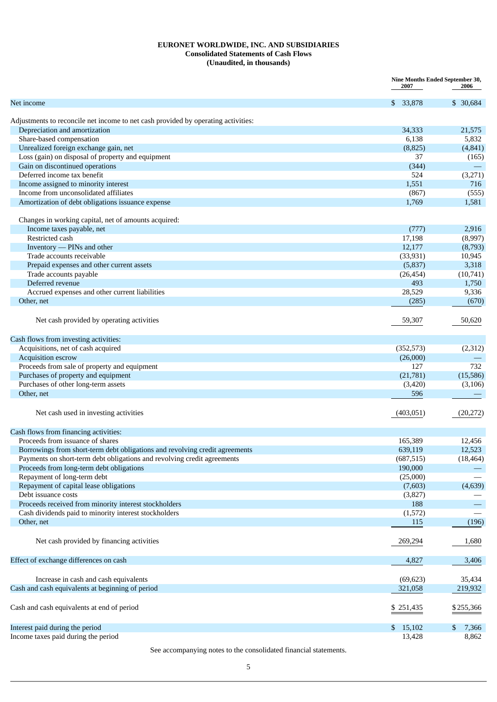# **EURONET WORLDWIDE, INC. AND SUBSIDIARIES Consolidated Statements of Cash Flows (Unaudited, in thousands)**

|                                                                                   | 2007       | Nine Months Ended September 30,<br>2006 |  |  |
|-----------------------------------------------------------------------------------|------------|-----------------------------------------|--|--|
| Net income                                                                        | \$33,878   | \$ 30,684                               |  |  |
| Adjustments to reconcile net income to net cash provided by operating activities: |            |                                         |  |  |
| Depreciation and amortization                                                     | 34,333     | 21,575                                  |  |  |
| Share-based compensation                                                          | 6,138      | 5,832                                   |  |  |
| Unrealized foreign exchange gain, net                                             | (8, 825)   | (4,841)                                 |  |  |
| Loss (gain) on disposal of property and equipment                                 | 37         | (165)                                   |  |  |
| Gain on discontinued operations                                                   | (344)      |                                         |  |  |
| Deferred income tax benefit                                                       | 524        | (3,271)                                 |  |  |
| Income assigned to minority interest                                              | 1,551      | 716                                     |  |  |
| Income from unconsolidated affiliates                                             | (867)      | (555)                                   |  |  |
| Amortization of debt obligations issuance expense                                 | 1,769      | 1,581                                   |  |  |
| Changes in working capital, net of amounts acquired:                              |            |                                         |  |  |
| Income taxes payable, net                                                         | (777)      | 2,916                                   |  |  |
| Restricted cash                                                                   | 17,198     | (8,997)                                 |  |  |
| Inventory — PINs and other                                                        | 12,177     | (8,793)                                 |  |  |
| Trade accounts receivable                                                         | (33, 931)  | 10,945                                  |  |  |
| Prepaid expenses and other current assets                                         | (5,837)    | 3,318                                   |  |  |
| Trade accounts payable                                                            | (26, 454)  | (10, 741)                               |  |  |
| Deferred revenue                                                                  | 493        | 1,750                                   |  |  |
| Accrued expenses and other current liabilities                                    | 28,529     | 9,336                                   |  |  |
| Other, net                                                                        | (285)      | (670)                                   |  |  |
| Net cash provided by operating activities                                         | 59,307     | 50,620                                  |  |  |
| Cash flows from investing activities:                                             |            |                                         |  |  |
| Acquisitions, net of cash acquired                                                | (352, 573) | (2,312)                                 |  |  |
| Acquisition escrow                                                                | (26,000)   |                                         |  |  |
| Proceeds from sale of property and equipment                                      | 127        | 732                                     |  |  |
| Purchases of property and equipment                                               | (21,781)   | (15, 586)                               |  |  |
| Purchases of other long-term assets                                               | (3,420)    | (3, 106)                                |  |  |
| Other, net                                                                        | 596        |                                         |  |  |
| Net cash used in investing activities                                             | (403, 051) | (20, 272)                               |  |  |
| Cash flows from financing activities:                                             |            |                                         |  |  |
| Proceeds from issuance of shares                                                  | 165,389    | 12,456                                  |  |  |
| Borrowings from short-term debt obligations and revolving credit agreements       | 639,119    | 12,523                                  |  |  |
| Payments on short-term debt obligations and revolving credit agreements           | (687, 515) | (18, 464)                               |  |  |
| Proceeds from long-term debt obligations                                          | 190,000    |                                         |  |  |
| Repayment of long-term debt                                                       | (25,000)   |                                         |  |  |
| Repayment of capital lease obligations                                            | (7,603)    | (4,639)                                 |  |  |
| Debt issuance costs                                                               | (3,827)    |                                         |  |  |
| Proceeds received from minority interest stockholders                             | 188        |                                         |  |  |
| Cash dividends paid to minority interest stockholders                             | (1,572)    |                                         |  |  |
| Other, net                                                                        | 115        | (196)                                   |  |  |
| Net cash provided by financing activities                                         | 269,294    | 1,680                                   |  |  |
| Effect of exchange differences on cash                                            | 4,827      | 3,406                                   |  |  |
| Increase in cash and cash equivalents                                             | (69, 623)  | 35,434                                  |  |  |
| Cash and cash equivalents at beginning of period                                  | 321,058    | 219,932                                 |  |  |
| Cash and cash equivalents at end of period                                        | \$251,435  | \$255,366                               |  |  |
| Interest paid during the period                                                   | \$15,102   | \$<br>7,366                             |  |  |
| Income taxes paid during the period                                               | 13,428     | 8,862                                   |  |  |

See accompanying notes to the consolidated financial statements.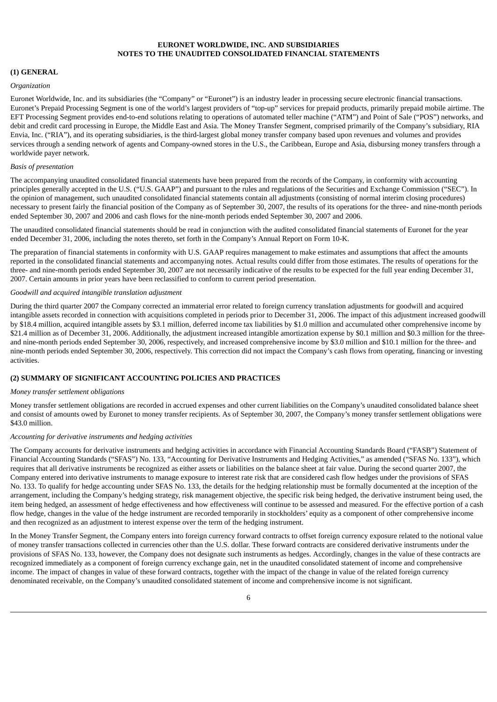# **EURONET WORLDWIDE, INC. AND SUBSIDIARIES NOTES TO THE UNAUDITED CONSOLIDATED FINANCIAL STATEMENTS**

#### **(1) GENERAL**

#### *Organization*

Euronet Worldwide, Inc. and its subsidiaries (the "Company" or "Euronet") is an industry leader in processing secure electronic financial transactions. Euronet's Prepaid Processing Segment is one of the world's largest providers of "top-up" services for prepaid products, primarily prepaid mobile airtime. The EFT Processing Segment provides end-to-end solutions relating to operations of automated teller machine ("ATM") and Point of Sale ("POS") networks, and debit and credit card processing in Europe, the Middle East and Asia. The Money Transfer Segment, comprised primarily of the Company's subsidiary, RIA Envia, Inc. ("RIA"), and its operating subsidiaries, is the third-largest global money transfer company based upon revenues and volumes and provides services through a sending network of agents and Company-owned stores in the U.S., the Caribbean, Europe and Asia, disbursing money transfers through a worldwide payer network.

#### *Basis of presentation*

The accompanying unaudited consolidated financial statements have been prepared from the records of the Company, in conformity with accounting principles generally accepted in the U.S. ("U.S. GAAP") and pursuant to the rules and regulations of the Securities and Exchange Commission ("SEC"). In the opinion of management, such unaudited consolidated financial statements contain all adjustments (consisting of normal interim closing procedures) necessary to present fairly the financial position of the Company as of September 30, 2007, the results of its operations for the three- and nine-month periods ended September 30, 2007 and 2006 and cash flows for the nine-month periods ended September 30, 2007 and 2006.

The unaudited consolidated financial statements should be read in conjunction with the audited consolidated financial statements of Euronet for the year ended December 31, 2006, including the notes thereto, set forth in the Company's Annual Report on Form 10-K.

The preparation of financial statements in conformity with U.S. GAAP requires management to make estimates and assumptions that affect the amounts reported in the consolidated financial statements and accompanying notes. Actual results could differ from those estimates. The results of operations for the three- and nine-month periods ended September 30, 2007 are not necessarily indicative of the results to be expected for the full year ending December 31, 2007. Certain amounts in prior years have been reclassified to conform to current period presentation.

## *Goodwill and acquired intangible translation adjustment*

During the third quarter 2007 the Company corrected an immaterial error related to foreign currency translation adjustments for goodwill and acquired intangible assets recorded in connection with acquisitions completed in periods prior to December 31, 2006. The impact of this adjustment increased goodwill by \$18.4 million, acquired intangible assets by \$3.1 million, deferred income tax liabilities by \$1.0 million and accumulated other comprehensive income by \$21.4 million as of December 31, 2006. Additionally, the adjustment increased intangible amortization expense by \$0.1 million and \$0.3 million for the threeand nine-month periods ended September 30, 2006, respectively, and increased comprehensive income by \$3.0 million and \$10.1 million for the three- and nine-month periods ended September 30, 2006, respectively. This correction did not impact the Company's cash flows from operating, financing or investing activities.

# **(2) SUMMARY OF SIGNIFICANT ACCOUNTING POLICIES AND PRACTICES**

#### *Money transfer settlement obligations*

Money transfer settlement obligations are recorded in accrued expenses and other current liabilities on the Company's unaudited consolidated balance sheet and consist of amounts owed by Euronet to money transfer recipients. As of September 30, 2007, the Company's money transfer settlement obligations were \$43.0 million.

#### *Accounting for derivative instruments and hedging activities*

The Company accounts for derivative instruments and hedging activities in accordance with Financial Accounting Standards Board ("FASB") Statement of Financial Accounting Standards ("SFAS") No. 133, "Accounting for Derivative Instruments and Hedging Activities," as amended ("SFAS No. 133"), which requires that all derivative instruments be recognized as either assets or liabilities on the balance sheet at fair value. During the second quarter 2007, the Company entered into derivative instruments to manage exposure to interest rate risk that are considered cash flow hedges under the provisions of SFAS No. 133. To qualify for hedge accounting under SFAS No. 133, the details for the hedging relationship must be formally documented at the inception of the arrangement, including the Company's hedging strategy, risk management objective, the specific risk being hedged, the derivative instrument being used, the item being hedged, an assessment of hedge effectiveness and how effectiveness will continue to be assessed and measured. For the effective portion of a cash flow hedge, changes in the value of the hedge instrument are recorded temporarily in stockholders' equity as a component of other comprehensive income and then recognized as an adjustment to interest expense over the term of the hedging instrument.

In the Money Transfer Segment, the Company enters into foreign currency forward contracts to offset foreign currency exposure related to the notional value of money transfer transactions collected in currencies other than the U.S. dollar. These forward contracts are considered derivative instruments under the provisions of SFAS No. 133, however, the Company does not designate such instruments as hedges. Accordingly, changes in the value of these contracts are recognized immediately as a component of foreign currency exchange gain, net in the unaudited consolidated statement of income and comprehensive income. The impact of changes in value of these forward contracts, together with the impact of the change in value of the related foreign currency denominated receivable, on the Company's unaudited consolidated statement of income and comprehensive income is not significant.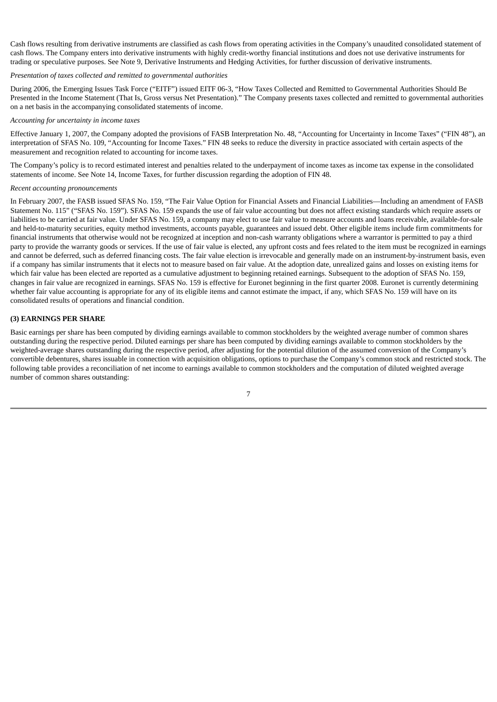Cash flows resulting from derivative instruments are classified as cash flows from operating activities in the Company's unaudited consolidated statement of cash flows. The Company enters into derivative instruments with highly credit-worthy financial institutions and does not use derivative instruments for trading or speculative purposes. See Note 9, Derivative Instruments and Hedging Activities, for further discussion of derivative instruments.

## *Presentation of taxes collected and remitted to governmental authorities*

During 2006, the Emerging Issues Task Force ("EITF") issued EITF 06-3, "How Taxes Collected and Remitted to Governmental Authorities Should Be Presented in the Income Statement (That Is, Gross versus Net Presentation)." The Company presents taxes collected and remitted to governmental authorities on a net basis in the accompanying consolidated statements of income.

# *Accounting for uncertainty in income taxes*

Effective January 1, 2007, the Company adopted the provisions of FASB Interpretation No. 48, "Accounting for Uncertainty in Income Taxes" ("FIN 48"), an interpretation of SFAS No. 109, "Accounting for Income Taxes." FIN 48 seeks to reduce the diversity in practice associated with certain aspects of the measurement and recognition related to accounting for income taxes.

The Company's policy is to record estimated interest and penalties related to the underpayment of income taxes as income tax expense in the consolidated statements of income. See Note 14, Income Taxes, for further discussion regarding the adoption of FIN 48.

#### *Recent accounting pronouncements*

In February 2007, the FASB issued SFAS No. 159, "The Fair Value Option for Financial Assets and Financial Liabilities—Including an amendment of FASB Statement No. 115" ("SFAS No. 159"). SFAS No. 159 expands the use of fair value accounting but does not affect existing standards which require assets or liabilities to be carried at fair value. Under SFAS No. 159, a company may elect to use fair value to measure accounts and loans receivable, available-for-sale and held-to-maturity securities, equity method investments, accounts payable, guarantees and issued debt. Other eligible items include firm commitments for financial instruments that otherwise would not be recognized at inception and non-cash warranty obligations where a warrantor is permitted to pay a third party to provide the warranty goods or services. If the use of fair value is elected, any upfront costs and fees related to the item must be recognized in earnings and cannot be deferred, such as deferred financing costs. The fair value election is irrevocable and generally made on an instrument-by-instrument basis, even if a company has similar instruments that it elects not to measure based on fair value. At the adoption date, unrealized gains and losses on existing items for which fair value has been elected are reported as a cumulative adjustment to beginning retained earnings. Subsequent to the adoption of SFAS No. 159, changes in fair value are recognized in earnings. SFAS No. 159 is effective for Euronet beginning in the first quarter 2008. Euronet is currently determining whether fair value accounting is appropriate for any of its eligible items and cannot estimate the impact, if any, which SFAS No. 159 will have on its consolidated results of operations and financial condition.

# **(3) EARNINGS PER SHARE**

Basic earnings per share has been computed by dividing earnings available to common stockholders by the weighted average number of common shares outstanding during the respective period. Diluted earnings per share has been computed by dividing earnings available to common stockholders by the weighted-average shares outstanding during the respective period, after adjusting for the potential dilution of the assumed conversion of the Company's convertible debentures, shares issuable in connection with acquisition obligations, options to purchase the Company's common stock and restricted stock. The following table provides a reconciliation of net income to earnings available to common stockholders and the computation of diluted weighted average number of common shares outstanding: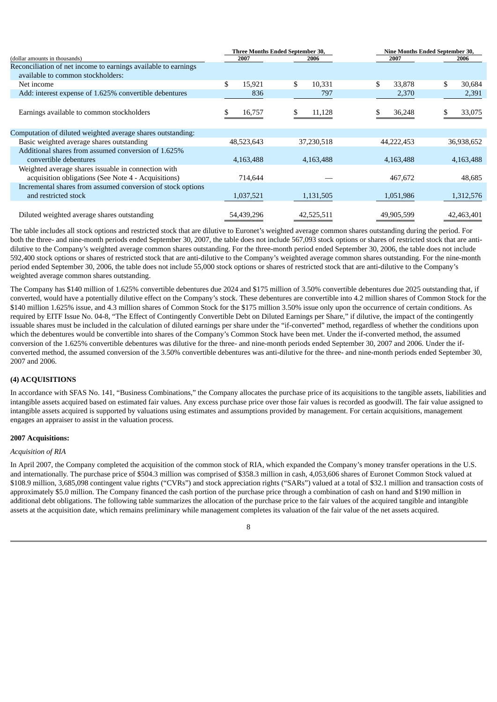|                                                                                                            |              | Three Months Ended September 30, | <b>Nine Months Ended September 30,</b> |              |  |
|------------------------------------------------------------------------------------------------------------|--------------|----------------------------------|----------------------------------------|--------------|--|
| (dollar amounts in thousands)                                                                              | 2007         | 2006                             | 2007                                   | 2006         |  |
| Reconciliation of net income to earnings available to earnings                                             |              |                                  |                                        |              |  |
| available to common stockholders:                                                                          |              |                                  |                                        |              |  |
| Net income                                                                                                 | \$<br>15,921 | \$<br>10,331                     | \$<br>33,878                           | \$<br>30,684 |  |
| Add: interest expense of 1.625% convertible debentures                                                     | 836          | 797                              | 2,370                                  | 2,391        |  |
| Earnings available to common stockholders                                                                  | 16,757       | 11,128                           | 36,248                                 | 33,075       |  |
| Computation of diluted weighted average shares outstanding:                                                |              |                                  |                                        |              |  |
| Basic weighted average shares outstanding                                                                  | 48,523,643   | 37,230,518                       | 44,222,453                             | 36,938,652   |  |
| Additional shares from assumed conversion of 1.625%<br>convertible debentures                              | 4,163,488    | 4,163,488                        | 4,163,488                              | 4,163,488    |  |
| Weighted average shares issuable in connection with<br>acquisition obligations (See Note 4 - Acquisitions) | 714,644      |                                  | 467,672                                | 48,685       |  |
| Incremental shares from assumed conversion of stock options<br>and restricted stock                        | 1,037,521    | 1,131,505                        | 1,051,986                              | 1,312,576    |  |
| Diluted weighted average shares outstanding                                                                | 54,439,296   | 42,525,511                       | 49,905,599                             | 42,463,401   |  |

The table includes all stock options and restricted stock that are dilutive to Euronet's weighted average common shares outstanding during the period. For both the three- and nine-month periods ended September 30, 2007, the table does not include 567,093 stock options or shares of restricted stock that are antidilutive to the Company's weighted average common shares outstanding. For the three-month period ended September 30, 2006, the table does not include 592,400 stock options or shares of restricted stock that are anti-dilutive to the Company's weighted average common shares outstanding. For the nine-month period ended September 30, 2006, the table does not include 55,000 stock options or shares of restricted stock that are anti-dilutive to the Company's weighted average common shares outstanding.

The Company has \$140 million of 1.625% convertible debentures due 2024 and \$175 million of 3.50% convertible debentures due 2025 outstanding that, if converted, would have a potentially dilutive effect on the Company's stock. These debentures are convertible into 4.2 million shares of Common Stock for the \$140 million 1.625% issue, and 4.3 million shares of Common Stock for the \$175 million 3.50% issue only upon the occurrence of certain conditions. As required by EITF Issue No. 04-8, "The Effect of Contingently Convertible Debt on Diluted Earnings per Share," if dilutive, the impact of the contingently issuable shares must be included in the calculation of diluted earnings per share under the "if-converted" method, regardless of whether the conditions upon which the debentures would be convertible into shares of the Company's Common Stock have been met. Under the if-converted method, the assumed conversion of the 1.625% convertible debentures was dilutive for the three- and nine-month periods ended September 30, 2007 and 2006. Under the ifconverted method, the assumed conversion of the 3.50% convertible debentures was anti-dilutive for the three- and nine-month periods ended September 30, 2007 and 2006.

# **(4) ACQUISITIONS**

In accordance with SFAS No. 141, "Business Combinations," the Company allocates the purchase price of its acquisitions to the tangible assets, liabilities and intangible assets acquired based on estimated fair values. Any excess purchase price over those fair values is recorded as goodwill. The fair value assigned to intangible assets acquired is supported by valuations using estimates and assumptions provided by management. For certain acquisitions, management engages an appraiser to assist in the valuation process.

# **2007 Acquisitions:**

#### *Acquisition of RIA*

In April 2007, the Company completed the acquisition of the common stock of RIA, which expanded the Company's money transfer operations in the U.S. and internationally. The purchase price of \$504.3 million was comprised of \$358.3 million in cash, 4,053,606 shares of Euronet Common Stock valued at \$108.9 million, 3,685,098 contingent value rights ("CVRs") and stock appreciation rights ("SARs") valued at a total of \$32.1 million and transaction costs of approximately \$5.0 million. The Company financed the cash portion of the purchase price through a combination of cash on hand and \$190 million in additional debt obligations. The following table summarizes the allocation of the purchase price to the fair values of the acquired tangible and intangible assets at the acquisition date, which remains preliminary while management completes its valuation of the fair value of the net assets acquired.

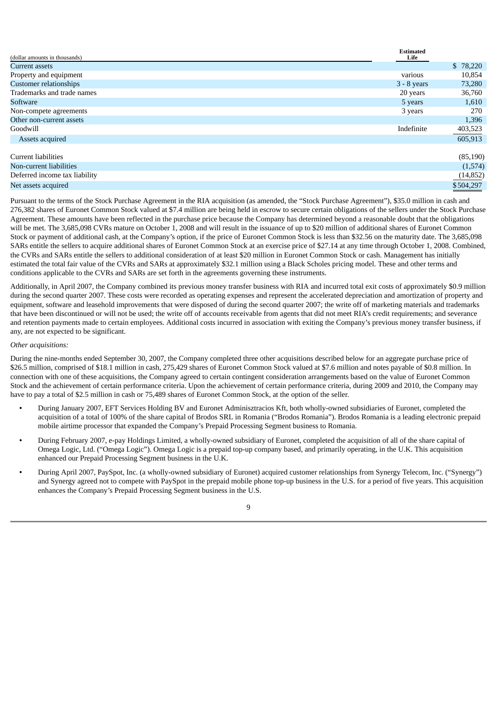| (dollar amounts in thousands) | <b>Estimated</b><br><b>Life</b> |
|-------------------------------|---------------------------------|
| Current assets                | \$78,220                        |
| Property and equipment        | 10,854<br>various               |
| <b>Customer relationships</b> | 73,280<br>$3 - 8$ years         |
| Trademarks and trade names    | 20 years<br>36,760              |
| Software                      | 1,610<br>5 years                |
| Non-compete agreements        | 3 years<br>270                  |
| Other non-current assets      | 1,396                           |
| Goodwill                      | Indefinite<br>403,523           |
| Assets acquired               | 605,913                         |
| Current liabilities           | (85, 190)                       |
| Non-current liabilities       | (1,574)                         |
| Deferred income tax liability | (14, 852)                       |
| Net assets acquired           | \$504.297                       |

Pursuant to the terms of the Stock Purchase Agreement in the RIA acquisition (as amended, the "Stock Purchase Agreement"), \$35.0 million in cash and 276,382 shares of Euronet Common Stock valued at \$7.4 million are being held in escrow to secure certain obligations of the sellers under the Stock Purchase Agreement. These amounts have been reflected in the purchase price because the Company has determined beyond a reasonable doubt that the obligations will be met. The 3,685,098 CVRs mature on October 1, 2008 and will result in the issuance of up to \$20 million of additional shares of Euronet Common Stock or payment of additional cash, at the Company's option, if the price of Euronet Common Stock is less than \$32.56 on the maturity date. The 3,685,098 SARs entitle the sellers to acquire additional shares of Euronet Common Stock at an exercise price of \$27.14 at any time through October 1, 2008. Combined, the CVRs and SARs entitle the sellers to additional consideration of at least \$20 million in Euronet Common Stock or cash. Management has initially estimated the total fair value of the CVRs and SARs at approximately \$32.1 million using a Black Scholes pricing model. These and other terms and conditions applicable to the CVRs and SARs are set forth in the agreements governing these instruments.

Additionally, in April 2007, the Company combined its previous money transfer business with RIA and incurred total exit costs of approximately \$0.9 million during the second quarter 2007. These costs were recorded as operating expenses and represent the accelerated depreciation and amortization of property and equipment, software and leasehold improvements that were disposed of during the second quarter 2007; the write off of marketing materials and trademarks that have been discontinued or will not be used; the write off of accounts receivable from agents that did not meet RIA's credit requirements; and severance and retention payments made to certain employees. Additional costs incurred in association with exiting the Company's previous money transfer business, if any, are not expected to be significant.

# *Other acquisitions:*

During the nine-months ended September 30, 2007, the Company completed three other acquisitions described below for an aggregate purchase price of \$26.5 million, comprised of \$18.1 million in cash, 275,429 shares of Euronet Common Stock valued at \$7.6 million and notes payable of \$0.8 million. In connection with one of these acquisitions, the Company agreed to certain contingent consideration arrangements based on the value of Euronet Common Stock and the achievement of certain performance criteria. Upon the achievement of certain performance criteria, during 2009 and 2010, the Company may have to pay a total of \$2.5 million in cash or 75,489 shares of Euronet Common Stock, at the option of the seller.

- **•** During January 2007, EFT Services Holding BV and Euronet Adminisztracios Kft, both wholly-owned subsidiaries of Euronet, completed the acquisition of a total of 100% of the share capital of Brodos SRL in Romania ("Brodos Romania"). Brodos Romania is a leading electronic prepaid mobile airtime processor that expanded the Company's Prepaid Processing Segment business to Romania.
- **•** During February 2007, e-pay Holdings Limited, a wholly-owned subsidiary of Euronet, completed the acquisition of all of the share capital of Omega Logic, Ltd. ("Omega Logic"). Omega Logic is a prepaid top-up company based, and primarily operating, in the U.K. This acquisition enhanced our Prepaid Processing Segment business in the U.K.
- **•** During April 2007, PaySpot, Inc. (a wholly-owned subsidiary of Euronet) acquired customer relationships from Synergy Telecom, Inc. ("Synergy") and Synergy agreed not to compete with PaySpot in the prepaid mobile phone top-up business in the U.S. for a period of five years. This acquisition enhances the Company's Prepaid Processing Segment business in the U.S.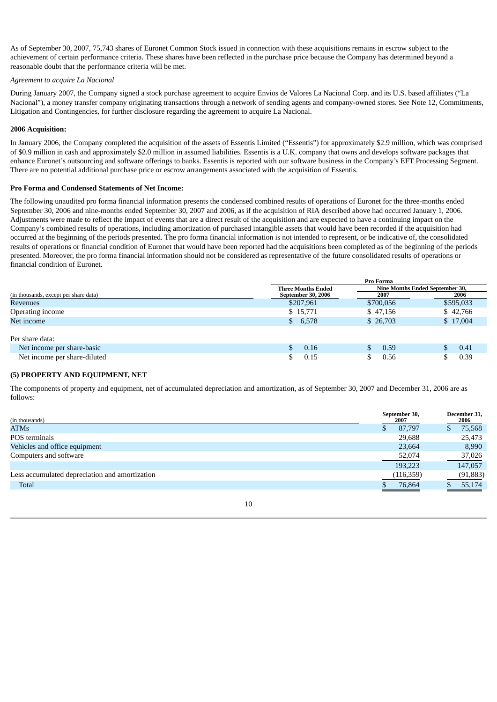As of September 30, 2007, 75,743 shares of Euronet Common Stock issued in connection with these acquisitions remains in escrow subject to the achievement of certain performance criteria. These shares have been reflected in the purchase price because the Company has determined beyond a reasonable doubt that the performance criteria will be met.

## *Agreement to acquire La Nacional*

During January 2007, the Company signed a stock purchase agreement to acquire Envios de Valores La Nacional Corp. and its U.S. based affiliates ("La Nacional"), a money transfer company originating transactions through a network of sending agents and company-owned stores. See Note 12, Commitments, Litigation and Contingencies, for further disclosure regarding the agreement to acquire La Nacional.

# **2006 Acquisition:**

In January 2006, the Company completed the acquisition of the assets of Essentis Limited ("Essentis") for approximately \$2.9 million, which was comprised of \$0.9 million in cash and approximately \$2.0 million in assumed liabilities. Essentis is a U.K. company that owns and develops software packages that enhance Euronet's outsourcing and software offerings to banks. Essentis is reported with our software business in the Company's EFT Processing Segment. There are no potential additional purchase price or escrow arrangements associated with the acquisition of Essentis.

## **Pro Forma and Condensed Statements of Net Income:**

The following unaudited pro forma financial information presents the condensed combined results of operations of Euronet for the three-months ended September 30, 2006 and nine-months ended September 30, 2007 and 2006, as if the acquisition of RIA described above had occurred January 1, 2006. Adjustments were made to reflect the impact of events that are a direct result of the acquisition and are expected to have a continuing impact on the Company's combined results of operations, including amortization of purchased intangible assets that would have been recorded if the acquisition had occurred at the beginning of the periods presented. The pro forma financial information is not intended to represent, or be indicative of, the consolidated results of operations or financial condition of Euronet that would have been reported had the acquisitions been completed as of the beginning of the periods presented. Moreover, the pro forma financial information should not be considered as representative of the future consolidated results of operations or financial condition of Euronet.

|                                       | Pro Forma                 |                                 |           |  |
|---------------------------------------|---------------------------|---------------------------------|-----------|--|
|                                       | <b>Three Months Ended</b> | Nine Months Ended September 30, |           |  |
| (in thousands, except per share data) | September 30, 2006        | 2007                            | 2006      |  |
| Revenues                              | \$207,961                 | \$700,056                       | \$595,033 |  |
| Operating income                      | \$15,771                  | \$47,156                        | \$42,766  |  |
| Net income                            | \$6,578                   | \$26,703                        | \$17,004  |  |
|                                       |                           |                                 |           |  |
| Per share data:                       |                           |                                 |           |  |
| Net income per share-basic            | 0.16                      | 0.59                            | 0.41      |  |
| Net income per share-diluted          | 0.15                      | 0.56                            | 0.39      |  |

# **(5) PROPERTY AND EQUIPMENT, NET**

The components of property and equipment, net of accumulated depreciation and amortization, as of September 30, 2007 and December 31, 2006 are as follows:

| (in thousands)                                 | September 30,<br>2007 | December 31,<br>2006 |
|------------------------------------------------|-----------------------|----------------------|
| <b>ATMs</b>                                    | 87,797                | 75,568               |
| POS terminals                                  | 29.688                | 25,473               |
| Vehicles and office equipment                  | 23,664                | 8,990                |
| Computers and software                         | 52,074                | 37,026               |
|                                                | 193,223               | 147,057              |
| Less accumulated depreciation and amortization | (116, 359)            | (91, 883)            |
| Total                                          | 76,864                | 55,174               |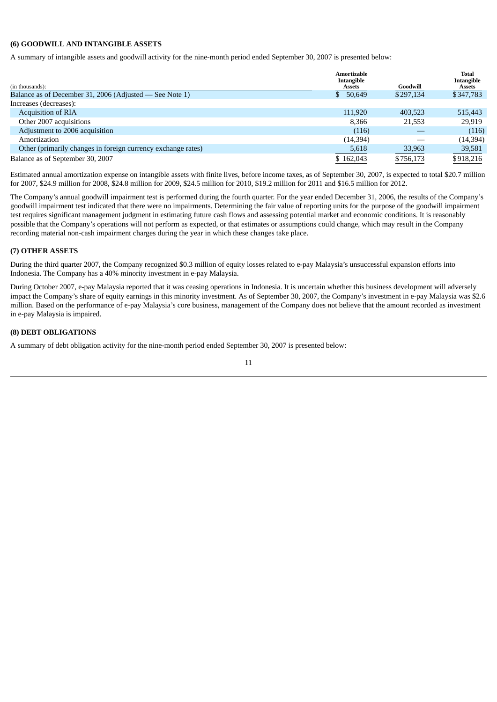# **(6) GOODWILL AND INTANGIBLE ASSETS**

A summary of intangible assets and goodwill activity for the nine-month period ended September 30, 2007 is presented below:

| (in thousands):                                              | Amortizable<br>Intangible<br>Assets | Goodwill  | <b>Total</b><br>Intangible<br>Assets |
|--------------------------------------------------------------|-------------------------------------|-----------|--------------------------------------|
| Balance as of December 31, 2006 (Adjusted — See Note 1)      | \$50,649                            | \$297,134 | \$347,783                            |
| Increases (decreases):                                       |                                     |           |                                      |
| <b>Acquisition of RIA</b>                                    | 111.920                             | 403.523   | 515,443                              |
| Other 2007 acquisitions                                      | 8.366                               | 21,553    | 29,919                               |
| Adjustment to 2006 acquisition                               | (116)                               |           | (116)                                |
| Amortization                                                 | (14,394)                            |           | (14, 394)                            |
| Other (primarily changes in foreign currency exchange rates) | 5,618                               | 33,963    | 39,581                               |
| Balance as of September 30, 2007                             | \$162,043                           | \$756,173 | \$918,216                            |

Estimated annual amortization expense on intangible assets with finite lives, before income taxes, as of September 30, 2007, is expected to total \$20.7 million for 2007, \$24.9 million for 2008, \$24.8 million for 2009, \$24.5 million for 2010, \$19.2 million for 2011 and \$16.5 million for 2012.

The Company's annual goodwill impairment test is performed during the fourth quarter. For the year ended December 31, 2006, the results of the Company's goodwill impairment test indicated that there were no impairments. Determining the fair value of reporting units for the purpose of the goodwill impairment test requires significant management judgment in estimating future cash flows and assessing potential market and economic conditions. It is reasonably possible that the Company's operations will not perform as expected, or that estimates or assumptions could change, which may result in the Company recording material non-cash impairment charges during the year in which these changes take place.

# **(7) OTHER ASSETS**

During the third quarter 2007, the Company recognized \$0.3 million of equity losses related to e-pay Malaysia's unsuccessful expansion efforts into Indonesia. The Company has a 40% minority investment in e-pay Malaysia.

During October 2007, e-pay Malaysia reported that it was ceasing operations in Indonesia. It is uncertain whether this business development will adversely impact the Company's share of equity earnings in this minority investment. As of September 30, 2007, the Company's investment in e-pay Malaysia was \$2.6 million. Based on the performance of e-pay Malaysia's core business, management of the Company does not believe that the amount recorded as investment in e-pay Malaysia is impaired.

## **(8) DEBT OBLIGATIONS**

A summary of debt obligation activity for the nine-month period ended September 30, 2007 is presented below: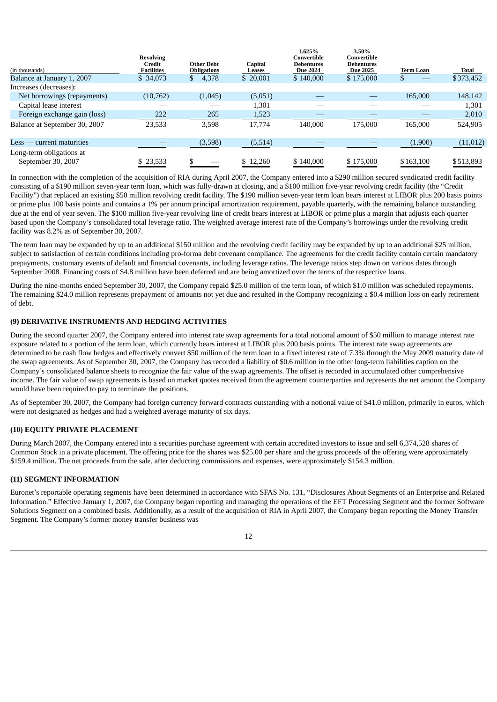| (in thousands)                                 | <b>Revolving</b><br>Credit<br><b>Facilities</b> | <b>Other Debt</b><br><b>Obligations</b> | Capital<br>Leases | 1.625%<br>Convertible<br><b>Debentures</b><br><b>Due 2024</b> | 3.50%<br>Convertible<br><b>Debentures</b><br><b>Due 2025</b> | <b>Term Loan</b> | Total     |
|------------------------------------------------|-------------------------------------------------|-----------------------------------------|-------------------|---------------------------------------------------------------|--------------------------------------------------------------|------------------|-----------|
| Balance at January 1, 2007                     | \$ 34,073                                       | 4,378<br>Ф                              | \$20,001          | \$140,000                                                     | \$175,000                                                    |                  | \$373,452 |
| Increases (decreases):                         |                                                 |                                         |                   |                                                               |                                                              |                  |           |
| Net borrowings (repayments)                    | (10,762)                                        | (1,045)                                 | (5,051)           |                                                               |                                                              | 165,000          | 148,142   |
| Capital lease interest                         |                                                 |                                         | 1,301             |                                                               |                                                              |                  | 1,301     |
| Foreign exchange gain (loss)                   | 222                                             | 265                                     | 1,523             |                                                               |                                                              |                  | 2,010     |
| Balance at September 30, 2007                  | 23,533                                          | 3,598                                   | 17,774            | 140,000                                                       | 175,000                                                      | 165,000          | 524,905   |
| $Less$ — current maturities                    |                                                 | (3,598)                                 | (5,514)           |                                                               |                                                              | (1,900)          | (11, 012) |
| Long-term obligations at<br>September 30, 2007 | \$23,533                                        | \$                                      | \$12,260          | \$140,000                                                     | \$175,000                                                    | \$163,100        | \$513,893 |

In connection with the completion of the acquisition of RIA during April 2007, the Company entered into a \$290 million secured syndicated credit facility consisting of a \$190 million seven-year term loan, which was fully-drawn at closing, and a \$100 million five-year revolving credit facility (the "Credit Facility") that replaced an existing \$50 million revolving credit facility. The \$190 million seven-year term loan bears interest at LIBOR plus 200 basis points or prime plus 100 basis points and contains a 1% per annum principal amortization requirement, payable quarterly, with the remaining balance outstanding due at the end of year seven. The \$100 million five-year revolving line of credit bears interest at LIBOR or prime plus a margin that adjusts each quarter based upon the Company's consolidated total leverage ratio. The weighted average interest rate of the Company's borrowings under the revolving credit facility was 8.2% as of September 30, 2007.

The term loan may be expanded by up to an additional \$150 million and the revolving credit facility may be expanded by up to an additional \$25 million, subject to satisfaction of certain conditions including pro-forma debt covenant compliance. The agreements for the credit facility contain certain mandatory prepayments, customary events of default and financial covenants, including leverage ratios. The leverage ratios step down on various dates through September 2008. Financing costs of \$4.8 million have been deferred and are being amortized over the terms of the respective loans.

During the nine-months ended September 30, 2007, the Company repaid \$25.0 million of the term loan, of which \$1.0 million was scheduled repayments. The remaining \$24.0 million represents prepayment of amounts not yet due and resulted in the Company recognizing a \$0.4 million loss on early retirement of debt.

# **(9) DERIVATIVE INSTRUMENTS AND HEDGING ACTIVITIES**

During the second quarter 2007, the Company entered into interest rate swap agreements for a total notional amount of \$50 million to manage interest rate exposure related to a portion of the term loan, which currently bears interest at LIBOR plus 200 basis points. The interest rate swap agreements are determined to be cash flow hedges and effectively convert \$50 million of the term loan to a fixed interest rate of 7.3% through the May 2009 maturity date of the swap agreements. As of September 30, 2007, the Company has recorded a liability of \$0.6 million in the other long-term liabilities caption on the Company's consolidated balance sheets to recognize the fair value of the swap agreements. The offset is recorded in accumulated other comprehensive income. The fair value of swap agreements is based on market quotes received from the agreement counterparties and represents the net amount the Company would have been required to pay to terminate the positions.

As of September 30, 2007, the Company had foreign currency forward contracts outstanding with a notional value of \$41.0 million, primarily in euros, which were not designated as hedges and had a weighted average maturity of six days.

# **(10) EQUITY PRIVATE PLACEMENT**

During March 2007, the Company entered into a securities purchase agreement with certain accredited investors to issue and sell 6,374,528 shares of Common Stock in a private placement. The offering price for the shares was \$25.00 per share and the gross proceeds of the offering were approximately \$159.4 million. The net proceeds from the sale, after deducting commissions and expenses, were approximately \$154.3 million.

# **(11) SEGMENT INFORMATION**

Euronet's reportable operating segments have been determined in accordance with SFAS No. 131, "Disclosures About Segments of an Enterprise and Related Information." Effective January 1, 2007, the Company began reporting and managing the operations of the EFT Processing Segment and the former Software Solutions Segment on a combined basis. Additionally, as a result of the acquisition of RIA in April 2007, the Company began reporting the Money Transfer Segment. The Company's former money transfer business was

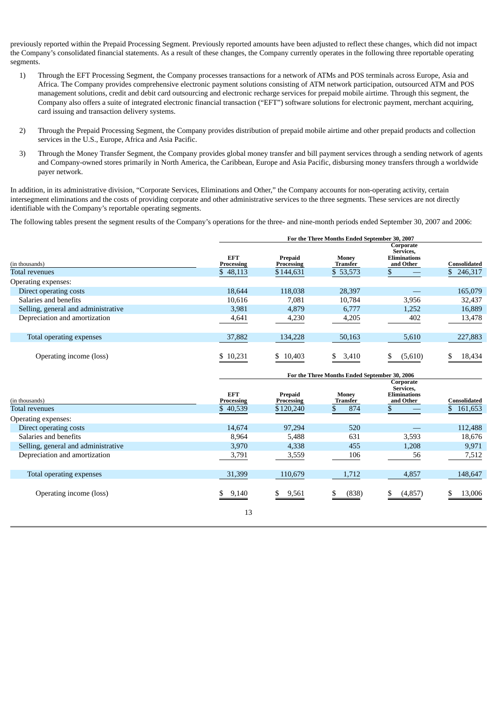previously reported within the Prepaid Processing Segment. Previously reported amounts have been adjusted to reflect these changes, which did not impact the Company's consolidated financial statements. As a result of these changes, the Company currently operates in the following three reportable operating segments.

- 1) Through the EFT Processing Segment, the Company processes transactions for a network of ATMs and POS terminals across Europe, Asia and Africa. The Company provides comprehensive electronic payment solutions consisting of ATM network participation, outsourced ATM and POS management solutions, credit and debit card outsourcing and electronic recharge services for prepaid mobile airtime. Through this segment, the Company also offers a suite of integrated electronic financial transaction ("EFT") software solutions for electronic payment, merchant acquiring, card issuing and transaction delivery systems.
- 2) Through the Prepaid Processing Segment, the Company provides distribution of prepaid mobile airtime and other prepaid products and collection services in the U.S., Europe, Africa and Asia Pacific.
- 3) Through the Money Transfer Segment, the Company provides global money transfer and bill payment services through a sending network of agents and Company-owned stores primarily in North America, the Caribbean, Europe and Asia Pacific, disbursing money transfers through a worldwide payer network.

In addition, in its administrative division, "Corporate Services, Eliminations and Other," the Company accounts for non-operating activity, certain intersegment eliminations and the costs of providing corporate and other administrative services to the three segments. These services are not directly identifiable with the Company's reportable operating segments.

The following tables present the segment results of the Company's operations for the three- and nine-month periods ended September 30, 2007 and 2006:

|                                     |                          | For the Three Months Ended September 30, 2007 |                                               |                                                            |                     |  |
|-------------------------------------|--------------------------|-----------------------------------------------|-----------------------------------------------|------------------------------------------------------------|---------------------|--|
| (in thousands)                      | <b>EFT</b><br>Processing | Prepaid<br>Processing                         | Money<br><b>Transfer</b>                      | Corporate<br>Services,<br><b>Eliminations</b><br>and Other | <b>Consolidated</b> |  |
| <b>Total revenues</b>               | \$48,113                 | \$144,631                                     | \$53,573                                      | \$                                                         | 246,317             |  |
| Operating expenses:                 |                          |                                               |                                               |                                                            |                     |  |
| Direct operating costs              | 18,644                   | 118,038                                       | 28,397                                        |                                                            | 165,079             |  |
| Salaries and benefits               | 10,616                   | 7,081                                         | 10,784                                        | 3,956                                                      | 32,437              |  |
| Selling, general and administrative | 3,981                    | 4,879                                         | 6,777                                         | 1,252                                                      | 16,889              |  |
| Depreciation and amortization       | 4,641                    | 4,230                                         | 4,205                                         | 402                                                        | 13,478              |  |
| Total operating expenses            | 37,882                   | 134,228                                       | 50,163                                        | 5,610                                                      | 227,883             |  |
| Operating income (loss)             | \$10,231                 | \$10,403                                      | \$<br>3,410                                   | (5,610)                                                    | 18,434<br>\$        |  |
|                                     |                          |                                               | For the Three Months Ended September 30, 2006 |                                                            |                     |  |
| (in thousands)                      | <b>EFT</b><br>Processing | Prepaid<br>Processing                         | Money<br><b>Transfer</b>                      | Corporate<br>Services,<br><b>Eliminations</b><br>and Other | <b>Consolidated</b> |  |
| <b>Total revenues</b>               | \$40,539                 | \$120,240                                     | \$<br>874                                     | \$                                                         | \$161,653           |  |
| Operating expenses:                 |                          |                                               |                                               |                                                            |                     |  |
| Direct operating costs              | 14.674                   | 97,294                                        | 520                                           |                                                            | 112,488             |  |
| Salaries and benefits               | 8,964                    | 5,488                                         | 631                                           | 3,593                                                      | 18,676              |  |
| Selling, general and administrative | 3,970                    | 4,338                                         | 455                                           | 1,208                                                      | 9,971               |  |
| Depreciation and amortization       | 3,791                    | 3,559                                         | 106                                           | 56                                                         | 7,512               |  |
| Total operating expenses            | 31,399                   | 110,679                                       | 1,712                                         | 4,857                                                      | 148,647             |  |
| Operating income (loss)             | 9,140<br>S<br>13         | 9,561<br>\$                                   | (838)<br>\$                                   | (4,857)                                                    | 13,006<br>\$        |  |
|                                     |                          |                                               |                                               |                                                            |                     |  |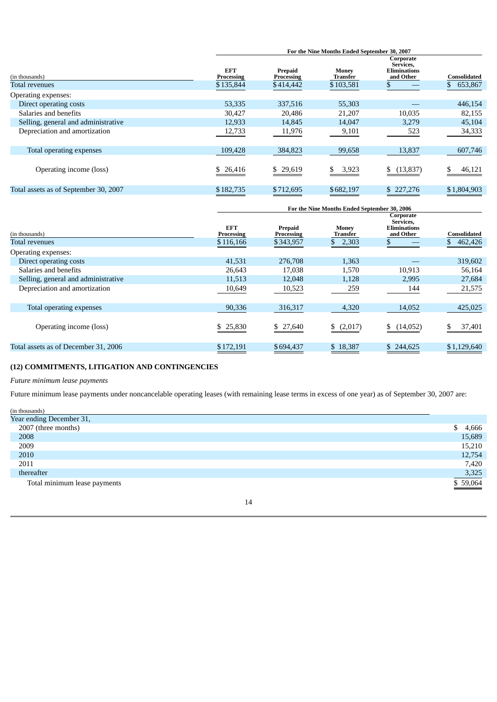|                                       |                                 | For the Nine Months Ended September 30, 2007 |                   |                                                     |              |  |
|---------------------------------------|---------------------------------|----------------------------------------------|-------------------|-----------------------------------------------------|--------------|--|
| (in thousands)                        | <b>EFT</b><br><b>Processing</b> | Prepaid<br>Processing                        | Money<br>Transfer | Corporate<br>Services,<br>Eliminations<br>and Other | Consolidated |  |
| <b>Total revenues</b>                 | \$135,844                       | \$414,442                                    | \$103,581         |                                                     | 653,867      |  |
| Operating expenses:                   |                                 |                                              |                   |                                                     |              |  |
| Direct operating costs                | 53,335                          | 337,516                                      | 55,303            |                                                     | 446,154      |  |
| Salaries and benefits                 | 30,427                          | 20,486                                       | 21,207            | 10,035                                              | 82,155       |  |
| Selling, general and administrative   | 12,933                          | 14,845                                       | 14,047            | 3,279                                               | 45,104       |  |
| Depreciation and amortization         | 12,733                          | 11,976                                       | 9,101             | 523                                                 | 34,333       |  |
| Total operating expenses              | 109,428                         | 384,823                                      | 99,658            | 13,837                                              | 607,746      |  |
| Operating income (loss)               | \$ 26,416                       | \$ 29,619                                    | 3,923<br>\$       | \$(13,837)                                          | 46,121       |  |
| Total assets as of September 30, 2007 | \$182,735                       | \$712,695                                    | \$682,197         | \$227,276                                           | \$1,804,903  |  |

|                                      |                                 |                              | For the Nine Months Ended September 30, 2006 |                                                            |              |
|--------------------------------------|---------------------------------|------------------------------|----------------------------------------------|------------------------------------------------------------|--------------|
| (in thousands)                       | <b>EFT</b><br><b>Processing</b> | Prepaid<br><b>Processing</b> | Money<br>Transfer                            | Corporate<br>Services,<br><b>Eliminations</b><br>and Other | Consolidated |
| <b>Total revenues</b>                | \$116,166                       | \$343,957                    | $\mathbb{S}^-$<br>2,303                      |                                                            | 462,426      |
| Operating expenses:                  |                                 |                              |                                              |                                                            |              |
| Direct operating costs               | 41,531                          | 276,708                      | 1,363                                        |                                                            | 319,602      |
| Salaries and benefits                | 26,643                          | 17,038                       | 1,570                                        | 10,913                                                     | 56,164       |
| Selling, general and administrative  | 11,513                          | 12,048                       | 1,128                                        | 2,995                                                      | 27,684       |
| Depreciation and amortization        | 10,649                          | 10,523                       | 259                                          | 144                                                        | 21,575       |
| Total operating expenses             | 90,336                          | 316,317                      | 4,320                                        | 14,052                                                     | 425,025      |
| Operating income (loss)              | \$25,830                        | \$27,640                     | \$(2,017)                                    | \$(14,052)                                                 | 37,401       |
| Total assets as of December 31, 2006 | \$172,191                       | \$694,437                    | \$18,387                                     | \$244,625                                                  | \$1,129,640  |

# **(12) COMMITMENTS, LITIGATION AND CONTINGENCIES**

# *Future minimum lease payments*

Future minimum lease payments under noncancelable operating leases (with remaining lease terms in excess of one year) as of September 30, 2007 are:

| (in thousands)               |                           |
|------------------------------|---------------------------|
| Year ending December 31,     |                           |
| 2007 (three months)          | 4,666                     |
| 2008                         | 15,689                    |
| 2009                         | 15,210                    |
| 2010                         | 12,754                    |
| 2011                         | 7,420                     |
| thereafter                   |                           |
| Total minimum lease payments | $\frac{3,325}{\$ 59,064}$ |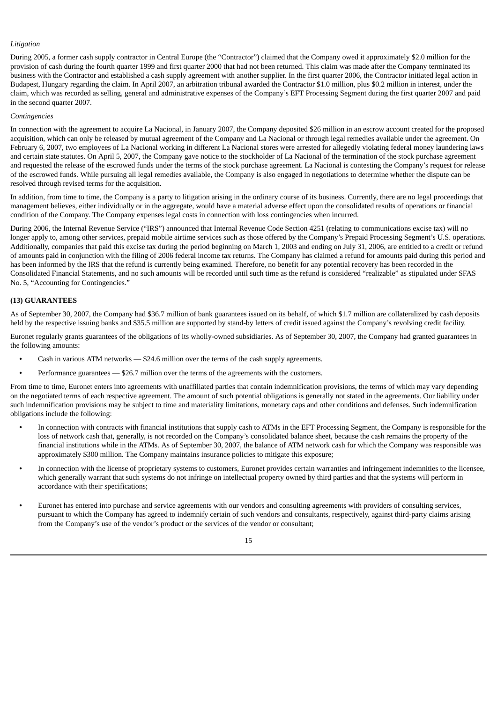# *Litigation*

During 2005, a former cash supply contractor in Central Europe (the "Contractor") claimed that the Company owed it approximately \$2.0 million for the provision of cash during the fourth quarter 1999 and first quarter 2000 that had not been returned. This claim was made after the Company terminated its business with the Contractor and established a cash supply agreement with another supplier. In the first quarter 2006, the Contractor initiated legal action in Budapest, Hungary regarding the claim. In April 2007, an arbitration tribunal awarded the Contractor \$1.0 million, plus \$0.2 million in interest, under the claim, which was recorded as selling, general and administrative expenses of the Company's EFT Processing Segment during the first quarter 2007 and paid in the second quarter 2007.

## *Contingencies*

In connection with the agreement to acquire La Nacional, in January 2007, the Company deposited \$26 million in an escrow account created for the proposed acquisition, which can only be released by mutual agreement of the Company and La Nacional or through legal remedies available under the agreement. On February 6, 2007, two employees of La Nacional working in different La Nacional stores were arrested for allegedly violating federal money laundering laws and certain state statutes. On April 5, 2007, the Company gave notice to the stockholder of La Nacional of the termination of the stock purchase agreement and requested the release of the escrowed funds under the terms of the stock purchase agreement. La Nacional is contesting the Company's request for release of the escrowed funds. While pursuing all legal remedies available, the Company is also engaged in negotiations to determine whether the dispute can be resolved through revised terms for the acquisition.

In addition, from time to time, the Company is a party to litigation arising in the ordinary course of its business. Currently, there are no legal proceedings that management believes, either individually or in the aggregate, would have a material adverse effect upon the consolidated results of operations or financial condition of the Company. The Company expenses legal costs in connection with loss contingencies when incurred.

During 2006, the Internal Revenue Service ("IRS") announced that Internal Revenue Code Section 4251 (relating to communications excise tax) will no longer apply to, among other services, prepaid mobile airtime services such as those offered by the Company's Prepaid Processing Segment's U.S. operations. Additionally, companies that paid this excise tax during the period beginning on March 1, 2003 and ending on July 31, 2006, are entitled to a credit or refund of amounts paid in conjunction with the filing of 2006 federal income tax returns. The Company has claimed a refund for amounts paid during this period and has been informed by the IRS that the refund is currently being examined. Therefore, no benefit for any potential recovery has been recorded in the Consolidated Financial Statements, and no such amounts will be recorded until such time as the refund is considered "realizable" as stipulated under SFAS No. 5, "Accounting for Contingencies."

# **(13) GUARANTEES**

As of September 30, 2007, the Company had \$36.7 million of bank guarantees issued on its behalf, of which \$1.7 million are collateralized by cash deposits held by the respective issuing banks and \$35.5 million are supported by stand-by letters of credit issued against the Company's revolving credit facility.

Euronet regularly grants guarantees of the obligations of its wholly-owned subsidiaries. As of September 30, 2007, the Company had granted guarantees in the following amounts:

- **•** Cash in various ATM networks \$24.6 million over the terms of the cash supply agreements.
- Performance guarantees \$26.7 million over the terms of the agreements with the customers.

From time to time, Euronet enters into agreements with unaffiliated parties that contain indemnification provisions, the terms of which may vary depending on the negotiated terms of each respective agreement. The amount of such potential obligations is generally not stated in the agreements. Our liability under such indemnification provisions may be subject to time and materiality limitations, monetary caps and other conditions and defenses. Such indemnification obligations include the following:

- **•** In connection with contracts with financial institutions that supply cash to ATMs in the EFT Processing Segment, the Company is responsible for the loss of network cash that, generally, is not recorded on the Company's consolidated balance sheet, because the cash remains the property of the financial institutions while in the ATMs. As of September 30, 2007, the balance of ATM network cash for which the Company was responsible was approximately \$300 million. The Company maintains insurance policies to mitigate this exposure;
- **•** In connection with the license of proprietary systems to customers, Euronet provides certain warranties and infringement indemnities to the licensee, which generally warrant that such systems do not infringe on intellectual property owned by third parties and that the systems will perform in accordance with their specifications;
- **•** Euronet has entered into purchase and service agreements with our vendors and consulting agreements with providers of consulting services, pursuant to which the Company has agreed to indemnify certain of such vendors and consultants, respectively, against third-party claims arising from the Company's use of the vendor's product or the services of the vendor or consultant;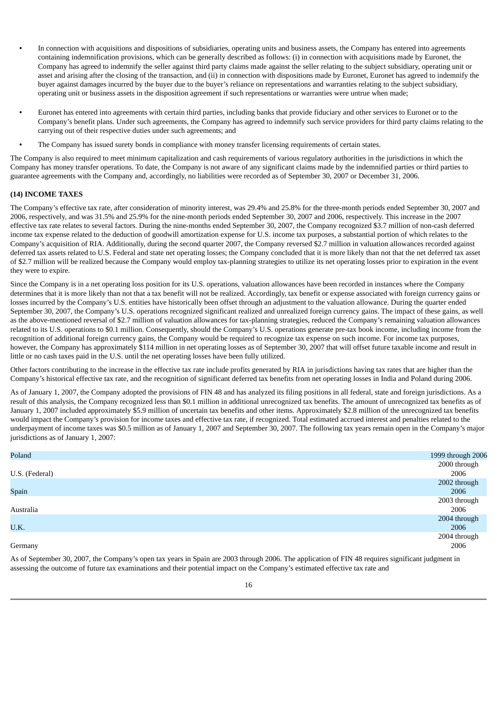- **•** In connection with acquisitions and dispositions of subsidiaries, operating units and business assets, the Company has entered into agreements containing indemnification provisions, which can be generally described as follows: (i) in connection with acquisitions made by Euronet, the Company has agreed to indemnify the seller against third party claims made against the seller relating to the subject subsidiary, operating unit or asset and arising after the closing of the transaction, and (ii) in connection with dispositions made by Euronet, Euronet has agreed to indemnify the buyer against damages incurred by the buyer due to the buyer's reliance on representations and warranties relating to the subject subsidiary, operating unit or business assets in the disposition agreement if such representations or warranties were untrue when made;
- **•** Euronet has entered into agreements with certain third parties, including banks that provide fiduciary and other services to Euronet or to the Company's benefit plans. Under such agreements, the Company has agreed to indemnify such service providers for third party claims relating to the carrying out of their respective duties under such agreements; and
- **•** The Company has issued surety bonds in compliance with money transfer licensing requirements of certain states.

The Company is also required to meet minimum capitalization and cash requirements of various regulatory authorities in the jurisdictions in which the Company has money transfer operations. To date, the Company is not aware of any significant claims made by the indemnified parties or third parties to guarantee agreements with the Company and, accordingly, no liabilities were recorded as of September 30, 2007 or December 31, 2006.

# **(14) INCOME TAXES**

The Company's effective tax rate, after consideration of minority interest, was 29.4% and 25.8% for the three-month periods ended September 30, 2007 and 2006, respectively, and was 31.5% and 25.9% for the nine-month periods ended September 30, 2007 and 2006, respectively. This increase in the 2007 effective tax rate relates to several factors. During the nine-months ended September 30, 2007, the Company recognized \$3.7 million of non-cash deferred income tax expense related to the deduction of goodwill amortization expense for U.S. income tax purposes, a substantial portion of which relates to the Company's acquisition of RIA. Additionally, during the second quarter 2007, the Company reversed \$2.7 million in valuation allowances recorded against deferred tax assets related to U.S. Federal and state net operating losses; the Company concluded that it is more likely than not that the net deferred tax asset of \$2.7 million will be realized because the Company would employ tax-planning strategies to utilize its net operating losses prior to expiration in the event they were to expire.

Since the Company is in a net operating loss position for its U.S. operations, valuation allowances have been recorded in instances where the Company determines that it is more likely than not that a tax benefit will not be realized. Accordingly, tax benefit or expense associated with foreign currency gains or losses incurred by the Company's U.S. entities have historically been offset through an adjustment to the valuation allowance. During the quarter ended September 30, 2007, the Company's U.S. operations recognized significant realized and unrealized foreign currency gains. The impact of these gains, as well as the above-mentioned reversal of \$2.7 million of valuation allowances for tax-planning strategies, reduced the Company's remaining valuation allowances related to its U.S. operations to \$0.1 million. Consequently, should the Company's U.S. operations generate pre-tax book income, including income from the recognition of additional foreign currency gains, the Company would be required to recognize tax expense on such income. For income tax purposes, however, the Company has approximately \$114 million in net operating losses as of September 30, 2007 that will offset future taxable income and result in little or no cash taxes paid in the U.S. until the net operating losses have been fully utilized.

Other factors contributing to the increase in the effective tax rate include profits generated by RIA in jurisdictions having tax rates that are higher than the Company's historical effective tax rate, and the recognition of significant deferred tax benefits from net operating losses in India and Poland during 2006.

As of January 1, 2007, the Company adopted the provisions of FIN 48 and has analyzed its filing positions in all federal, state and foreign jurisdictions. As a result of this analysis, the Company recognized less than \$0.1 million in additional unrecognized tax benefits. The amount of unrecognized tax benefits as of January 1, 2007 included approximately \$5.9 million of uncertain tax benefits and other items. Approximately \$2.8 million of the unrecognized tax benefits would impact the Company's provision for income taxes and effective tax rate, if recognized. Total estimated accrued interest and penalties related to the underpayment of income taxes was \$0.5 million as of January 1, 2007 and September 30, 2007. The following tax years remain open in the Company's major jurisdictions as of January 1, 2007:

| Poland         | 1999 through 2006 |
|----------------|-------------------|
|                | 2000 through      |
| U.S. (Federal) | 2006              |
|                | 2002 through      |
| Spain          | 2006              |
|                | 2003 through      |
| Australia      | 2006              |
|                | 2004 through      |
| U.K.           | 2006              |
|                | 2004 through      |
| Germany        | 2006              |

Germany

As of September 30, 2007, the Company's open tax years in Spain are 2003 through 2006. The application of FIN 48 requires significant judgment in assessing the outcome of future tax examinations and their potential impact on the Company's estimated effective tax rate and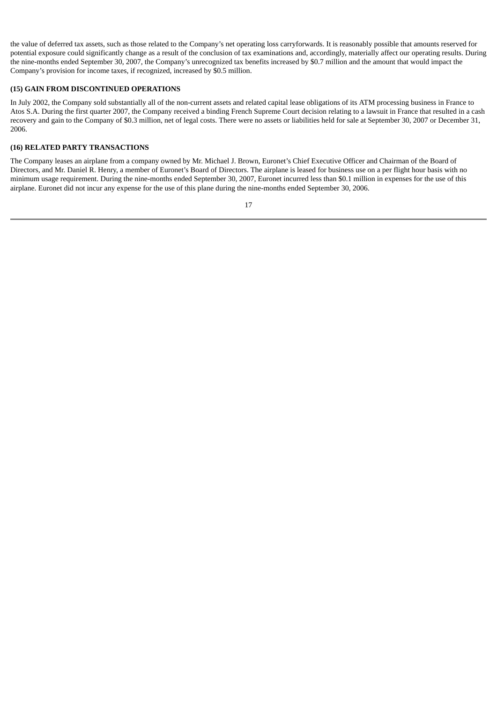the value of deferred tax assets, such as those related to the Company's net operating loss carryforwards. It is reasonably possible that amounts reserved for potential exposure could significantly change as a result of the conclusion of tax examinations and, accordingly, materially affect our operating results. During the nine-months ended September 30, 2007, the Company's unrecognized tax benefits increased by \$0.7 million and the amount that would impact the Company's provision for income taxes, if recognized, increased by \$0.5 million.

# **(15) GAIN FROM DISCONTINUED OPERATIONS**

In July 2002, the Company sold substantially all of the non-current assets and related capital lease obligations of its ATM processing business in France to Atos S.A. During the first quarter 2007, the Company received a binding French Supreme Court decision relating to a lawsuit in France that resulted in a cash recovery and gain to the Company of \$0.3 million, net of legal costs. There were no assets or liabilities held for sale at September 30, 2007 or December 31, 2006.

## **(16) RELATED PARTY TRANSACTIONS**

The Company leases an airplane from a company owned by Mr. Michael J. Brown, Euronet's Chief Executive Officer and Chairman of the Board of Directors, and Mr. Daniel R. Henry, a member of Euronet's Board of Directors. The airplane is leased for business use on a per flight hour basis with no minimum usage requirement. During the nine-months ended September 30, 2007, Euronet incurred less than \$0.1 million in expenses for the use of this airplane. Euronet did not incur any expense for the use of this plane during the nine-months ended September 30, 2006.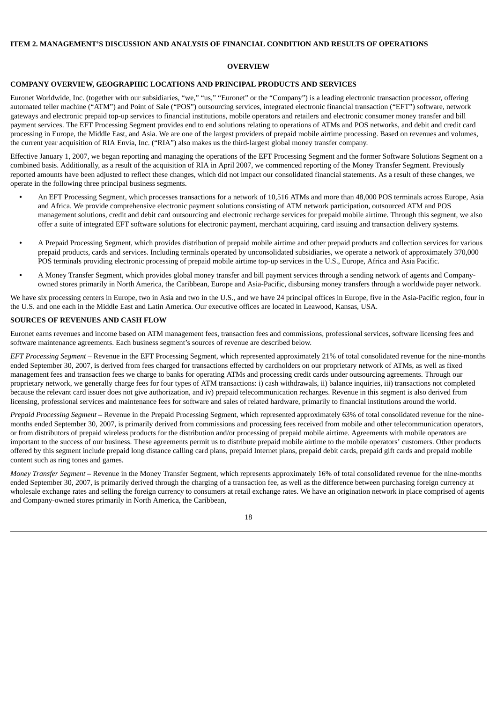## <span id="page-18-0"></span>**ITEM 2. MANAGEMENT'S DISCUSSION AND ANALYSIS OF FINANCIAL CONDITION AND RESULTS OF OPERATIONS**

#### **OVERVIEW**

# **COMPANY OVERVIEW, GEOGRAPHIC LOCATIONS AND PRINCIPAL PRODUCTS AND SERVICES**

Euronet Worldwide, Inc. (together with our subsidiaries, "we," "us," "Euronet" or the "Company") is a leading electronic transaction processor, offering automated teller machine ("ATM") and Point of Sale ("POS") outsourcing services, integrated electronic financial transaction ("EFT") software, network gateways and electronic prepaid top-up services to financial institutions, mobile operators and retailers and electronic consumer money transfer and bill payment services. The EFT Processing Segment provides end to end solutions relating to operations of ATMs and POS networks, and debit and credit card processing in Europe, the Middle East, and Asia. We are one of the largest providers of prepaid mobile airtime processing. Based on revenues and volumes, the current year acquisition of RIA Envia, Inc. ("RIA") also makes us the third-largest global money transfer company.

Effective January 1, 2007, we began reporting and managing the operations of the EFT Processing Segment and the former Software Solutions Segment on a combined basis. Additionally, as a result of the acquisition of RIA in April 2007, we commenced reporting of the Money Transfer Segment. Previously reported amounts have been adjusted to reflect these changes, which did not impact our consolidated financial statements. As a result of these changes, we operate in the following three principal business segments.

- **•** An EFT Processing Segment, which processes transactions for a network of 10,516 ATMs and more than 48,000 POS terminals across Europe, Asia and Africa. We provide comprehensive electronic payment solutions consisting of ATM network participation, outsourced ATM and POS management solutions, credit and debit card outsourcing and electronic recharge services for prepaid mobile airtime. Through this segment, we also offer a suite of integrated EFT software solutions for electronic payment, merchant acquiring, card issuing and transaction delivery systems.
- **•** A Prepaid Processing Segment, which provides distribution of prepaid mobile airtime and other prepaid products and collection services for various prepaid products, cards and services. Including terminals operated by unconsolidated subsidiaries, we operate a network of approximately 370,000 POS terminals providing electronic processing of prepaid mobile airtime top-up services in the U.S., Europe, Africa and Asia Pacific.
- **•** A Money Transfer Segment, which provides global money transfer and bill payment services through a sending network of agents and Companyowned stores primarily in North America, the Caribbean, Europe and Asia-Pacific, disbursing money transfers through a worldwide payer network.

We have six processing centers in Europe, two in Asia and two in the U.S., and we have 24 principal offices in Europe, five in the Asia-Pacific region, four in the U.S. and one each in the Middle East and Latin America. Our executive offices are located in Leawood, Kansas, USA.

# **SOURCES OF REVENUES AND CASH FLOW**

Euronet earns revenues and income based on ATM management fees, transaction fees and commissions, professional services, software licensing fees and software maintenance agreements. Each business segment's sources of revenue are described below.

*EFT Processing Segment* – Revenue in the EFT Processing Segment, which represented approximately 21% of total consolidated revenue for the nine-months ended September 30, 2007, is derived from fees charged for transactions effected by cardholders on our proprietary network of ATMs, as well as fixed management fees and transaction fees we charge to banks for operating ATMs and processing credit cards under outsourcing agreements. Through our proprietary network, we generally charge fees for four types of ATM transactions: i) cash withdrawals, ii) balance inquiries, iii) transactions not completed because the relevant card issuer does not give authorization, and iv) prepaid telecommunication recharges. Revenue in this segment is also derived from licensing, professional services and maintenance fees for software and sales of related hardware, primarily to financial institutions around the world.

*Prepaid Processing Segment* – Revenue in the Prepaid Processing Segment, which represented approximately 63% of total consolidated revenue for the ninemonths ended September 30, 2007, is primarily derived from commissions and processing fees received from mobile and other telecommunication operators, or from distributors of prepaid wireless products for the distribution and/or processing of prepaid mobile airtime. Agreements with mobile operators are important to the success of our business. These agreements permit us to distribute prepaid mobile airtime to the mobile operators' customers. Other products offered by this segment include prepaid long distance calling card plans, prepaid Internet plans, prepaid debit cards, prepaid gift cards and prepaid mobile content such as ring tones and games.

*Money Transfer Segment* – Revenue in the Money Transfer Segment, which represents approximately 16% of total consolidated revenue for the nine-months ended September 30, 2007, is primarily derived through the charging of a transaction fee, as well as the difference between purchasing foreign currency at wholesale exchange rates and selling the foreign currency to consumers at retail exchange rates. We have an origination network in place comprised of agents and Company-owned stores primarily in North America, the Caribbean,

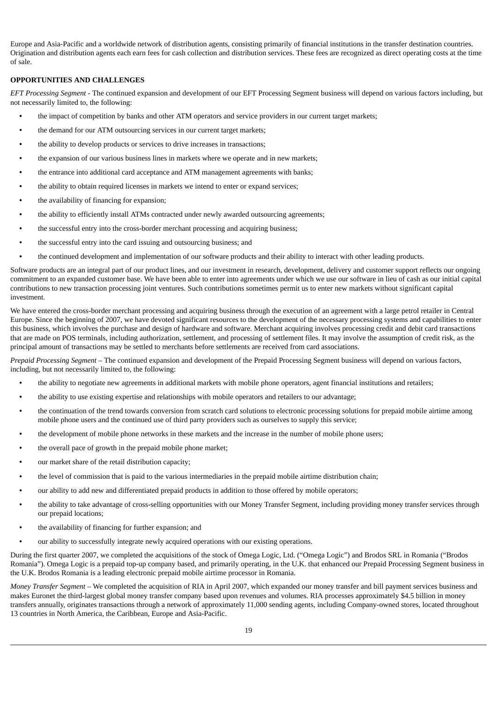Europe and Asia-Pacific and a worldwide network of distribution agents, consisting primarily of financial institutions in the transfer destination countries. Origination and distribution agents each earn fees for cash collection and distribution services. These fees are recognized as direct operating costs at the time of sale.

# **OPPORTUNITIES AND CHALLENGES**

*EFT Processing Segment* - The continued expansion and development of our EFT Processing Segment business will depend on various factors including, but not necessarily limited to, the following:

- **•** the impact of competition by banks and other ATM operators and service providers in our current target markets;
- **•** the demand for our ATM outsourcing services in our current target markets;
- **•** the ability to develop products or services to drive increases in transactions;
- **•** the expansion of our various business lines in markets where we operate and in new markets;
- **•** the entrance into additional card acceptance and ATM management agreements with banks;
- **•** the ability to obtain required licenses in markets we intend to enter or expand services;
- **•** the availability of financing for expansion;
- **•** the ability to efficiently install ATMs contracted under newly awarded outsourcing agreements;
- **•** the successful entry into the cross-border merchant processing and acquiring business;
- **•** the successful entry into the card issuing and outsourcing business; and
- **•** the continued development and implementation of our software products and their ability to interact with other leading products.

Software products are an integral part of our product lines, and our investment in research, development, delivery and customer support reflects our ongoing commitment to an expanded customer base. We have been able to enter into agreements under which we use our software in lieu of cash as our initial capital contributions to new transaction processing joint ventures. Such contributions sometimes permit us to enter new markets without significant capital investment.

We have entered the cross-border merchant processing and acquiring business through the execution of an agreement with a large petrol retailer in Central Europe. Since the beginning of 2007, we have devoted significant resources to the development of the necessary processing systems and capabilities to enter this business, which involves the purchase and design of hardware and software. Merchant acquiring involves processing credit and debit card transactions that are made on POS terminals, including authorization, settlement, and processing of settlement files. It may involve the assumption of credit risk, as the principal amount of transactions may be settled to merchants before settlements are received from card associations.

*Prepaid Processing Segment* – The continued expansion and development of the Prepaid Processing Segment business will depend on various factors, including, but not necessarily limited to, the following:

- **•** the ability to negotiate new agreements in additional markets with mobile phone operators, agent financial institutions and retailers;
- **•** the ability to use existing expertise and relationships with mobile operators and retailers to our advantage;
- **•** the continuation of the trend towards conversion from scratch card solutions to electronic processing solutions for prepaid mobile airtime among mobile phone users and the continued use of third party providers such as ourselves to supply this service;
- **•** the development of mobile phone networks in these markets and the increase in the number of mobile phone users;
- **•** the overall pace of growth in the prepaid mobile phone market;
- **•** our market share of the retail distribution capacity;
- **•** the level of commission that is paid to the various intermediaries in the prepaid mobile airtime distribution chain;
- **•** our ability to add new and differentiated prepaid products in addition to those offered by mobile operators;
- **•** the ability to take advantage of cross-selling opportunities with our Money Transfer Segment, including providing money transfer services through our prepaid locations;
- **•** the availability of financing for further expansion; and
- **•** our ability to successfully integrate newly acquired operations with our existing operations.

During the first quarter 2007, we completed the acquisitions of the stock of Omega Logic, Ltd. ("Omega Logic") and Brodos SRL in Romania ("Brodos Romania"). Omega Logic is a prepaid top-up company based, and primarily operating, in the U.K. that enhanced our Prepaid Processing Segment business in the U.K. Brodos Romania is a leading electronic prepaid mobile airtime processor in Romania.

*Money Transfer Segment –* We completed the acquisition of RIA in April 2007, which expanded our money transfer and bill payment services business and makes Euronet the third-largest global money transfer company based upon revenues and volumes. RIA processes approximately \$4.5 billion in money transfers annually, originates transactions through a network of approximately 11,000 sending agents, including Company-owned stores, located throughout 13 countries in North America, the Caribbean, Europe and Asia-Pacific.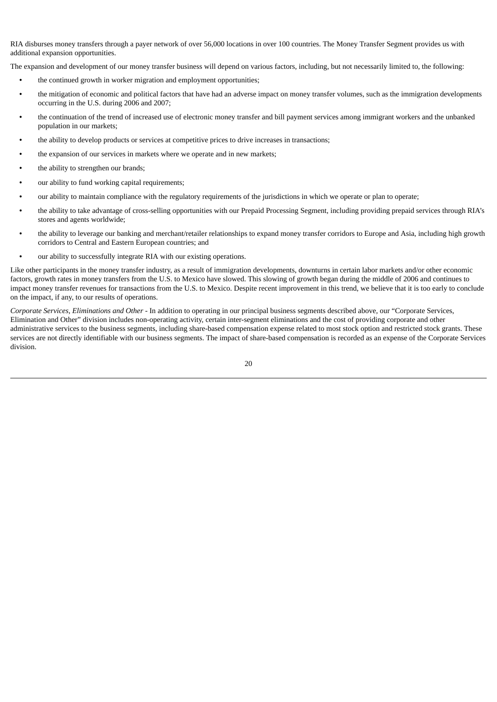RIA disburses money transfers through a payer network of over 56,000 locations in over 100 countries. The Money Transfer Segment provides us with additional expansion opportunities.

The expansion and development of our money transfer business will depend on various factors, including, but not necessarily limited to, the following:

- **•** the continued growth in worker migration and employment opportunities;
- **•** the mitigation of economic and political factors that have had an adverse impact on money transfer volumes, such as the immigration developments occurring in the U.S. during 2006 and 2007;
- **•** the continuation of the trend of increased use of electronic money transfer and bill payment services among immigrant workers and the unbanked population in our markets;
- **•** the ability to develop products or services at competitive prices to drive increases in transactions;
- **•** the expansion of our services in markets where we operate and in new markets;
- **•** the ability to strengthen our brands;
- **•** our ability to fund working capital requirements;
- our ability to maintain compliance with the regulatory requirements of the jurisdictions in which we operate or plan to operate;
- **•** the ability to take advantage of cross-selling opportunities with our Prepaid Processing Segment, including providing prepaid services through RIA's stores and agents worldwide;
- **•** the ability to leverage our banking and merchant/retailer relationships to expand money transfer corridors to Europe and Asia, including high growth corridors to Central and Eastern European countries; and
- **•** our ability to successfully integrate RIA with our existing operations.

Like other participants in the money transfer industry, as a result of immigration developments, downturns in certain labor markets and/or other economic factors, growth rates in money transfers from the U.S. to Mexico have slowed. This slowing of growth began during the middle of 2006 and continues to impact money transfer revenues for transactions from the U.S. to Mexico. Despite recent improvement in this trend, we believe that it is too early to conclude on the impact, if any, to our results of operations.

*Corporate Services, Eliminations and Other* - In addition to operating in our principal business segments described above, our "Corporate Services, Elimination and Other" division includes non-operating activity, certain inter-segment eliminations and the cost of providing corporate and other administrative services to the business segments, including share-based compensation expense related to most stock option and restricted stock grants. These services are not directly identifiable with our business segments. The impact of share-based compensation is recorded as an expense of the Corporate Services division.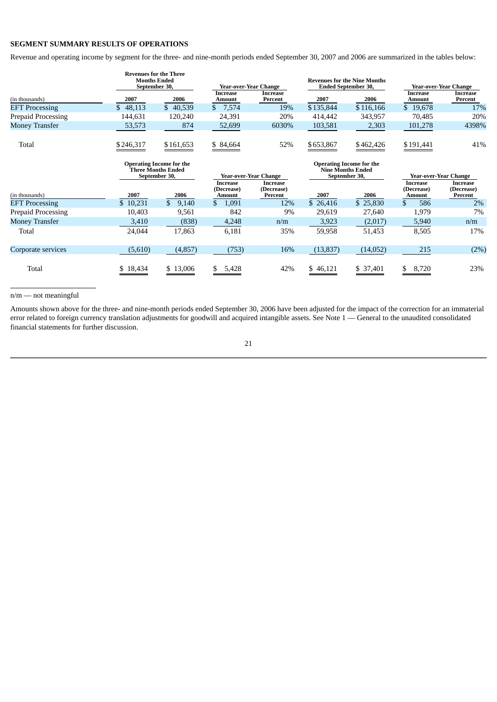# **SEGMENT SUMMARY RESULTS OF OPERATIONS**

Revenue and operating income by segment for the three- and nine-month periods ended September 30, 2007 and 2006 are summarized in the tables below:

|                           |                                                                                               | <b>Revenues for the Three</b><br><b>Months Ended</b><br>September 30, |                                                                                                                     | Year-over-Year Change      |                                                                                              | <b>Revenues for the Nine Months</b><br><b>Ended September 30,</b> |                                                                                                                     | <b>Year-over-Year Change</b> |  |
|---------------------------|-----------------------------------------------------------------------------------------------|-----------------------------------------------------------------------|---------------------------------------------------------------------------------------------------------------------|----------------------------|----------------------------------------------------------------------------------------------|-------------------------------------------------------------------|---------------------------------------------------------------------------------------------------------------------|------------------------------|--|
| (in thousands)            | 2007                                                                                          | 2006                                                                  | <b>Increase</b><br><b>Amount</b>                                                                                    | <b>Increase</b><br>Percent | 2007                                                                                         | 2006                                                              | <b>Increase</b><br>Amount                                                                                           | <b>Increase</b><br>Percent   |  |
| <b>EFT Processing</b>     | \$<br>48,113                                                                                  | \$40,539                                                              | 7,574<br>\$.                                                                                                        | 19%                        | \$135,844                                                                                    | \$116,166                                                         | \$19,678                                                                                                            | 17%                          |  |
| <b>Prepaid Processing</b> | 144,631                                                                                       | 120,240                                                               | 24,391                                                                                                              | 20%                        | 414,442                                                                                      | 343,957                                                           | 70,485                                                                                                              | 20%                          |  |
| <b>Money Transfer</b>     | 53,573                                                                                        | 874                                                                   | 52,699                                                                                                              | 6030%                      | 103,581                                                                                      | 2,303                                                             | 101,278                                                                                                             | 4398%                        |  |
| Total                     | \$246,317                                                                                     | \$161,653                                                             | \$84,664                                                                                                            | 52%                        | \$653,867                                                                                    | \$462,426                                                         | \$191,441                                                                                                           | 41%                          |  |
| (in thousands)            | <b>Operating Income for the</b><br><b>Three Months Ended</b><br>September 30,<br>2007<br>2006 |                                                                       | <b>Year-over-Year Change</b><br><b>Increase</b><br><b>Increase</b><br>(Decrease)<br>(Decrease)<br>Percent<br>Amount |                            | <b>Operating Income for the</b><br><b>Nine Months Ended</b><br>September 30,<br>2007<br>2006 |                                                                   | Year-over-Year Change<br><b>Increase</b><br><b>Increase</b><br>(Decrease)<br>(Decrease)<br>Percent<br><b>Amount</b> |                              |  |
| <b>EFT</b> Processing     | \$10,231                                                                                      | \$<br>9,140                                                           | \$<br>1,091                                                                                                         | 12%                        | \$26,416                                                                                     | \$25,830                                                          | 586<br>\$                                                                                                           | 2%                           |  |
| <b>Prepaid Processing</b> | 10,403                                                                                        | 9,561                                                                 | 842                                                                                                                 | 9%                         | 29,619                                                                                       | 27,640                                                            | 1,979                                                                                                               | 7%                           |  |
| <b>Money Transfer</b>     | 3,410                                                                                         | (838)                                                                 | 4,248                                                                                                               | n/m                        | 3,923                                                                                        | (2,017)                                                           | 5,940                                                                                                               | n/m                          |  |
| Total                     | 24,044                                                                                        | 17,863                                                                | 6,181                                                                                                               | 35%                        | 59,958                                                                                       | 51,453                                                            | 8,505                                                                                                               | 17%                          |  |
| Corporate services        | (5,610)                                                                                       | (4, 857)                                                              | (753)                                                                                                               | 16%                        | (13, 837)                                                                                    | (14,052)                                                          | 215                                                                                                                 | (2%)                         |  |
| Total                     | \$18,434                                                                                      | \$13,006                                                              | 5,428                                                                                                               | 42%                        | \$46,121                                                                                     | \$ 37,401                                                         | 8,720                                                                                                               | 23%                          |  |

n/m — not meaningful

Amounts shown above for the three- and nine-month periods ended September 30, 2006 have been adjusted for the impact of the correction for an immaterial error related to foreign currency translation adjustments for goodwill and acquired intangible assets. See Note 1 — General to the unaudited consolidated financial statements for further discussion.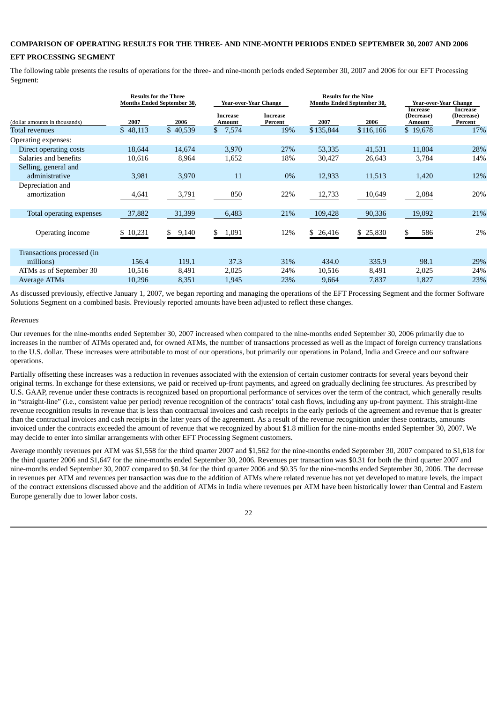# **COMPARISON OF OPERATING RESULTS FOR THE THREE- AND NINE-MONTH PERIODS ENDED SEPTEMBER 30, 2007 AND 2006**

# **EFT PROCESSING SEGMENT**

The following table presents the results of operations for the three- and nine-month periods ended September 30, 2007 and 2006 for our EFT Processing Segment:

|                                        |               | <b>Results for the Three</b>              |                                                           |                            | <b>Results for the Nine</b><br><b>Months Ended September 30,</b> |           | <b>Year-over-Year Change</b>            |                                   |
|----------------------------------------|---------------|-------------------------------------------|-----------------------------------------------------------|----------------------------|------------------------------------------------------------------|-----------|-----------------------------------------|-----------------------------------|
| (dollar amounts in thousands)          | 2007          | <b>Months Ended September 30,</b><br>2006 | <b>Year-over-Year Change</b><br><b>Increase</b><br>Amount | <b>Increase</b><br>Percent | 2007                                                             | 2006      | <b>Increase</b><br>(Decrease)<br>Amount | Increase<br>(Decrease)<br>Percent |
| Total revenues                         | 48,113<br>\$. | \$40,539                                  | $\mathbb{S}$<br>7,574                                     | 19%                        | \$135,844                                                        | \$116,166 | \$19,678                                | 17%                               |
| Operating expenses:                    |               |                                           |                                                           |                            |                                                                  |           |                                         |                                   |
| Direct operating costs                 | 18,644        | 14,674                                    | 3,970                                                     | 27%                        | 53,335                                                           | 41,531    | 11,804                                  | 28%                               |
| Salaries and benefits                  | 10,616        | 8,964                                     | 1,652                                                     | 18%                        | 30,427                                                           | 26,643    | 3,784                                   | 14%                               |
| Selling, general and<br>administrative | 3,981         | 3,970                                     | 11                                                        | $0\%$                      | 12,933                                                           | 11,513    | 1,420                                   | 12%                               |
| Depreciation and<br>amortization       | 4,641         | 3,791                                     | 850                                                       | 22%                        | 12,733                                                           | 10,649    | 2,084                                   | 20%                               |
| Total operating expenses               | 37,882        | 31,399                                    | 6,483                                                     | 21%                        | 109,428                                                          | 90,336    | 19,092                                  | 21%                               |
| Operating income                       | \$10,231      | 9,140<br>\$                               | 1,091<br>\$                                               | 12%                        | \$26,416                                                         | \$25,830  | 586<br>\$.                              | 2%                                |
| Transactions processed (in             |               |                                           |                                                           |                            |                                                                  |           |                                         |                                   |
| millions)                              | 156.4         | 119.1                                     | 37.3                                                      | 31%                        | 434.0                                                            | 335.9     | 98.1                                    | 29%                               |
| ATMs as of September 30                | 10,516        | 8,491                                     | 2,025                                                     | 24%                        | 10,516                                                           | 8,491     | 2,025                                   | 24%                               |
| Average ATMs                           | 10,296        | 8,351                                     | 1,945                                                     | 23%                        | 9,664                                                            | 7,837     | 1,827                                   | 23%                               |

As discussed previously, effective January 1, 2007, we began reporting and managing the operations of the EFT Processing Segment and the former Software Solutions Segment on a combined basis. Previously reported amounts have been adjusted to reflect these changes.

#### *Revenues*

Our revenues for the nine-months ended September 30, 2007 increased when compared to the nine-months ended September 30, 2006 primarily due to increases in the number of ATMs operated and, for owned ATMs, the number of transactions processed as well as the impact of foreign currency translations to the U.S. dollar. These increases were attributable to most of our operations, but primarily our operations in Poland, India and Greece and our software operations.

Partially offsetting these increases was a reduction in revenues associated with the extension of certain customer contracts for several years beyond their original terms. In exchange for these extensions, we paid or received up-front payments, and agreed on gradually declining fee structures. As prescribed by U.S. GAAP, revenue under these contracts is recognized based on proportional performance of services over the term of the contract, which generally results in "straight-line" (i.e., consistent value per period) revenue recognition of the contracts' total cash flows, including any up-front payment. This straight-line revenue recognition results in revenue that is less than contractual invoices and cash receipts in the early periods of the agreement and revenue that is greater than the contractual invoices and cash receipts in the later years of the agreement. As a result of the revenue recognition under these contracts, amounts invoiced under the contracts exceeded the amount of revenue that we recognized by about \$1.8 million for the nine-months ended September 30, 2007. We may decide to enter into similar arrangements with other EFT Processing Segment customers.

Average monthly revenues per ATM was \$1,558 for the third quarter 2007 and \$1,562 for the nine-months ended September 30, 2007 compared to \$1,618 for the third quarter 2006 and \$1,647 for the nine-months ended September 30, 2006. Revenues per transaction was \$0.31 for both the third quarter 2007 and nine-months ended September 30, 2007 compared to \$0.34 for the third quarter 2006 and \$0.35 for the nine-months ended September 30, 2006. The decrease in revenues per ATM and revenues per transaction was due to the addition of ATMs where related revenue has not yet developed to mature levels, the impact of the contract extensions discussed above and the addition of ATMs in India where revenues per ATM have been historically lower than Central and Eastern Europe generally due to lower labor costs.

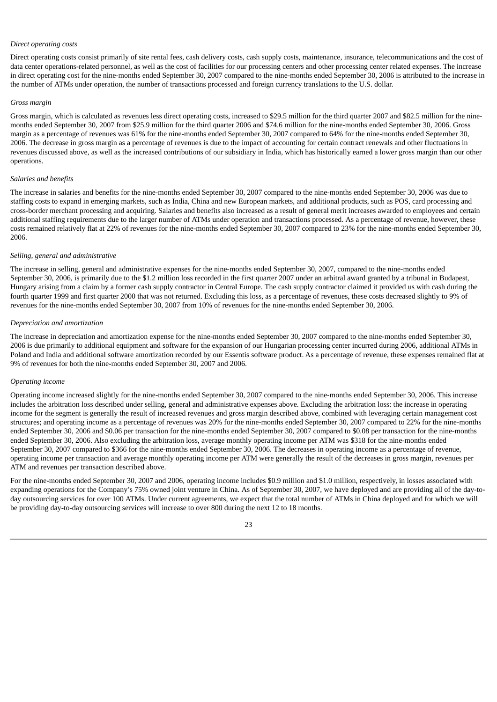#### *Direct operating costs*

Direct operating costs consist primarily of site rental fees, cash delivery costs, cash supply costs, maintenance, insurance, telecommunications and the cost of data center operations-related personnel, as well as the cost of facilities for our processing centers and other processing center related expenses. The increase in direct operating cost for the nine-months ended September 30, 2007 compared to the nine-months ended September 30, 2006 is attributed to the increase in the number of ATMs under operation, the number of transactions processed and foreign currency translations to the U.S. dollar.

#### *Gross margin*

Gross margin, which is calculated as revenues less direct operating costs, increased to \$29.5 million for the third quarter 2007 and \$82.5 million for the ninemonths ended September 30, 2007 from \$25.9 million for the third quarter 2006 and \$74.6 million for the nine-months ended September 30, 2006. Gross margin as a percentage of revenues was 61% for the nine-months ended September 30, 2007 compared to 64% for the nine-months ended September 30, 2006. The decrease in gross margin as a percentage of revenues is due to the impact of accounting for certain contract renewals and other fluctuations in revenues discussed above, as well as the increased contributions of our subsidiary in India, which has historically earned a lower gross margin than our other operations.

#### *Salaries and benefits*

The increase in salaries and benefits for the nine-months ended September 30, 2007 compared to the nine-months ended September 30, 2006 was due to staffing costs to expand in emerging markets, such as India, China and new European markets, and additional products, such as POS, card processing and cross-border merchant processing and acquiring. Salaries and benefits also increased as a result of general merit increases awarded to employees and certain additional staffing requirements due to the larger number of ATMs under operation and transactions processed. As a percentage of revenue, however, these costs remained relatively flat at 22% of revenues for the nine-months ended September 30, 2007 compared to 23% for the nine-months ended September 30, 2006.

#### *Selling, general and administrative*

The increase in selling, general and administrative expenses for the nine-months ended September 30, 2007, compared to the nine-months ended September 30, 2006, is primarily due to the \$1.2 million loss recorded in the first quarter 2007 under an arbitral award granted by a tribunal in Budapest, Hungary arising from a claim by a former cash supply contractor in Central Europe. The cash supply contractor claimed it provided us with cash during the fourth quarter 1999 and first quarter 2000 that was not returned. Excluding this loss, as a percentage of revenues, these costs decreased slightly to 9% of revenues for the nine-months ended September 30, 2007 from 10% of revenues for the nine-months ended September 30, 2006.

#### *Depreciation and amortization*

The increase in depreciation and amortization expense for the nine-months ended September 30, 2007 compared to the nine-months ended September 30, 2006 is due primarily to additional equipment and software for the expansion of our Hungarian processing center incurred during 2006, additional ATMs in Poland and India and additional software amortization recorded by our Essentis software product. As a percentage of revenue, these expenses remained flat at 9% of revenues for both the nine-months ended September 30, 2007 and 2006.

## *Operating income*

Operating income increased slightly for the nine-months ended September 30, 2007 compared to the nine-months ended September 30, 2006. This increase includes the arbitration loss described under selling, general and administrative expenses above. Excluding the arbitration loss: the increase in operating income for the segment is generally the result of increased revenues and gross margin described above, combined with leveraging certain management cost structures; and operating income as a percentage of revenues was 20% for the nine-months ended September 30, 2007 compared to 22% for the nine-months ended September 30, 2006 and \$0.06 per transaction for the nine-months ended September 30, 2007 compared to \$0.08 per transaction for the nine-months ended September 30, 2006. Also excluding the arbitration loss, average monthly operating income per ATM was \$318 for the nine-months ended September 30, 2007 compared to \$366 for the nine-months ended September 30, 2006. The decreases in operating income as a percentage of revenue, operating income per transaction and average monthly operating income per ATM were generally the result of the decreases in gross margin, revenues per ATM and revenues per transaction described above.

For the nine-months ended September 30, 2007 and 2006, operating income includes \$0.9 million and \$1.0 million, respectively, in losses associated with expanding operations for the Company's 75% owned joint venture in China. As of September 30, 2007, we have deployed and are providing all of the day-today outsourcing services for over 100 ATMs. Under current agreements, we expect that the total number of ATMs in China deployed and for which we will be providing day-to-day outsourcing services will increase to over 800 during the next 12 to 18 months.

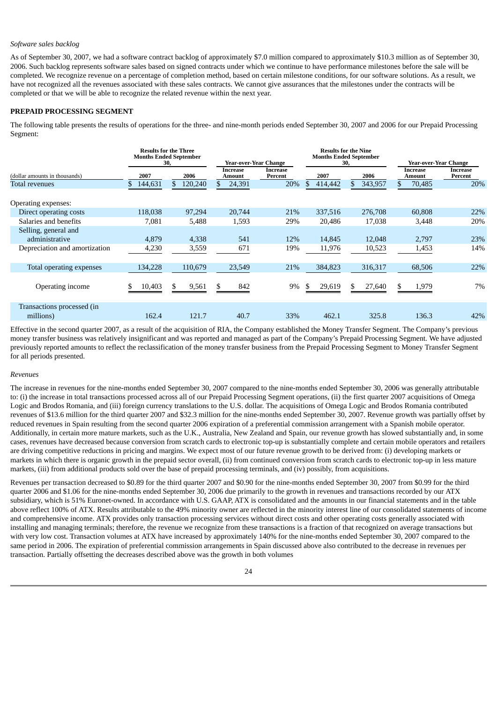## *Software sales backlog*

As of September 30, 2007, we had a software contract backlog of approximately \$7.0 million compared to approximately \$10.3 million as of September 30, 2006. Such backlog represents software sales based on signed contracts under which we continue to have performance milestones before the sale will be completed. We recognize revenue on a percentage of completion method, based on certain milestone conditions, for our software solutions. As a result, we have not recognized all the revenues associated with these sales contracts. We cannot give assurances that the milestones under the contracts will be completed or that we will be able to recognize the related revenue within the next year.

## **PREPAID PROCESSING SEGMENT**

The following table presents the results of operations for the three- and nine-month periods ended September 30, 2007 and 2006 for our Prepaid Processing Segment:

|                                         | <b>Results for the Three</b><br><b>Months Ended September</b><br>30, |               |                           | Year-over-Year Change      |               | <b>Results for the Nine</b><br><b>Months Ended September</b><br>30, | Year-over-Year Change     |                            |
|-----------------------------------------|----------------------------------------------------------------------|---------------|---------------------------|----------------------------|---------------|---------------------------------------------------------------------|---------------------------|----------------------------|
| (dollar amounts in thousands)           | 2007                                                                 | 2006          | <b>Increase</b><br>Amount | <b>Increase</b><br>Percent | 2007          | 2006                                                                | <b>Increase</b><br>Amount | <b>Increase</b><br>Percent |
| Total revenues                          | 144,631<br>S.                                                        | \$<br>120,240 | 24,391                    | 20%                        | \$<br>414,442 | \$<br>343,957                                                       | 70,485<br>\$.             | 20%                        |
| Operating expenses:                     |                                                                      |               |                           |                            |               |                                                                     |                           |                            |
| Direct operating costs                  | 118,038                                                              | 97,294        | 20,744                    | 21%                        | 337,516       | 276,708                                                             | 60,808                    | 22%                        |
| Salaries and benefits                   | 7,081                                                                | 5,488         | 1,593                     | 29%                        | 20,486        | 17,038                                                              | 3,448                     | 20%                        |
| Selling, general and<br>administrative  | 4,879                                                                | 4,338         | 541                       | 12%                        | 14,845        | 12,048                                                              | 2,797                     | 23%                        |
| Depreciation and amortization           | 4,230                                                                | 3,559         | 671                       | 19%                        | 11,976        | 10,523                                                              | 1,453                     | 14%                        |
| Total operating expenses                | 134,228                                                              | 110,679       | 23,549                    | 21%                        | 384,823       | 316,317                                                             | 68,506                    | 22%                        |
| Operating income                        | 10,403                                                               | 9,561<br>\$.  | 842<br>\$.                | 9%                         | \$.<br>29,619 | 27,640                                                              | 1,979                     | 7%                         |
| Transactions processed (in<br>millions) | 162.4                                                                | 121.7         | 40.7                      | 33%                        | 462.1         | 325.8                                                               | 136.3                     | 42%                        |

Effective in the second quarter 2007, as a result of the acquisition of RIA, the Company established the Money Transfer Segment. The Company's previous money transfer business was relatively insignificant and was reported and managed as part of the Company's Prepaid Processing Segment. We have adjusted previously reported amounts to reflect the reclassification of the money transfer business from the Prepaid Processing Segment to Money Transfer Segment for all periods presented.

#### *Revenues*

The increase in revenues for the nine-months ended September 30, 2007 compared to the nine-months ended September 30, 2006 was generally attributable to: (i) the increase in total transactions processed across all of our Prepaid Processing Segment operations, (ii) the first quarter 2007 acquisitions of Omega Logic and Brodos Romania, and (iii) foreign currency translations to the U.S. dollar. The acquisitions of Omega Logic and Brodos Romania contributed revenues of \$13.6 million for the third quarter 2007 and \$32.3 million for the nine-months ended September 30, 2007. Revenue growth was partially offset by reduced revenues in Spain resulting from the second quarter 2006 expiration of a preferential commission arrangement with a Spanish mobile operator. Additionally, in certain more mature markets, such as the U.K., Australia, New Zealand and Spain, our revenue growth has slowed substantially and, in some cases, revenues have decreased because conversion from scratch cards to electronic top-up is substantially complete and certain mobile operators and retailers are driving competitive reductions in pricing and margins. We expect most of our future revenue growth to be derived from: (i) developing markets or markets in which there is organic growth in the prepaid sector overall, (ii) from continued conversion from scratch cards to electronic top-up in less mature markets, (iii) from additional products sold over the base of prepaid processing terminals, and (iv) possibly, from acquisitions.

Revenues per transaction decreased to \$0.89 for the third quarter 2007 and \$0.90 for the nine-months ended September 30, 2007 from \$0.99 for the third quarter 2006 and \$1.06 for the nine-months ended September 30, 2006 due primarily to the growth in revenues and transactions recorded by our ATX subsidiary, which is 51% Euronet-owned. In accordance with U.S. GAAP, ATX is consolidated and the amounts in our financial statements and in the table above reflect 100% of ATX. Results attributable to the 49% minority owner are reflected in the minority interest line of our consolidated statements of income and comprehensive income. ATX provides only transaction processing services without direct costs and other operating costs generally associated with installing and managing terminals; therefore, the revenue we recognize from these transactions is a fraction of that recognized on average transactions but with very low cost. Transaction volumes at ATX have increased by approximately 140% for the nine-months ended September 30, 2007 compared to the same period in 2006. The expiration of preferential commission arrangements in Spain discussed above also contributed to the decrease in revenues per transaction. Partially offsetting the decreases described above was the growth in both volumes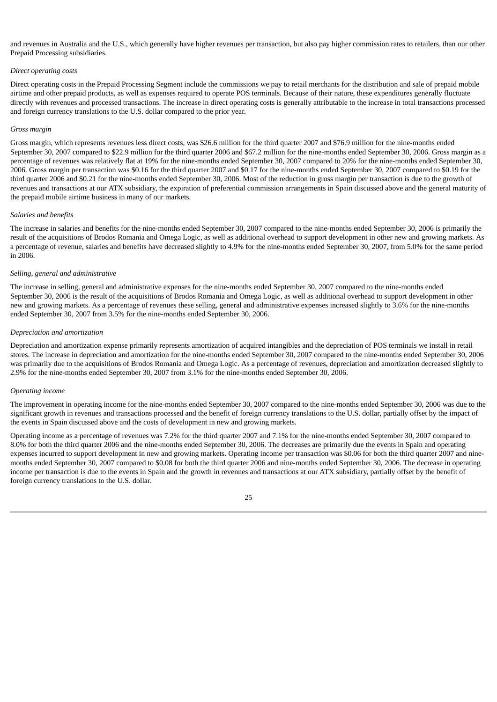and revenues in Australia and the U.S., which generally have higher revenues per transaction, but also pay higher commission rates to retailers, than our other Prepaid Processing subsidiaries.

#### *Direct operating costs*

Direct operating costs in the Prepaid Processing Segment include the commissions we pay to retail merchants for the distribution and sale of prepaid mobile airtime and other prepaid products, as well as expenses required to operate POS terminals. Because of their nature, these expenditures generally fluctuate directly with revenues and processed transactions. The increase in direct operating costs is generally attributable to the increase in total transactions processed and foreign currency translations to the U.S. dollar compared to the prior year.

#### *Gross margin*

Gross margin, which represents revenues less direct costs, was \$26.6 million for the third quarter 2007 and \$76.9 million for the nine-months ended September 30, 2007 compared to \$22.9 million for the third quarter 2006 and \$67.2 million for the nine-months ended September 30, 2006. Gross margin as a percentage of revenues was relatively flat at 19% for the nine-months ended September 30, 2007 compared to 20% for the nine-months ended September 30, 2006. Gross margin per transaction was \$0.16 for the third quarter 2007 and \$0.17 for the nine-months ended September 30, 2007 compared to \$0.19 for the third quarter 2006 and \$0.21 for the nine-months ended September 30, 2006. Most of the reduction in gross margin per transaction is due to the growth of revenues and transactions at our ATX subsidiary, the expiration of preferential commission arrangements in Spain discussed above and the general maturity of the prepaid mobile airtime business in many of our markets.

#### *Salaries and benefits*

The increase in salaries and benefits for the nine-months ended September 30, 2007 compared to the nine-months ended September 30, 2006 is primarily the result of the acquisitions of Brodos Romania and Omega Logic, as well as additional overhead to support development in other new and growing markets. As a percentage of revenue, salaries and benefits have decreased slightly to 4.9% for the nine-months ended September 30, 2007, from 5.0% for the same period in 2006.

#### *Selling, general and administrative*

The increase in selling, general and administrative expenses for the nine-months ended September 30, 2007 compared to the nine-months ended September 30, 2006 is the result of the acquisitions of Brodos Romania and Omega Logic, as well as additional overhead to support development in other new and growing markets. As a percentage of revenues these selling, general and administrative expenses increased slightly to 3.6% for the nine-months ended September 30, 2007 from 3.5% for the nine-months ended September 30, 2006.

#### *Depreciation and amortization*

Depreciation and amortization expense primarily represents amortization of acquired intangibles and the depreciation of POS terminals we install in retail stores. The increase in depreciation and amortization for the nine-months ended September 30, 2007 compared to the nine-months ended September 30, 2006 was primarily due to the acquisitions of Brodos Romania and Omega Logic. As a percentage of revenues, depreciation and amortization decreased slightly to 2.9% for the nine-months ended September 30, 2007 from 3.1% for the nine-months ended September 30, 2006.

#### *Operating income*

The improvement in operating income for the nine-months ended September 30, 2007 compared to the nine-months ended September 30, 2006 was due to the significant growth in revenues and transactions processed and the benefit of foreign currency translations to the U.S. dollar, partially offset by the impact of the events in Spain discussed above and the costs of development in new and growing markets.

Operating income as a percentage of revenues was 7.2% for the third quarter 2007 and 7.1% for the nine-months ended September 30, 2007 compared to 8.0% for both the third quarter 2006 and the nine-months ended September 30, 2006. The decreases are primarily due the events in Spain and operating expenses incurred to support development in new and growing markets. Operating income per transaction was \$0.06 for both the third quarter 2007 and ninemonths ended September 30, 2007 compared to \$0.08 for both the third quarter 2006 and nine-months ended September 30, 2006. The decrease in operating income per transaction is due to the events in Spain and the growth in revenues and transactions at our ATX subsidiary, partially offset by the benefit of foreign currency translations to the U.S. dollar.

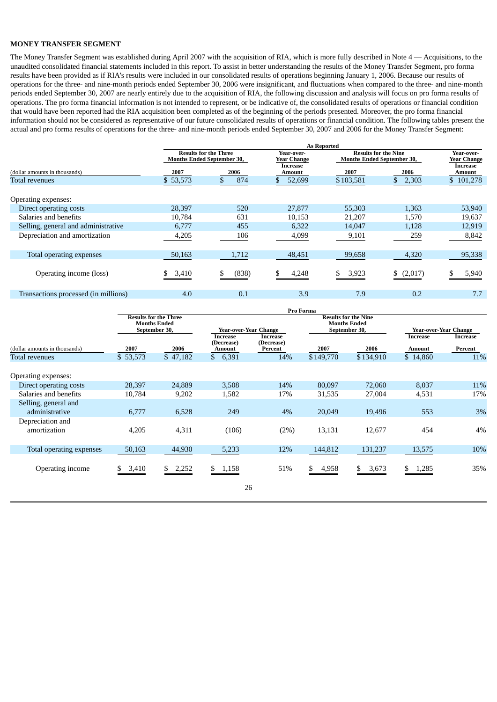# **MONEY TRANSFER SEGMENT**

The Money Transfer Segment was established during April 2007 with the acquisition of RIA, which is more fully described in Note 4 — Acquisitions, to the unaudited consolidated financial statements included in this report. To assist in better understanding the results of the Money Transfer Segment, pro forma results have been provided as if RIA's results were included in our consolidated results of operations beginning January 1, 2006. Because our results of operations for the three- and nine-month periods ended September 30, 2006 were insignificant, and fluctuations when compared to the three- and nine-month periods ended September 30, 2007 are nearly entirely due to the acquisition of RIA, the following discussion and analysis will focus on pro forma results of operations. The pro forma financial information is not intended to represent, or be indicative of, the consolidated results of operations or financial condition that would have been reported had the RIA acquisition been completed as of the beginning of the periods presented. Moreover, the pro forma financial information should not be considered as representative of our future consolidated results of operations or financial condition. The following tables present the actual and pro forma results of operations for the three- and nine-month periods ended September 30, 2007 and 2006 for the Money Transfer Segment:

|                                      | <b>As Reported</b> |                                   |                    |           |                                   |                    |  |  |  |
|--------------------------------------|--------------------|-----------------------------------|--------------------|-----------|-----------------------------------|--------------------|--|--|--|
|                                      |                    | <b>Results for the Three</b>      | Year-over-         |           | <b>Results for the Nine</b>       |                    |  |  |  |
|                                      |                    | <b>Months Ended September 30,</b> | <b>Year Change</b> |           | <b>Months Ended September 30,</b> | <b>Year Change</b> |  |  |  |
| (dollar amounts in thousands)        | 2007               | 2006                              | Increase<br>Amount | 2007      | 2006                              | Increase<br>Amount |  |  |  |
| Total revenues                       | \$53,573           | 874                               | 52,699             | \$103,581 | 2,303                             | 101,278            |  |  |  |
|                                      |                    |                                   |                    |           |                                   |                    |  |  |  |
| Operating expenses:                  |                    |                                   |                    |           |                                   |                    |  |  |  |
| Direct operating costs               | 28,397             | 520                               | 27,877             | 55,303    | 1,363                             | 53,940             |  |  |  |
| Salaries and benefits                | 10,784             | 631                               | 10,153             | 21,207    | 1,570                             | 19,637             |  |  |  |
| Selling, general and administrative  | 6,777              | 455                               | 6,322              | 14,047    | 1,128                             | 12,919             |  |  |  |
| Depreciation and amortization        | 4,205              | 106                               | 4,099              | 9,101     | 259                               | 8,842              |  |  |  |
|                                      |                    |                                   |                    |           |                                   |                    |  |  |  |
| Total operating expenses             | 50,163             | 1,712                             | 48,451             | 99,658    | 4,320                             | 95,338             |  |  |  |
|                                      |                    |                                   |                    |           |                                   |                    |  |  |  |
| Operating income (loss)              | 3,410              |                                   | 4,248              |           |                                   | 5,940              |  |  |  |
|                                      |                    |                                   |                    |           |                                   |                    |  |  |  |
|                                      | 4.0                | 0.1                               | 3.9                | 7.9       | 0.2                               | 7.7                |  |  |  |
| Transactions processed (in millions) |                    | (838)                             |                    | 3,923     | \$(2,017)                         |                    |  |  |  |

|                                        | Pro Forma    |                                                                      |                                  |                                   |           |                                                                     |                           |                       |  |
|----------------------------------------|--------------|----------------------------------------------------------------------|----------------------------------|-----------------------------------|-----------|---------------------------------------------------------------------|---------------------------|-----------------------|--|
|                                        |              | <b>Results for the Three</b><br><b>Months Ended</b><br>September 30, |                                  | Year-over-Year Change             |           | <b>Results for the Nine</b><br><b>Months Ended</b><br>September 30, |                           | Year-over-Year Change |  |
| (dollar amounts in thousands)          | 2007         | 2006                                                                 | Increase<br>(Decrease)<br>Amount | Increase<br>(Decrease)<br>Percent | 2007      | 2006                                                                | <b>Increase</b><br>Amount | Increase<br>Percent   |  |
| Total revenues                         | \$53,573     | \$47,182                                                             | 6,391                            | 14%                               | \$149,770 | \$134,910                                                           | \$14,860                  | 11%                   |  |
| Operating expenses:                    |              |                                                                      |                                  |                                   |           |                                                                     |                           |                       |  |
| Direct operating costs                 | 28,397       | 24,889                                                               | 3,508                            | 14%                               | 80,097    | 72,060                                                              | 8,037                     | 11%                   |  |
| Salaries and benefits                  | 10,784       | 9,202                                                                | 1,582                            | 17%                               | 31,535    | 27,004                                                              | 4,531                     | 17%                   |  |
| Selling, general and<br>administrative | 6,777        | 6,528                                                                | 249                              | $4\%$                             | 20,049    | 19,496                                                              | 553                       | 3%                    |  |
| Depreciation and<br>amortization       | 4,205        | 4,311                                                                | (106)                            | (2%)                              | 13,131    | 12,677                                                              | 454                       | 4%                    |  |
| Total operating expenses               | 50,163       | 44,930                                                               | 5,233                            | 12%                               | 144,812   | 131,237                                                             | 13,575                    | 10%                   |  |
| Operating income                       | 3,410<br>SS. | 2,252<br>$\mathbb{S}$                                                | 1,158                            | 51%                               | 4,958     | \$<br>3,673                                                         | 1,285<br>S.               | 35%                   |  |
|                                        |              |                                                                      | 26                               |                                   |           |                                                                     |                           |                       |  |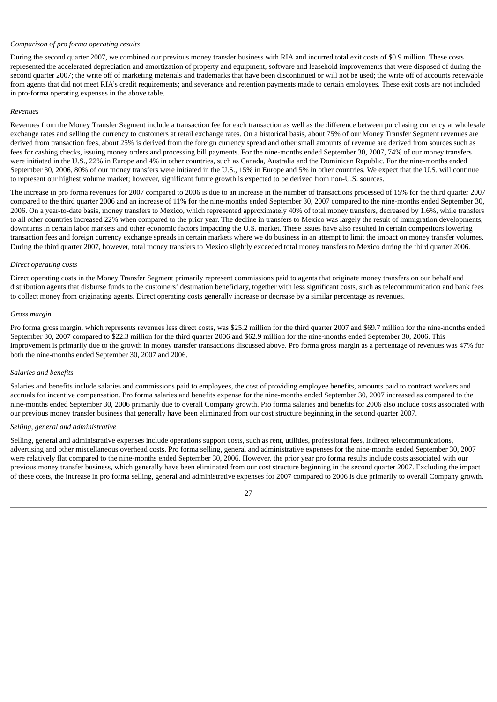# *Comparison of pro forma operating results*

During the second quarter 2007, we combined our previous money transfer business with RIA and incurred total exit costs of \$0.9 million. These costs represented the accelerated depreciation and amortization of property and equipment, software and leasehold improvements that were disposed of during the second quarter 2007; the write off of marketing materials and trademarks that have been discontinued or will not be used; the write off of accounts receivable from agents that did not meet RIA's credit requirements; and severance and retention payments made to certain employees. These exit costs are not included in pro-forma operating expenses in the above table.

#### *Revenues*

Revenues from the Money Transfer Segment include a transaction fee for each transaction as well as the difference between purchasing currency at wholesale exchange rates and selling the currency to customers at retail exchange rates. On a historical basis, about 75% of our Money Transfer Segment revenues are derived from transaction fees, about 25% is derived from the foreign currency spread and other small amounts of revenue are derived from sources such as fees for cashing checks, issuing money orders and processing bill payments. For the nine-months ended September 30, 2007, 74% of our money transfers were initiated in the U.S., 22% in Europe and 4% in other countries, such as Canada, Australia and the Dominican Republic. For the nine-months ended September 30, 2006, 80% of our money transfers were initiated in the U.S., 15% in Europe and 5% in other countries. We expect that the U.S. will continue to represent our highest volume market; however, significant future growth is expected to be derived from non-U.S. sources.

The increase in pro forma revenues for 2007 compared to 2006 is due to an increase in the number of transactions processed of 15% for the third quarter 2007 compared to the third quarter 2006 and an increase of 11% for the nine-months ended September 30, 2007 compared to the nine-months ended September 30, 2006. On a year-to-date basis, money transfers to Mexico, which represented approximately 40% of total money transfers, decreased by 1.6%, while transfers to all other countries increased 22% when compared to the prior year. The decline in transfers to Mexico was largely the result of immigration developments, downturns in certain labor markets and other economic factors impacting the U.S. market. These issues have also resulted in certain competitors lowering transaction fees and foreign currency exchange spreads in certain markets where we do business in an attempt to limit the impact on money transfer volumes. During the third quarter 2007, however, total money transfers to Mexico slightly exceeded total money transfers to Mexico during the third quarter 2006.

#### *Direct operating costs*

Direct operating costs in the Money Transfer Segment primarily represent commissions paid to agents that originate money transfers on our behalf and distribution agents that disburse funds to the customers' destination beneficiary, together with less significant costs, such as telecommunication and bank fees to collect money from originating agents. Direct operating costs generally increase or decrease by a similar percentage as revenues.

#### *Gross margin*

Pro forma gross margin, which represents revenues less direct costs, was \$25.2 million for the third quarter 2007 and \$69.7 million for the nine-months ended September 30, 2007 compared to \$22.3 million for the third quarter 2006 and \$62.9 million for the nine-months ended September 30, 2006. This improvement is primarily due to the growth in money transfer transactions discussed above. Pro forma gross margin as a percentage of revenues was 47% for both the nine-months ended September 30, 2007 and 2006.

# *Salaries and benefits*

Salaries and benefits include salaries and commissions paid to employees, the cost of providing employee benefits, amounts paid to contract workers and accruals for incentive compensation. Pro forma salaries and benefits expense for the nine-months ended September 30, 2007 increased as compared to the nine-months ended September 30, 2006 primarily due to overall Company growth. Pro forma salaries and benefits for 2006 also include costs associated with our previous money transfer business that generally have been eliminated from our cost structure beginning in the second quarter 2007.

#### *Selling, general and administrative*

Selling, general and administrative expenses include operations support costs, such as rent, utilities, professional fees, indirect telecommunications, advertising and other miscellaneous overhead costs. Pro forma selling, general and administrative expenses for the nine-months ended September 30, 2007 were relatively flat compared to the nine-months ended September 30, 2006. However, the prior year pro forma results include costs associated with our previous money transfer business, which generally have been eliminated from our cost structure beginning in the second quarter 2007. Excluding the impact of these costs, the increase in pro forma selling, general and administrative expenses for 2007 compared to 2006 is due primarily to overall Company growth.

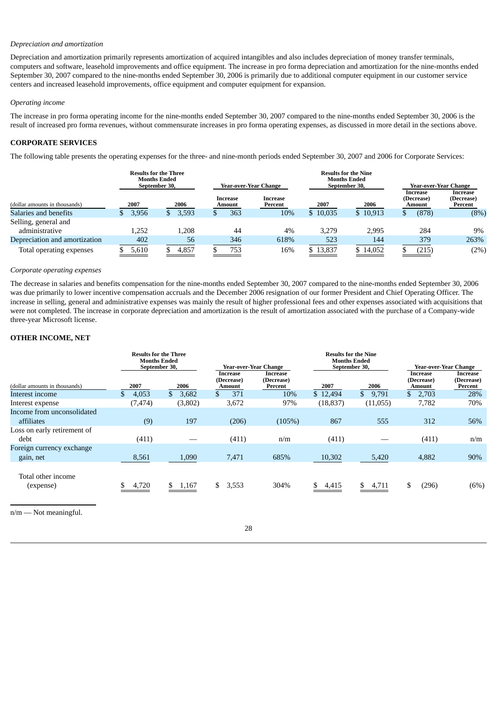# *Depreciation and amortization*

Depreciation and amortization primarily represents amortization of acquired intangibles and also includes depreciation of money transfer terminals, computers and software, leasehold improvements and office equipment. The increase in pro forma depreciation and amortization for the nine-months ended September 30, 2007 compared to the nine-months ended September 30, 2006 is primarily due to additional computer equipment in our customer service centers and increased leasehold improvements, office equipment and computer equipment for expansion.

## *Operating income*

The increase in pro forma operating income for the nine-months ended September 30, 2007 compared to the nine-months ended September 30, 2006 is the result of increased pro forma revenues, without commensurate increases in pro forma operating expenses, as discussed in more detail in the sections above.

# **CORPORATE SERVICES**

The following table presents the operating expenses for the three- and nine-month periods ended September 30, 2007 and 2006 for Corporate Services:

|                                        | <b>Results for the Three</b><br><b>Months Ended</b><br>September 30, |       | <b>Year-over-Year Change</b> |                     | <b>Results for the Nine</b><br><b>Months Ended</b><br>September 30, |          | <b>Year-over-Year Change</b>     |                                   |
|----------------------------------------|----------------------------------------------------------------------|-------|------------------------------|---------------------|---------------------------------------------------------------------|----------|----------------------------------|-----------------------------------|
| (dollar amounts in thousands)          | 2007                                                                 | 2006  | Increase<br>Amount           | Increase<br>Percent | 2007                                                                | 2006     | Increase<br>(Decrease)<br>Amount | Increase<br>(Decrease)<br>Percent |
| Salaries and benefits                  | 3,956                                                                | 3,593 | 363                          | 10%                 | \$10,035                                                            | \$10,913 | (878)                            | (8%)                              |
| Selling, general and<br>administrative | 1.252                                                                | .208  | 44                           | 4%                  | 3.279                                                               | 2.995    | 284                              | $9\%$                             |
| Depreciation and amortization          | 402                                                                  | 56    | 346                          | 618%                | 523                                                                 | 144      | 379                              | 263%                              |
| Total operating expenses               | 5,610                                                                | 4,857 | 753                          | 16%                 | \$13,837                                                            | \$14,052 | (215)                            | (2%)                              |

## *Corporate operating expenses*

The decrease in salaries and benefits compensation for the nine-months ended September 30, 2007 compared to the nine-months ended September 30, 2006 was due primarily to lower incentive compensation accruals and the December 2006 resignation of our former President and Chief Operating Officer. The increase in selling, general and administrative expenses was mainly the result of higher professional fees and other expenses associated with acquisitions that were not completed. The increase in corporate depreciation and amortization is the result of amortization associated with the purchase of a Company-wide three-year Microsoft license.

# **OTHER INCOME, NET**

|                                          |                       | <b>Results for the Three</b><br><b>Months Ended</b><br>September 30,<br><b>Year-over-Year Change</b> |                                  |                                   | <b>Results for the Nine</b><br><b>Months Ended</b><br>September 30, |              | Year-over-Year Change            |                                   |
|------------------------------------------|-----------------------|------------------------------------------------------------------------------------------------------|----------------------------------|-----------------------------------|---------------------------------------------------------------------|--------------|----------------------------------|-----------------------------------|
| (dollar amounts in thousands)            | 2007                  | 2006                                                                                                 | Increase<br>(Decrease)<br>Amount | Increase<br>(Decrease)<br>Percent | 2007                                                                | 2006         | Increase<br>(Decrease)<br>Amount | Increase<br>(Decrease)<br>Percent |
| Interest income                          | $\mathbf{s}$<br>4,053 | 3,682<br>\$.                                                                                         | \$<br>371                        | 10%                               | \$12,494                                                            | \$.<br>9,791 | $\mathbf{s}$<br>2,703            | 28%                               |
| Interest expense                         | (7, 474)              | (3,802)                                                                                              | 3,672                            | 97%                               | (18, 837)                                                           | (11,055)     | 7,782                            | 70%                               |
| Income from unconsolidated<br>affiliates | (9)                   | 197                                                                                                  | (206)                            | (105%)                            | 867                                                                 | 555          | 312                              | 56%                               |
| Loss on early retirement of<br>debt      | (411)                 |                                                                                                      | (411)                            | n/m                               | (411)                                                               |              | (411)                            | n/m                               |
| Foreign currency exchange<br>gain, net   | 8,561                 | 1,090                                                                                                | 7,471                            | 685%                              | 10,302                                                              | 5,420        | 4,882                            | 90%                               |
| Total other income<br>(expense)          | 4,720                 | 1,167<br>S.                                                                                          | 3,553<br>\$                      | 304%                              | \$<br>4,415                                                         | 4,711        | (296)<br>\$                      | (6%)                              |

n/m — Not meaningful.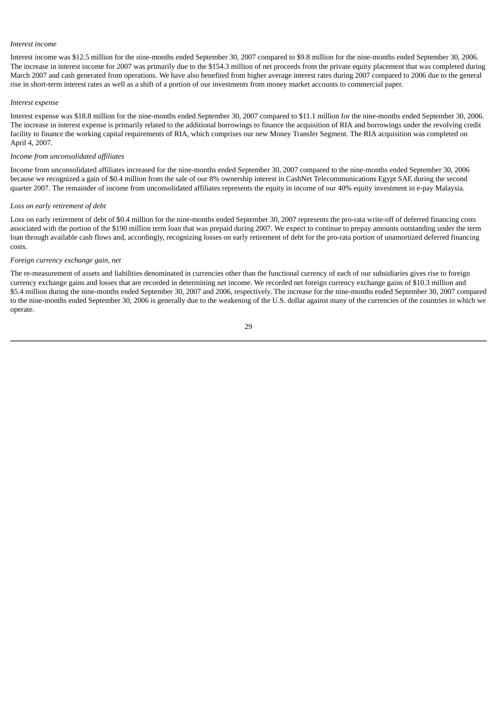#### *Interest income*

Interest income was \$12.5 million for the nine-months ended September 30, 2007 compared to \$9.8 million for the nine-months ended September 30, 2006. The increase in interest income for 2007 was primarily due to the \$154.3 million of net proceeds from the private equity placement that was completed during March 2007 and cash generated from operations. We have also benefited from higher average interest rates during 2007 compared to 2006 due to the general rise in short-term interest rates as well as a shift of a portion of our investments from money market accounts to commercial paper.

#### *Interest expense*

Interest expense was \$18.8 million for the nine-months ended September 30, 2007 compared to \$11.1 million for the nine-months ended September 30, 2006. The increase in interest expense is primarily related to the additional borrowings to finance the acquisition of RIA and borrowings under the revolving credit facility to finance the working capital requirements of RIA, which comprises our new Money Transfer Segment. The RIA acquisition was completed on April 4, 2007.

#### *Income from unconsolidated affiliates*

Income from unconsolidated affiliates increased for the nine-months ended September 30, 2007 compared to the nine-months ended September 30, 2006 because we recognized a gain of \$0.4 million from the sale of our 8% ownership interest in CashNet Telecommunications Egypt SAE during the second quarter 2007. The remainder of income from unconsolidated affiliates represents the equity in income of our 40% equity investment in e-pay Malaysia.

#### *Loss on early retirement of debt*

Loss on early retirement of debt of \$0.4 million for the nine-months ended September 30, 2007 represents the pro-rata write-off of deferred financing costs associated with the portion of the \$190 million term loan that was prepaid during 2007. We expect to continue to prepay amounts outstanding under the term loan through available cash flows and, accordingly, recognizing losses on early retirement of debt for the pro-rata portion of unamortized deferred financing costs.

#### *Foreign currency exchange gain, net*

The re-measurement of assets and liabilities denominated in currencies other than the functional currency of each of our subsidiaries gives rise to foreign currency exchange gains and losses that are recorded in determining net income. We recorded net foreign currency exchange gains of \$10.3 million and \$5.4 million during the nine-months ended September 30, 2007 and 2006, respectively. The increase for the nine-months ended September 30, 2007 compared to the nine-months ended September 30, 2006 is generally due to the weakening of the U.S. dollar against many of the currencies of the countries in which we operate.

29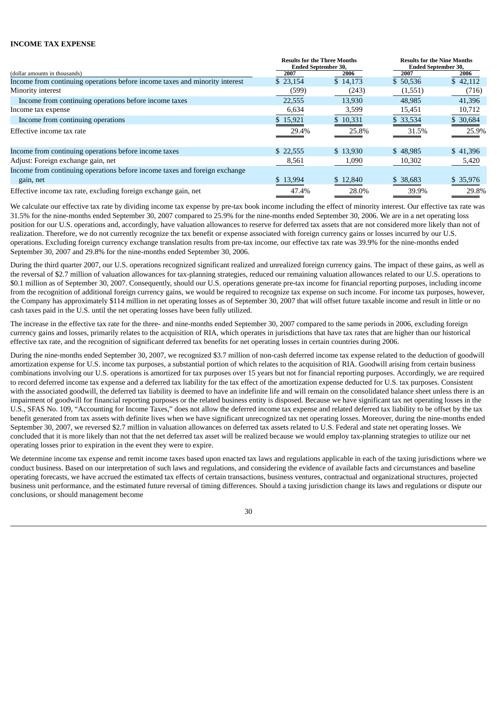#### **INCOME TAX EXPENSE**

|                                                                             | <b>Results for the Three Months</b><br><b>Ended September 30,</b> |          |           | <b>Results for the Nine Months</b><br><b>Ended September 30,</b> |  |
|-----------------------------------------------------------------------------|-------------------------------------------------------------------|----------|-----------|------------------------------------------------------------------|--|
| (dollar amounts in thousands)                                               | 2007                                                              | 2006     | 2007      | 2006                                                             |  |
| Income from continuing operations before income taxes and minority interest | \$23,154                                                          | \$14,173 | \$50,536  | \$42,112                                                         |  |
| Minority interest                                                           | (599)                                                             | (243)    | (1,551)   | (716)                                                            |  |
| Income from continuing operations before income taxes                       | 22,555                                                            | 13,930   | 48,985    | 41,396                                                           |  |
| Income tax expense                                                          | 6,634                                                             | 3,599    | 15,451    | 10,712                                                           |  |
| Income from continuing operations                                           | \$15,921                                                          | \$10,331 | \$ 33,534 | \$ 30,684                                                        |  |
| Effective income tax rate                                                   | 29.4%                                                             | 25.8%    | 31.5%     | 25.9%                                                            |  |
| Income from continuing operations before income taxes                       | \$22,555                                                          | \$13,930 | \$48.985  | \$41,396                                                         |  |
| Adjust: Foreign exchange gain, net                                          | 8,561                                                             | 1,090    | 10,302    | 5,420                                                            |  |
| Income from continuing operations before income taxes and foreign exchange  |                                                                   |          |           |                                                                  |  |
| gain, net                                                                   | \$13,994                                                          | \$12,840 | \$ 38,683 | \$ 35,976                                                        |  |
| Effective income tax rate, excluding foreign exchange gain, net             | 47.4%                                                             | 28.0%    | 39.9%     | 29.8%                                                            |  |

We calculate our effective tax rate by dividing income tax expense by pre-tax book income including the effect of minority interest. Our effective tax rate was 31.5% for the nine-months ended September 30, 2007 compared to 25.9% for the nine-months ended September 30, 2006. We are in a net operating loss position for our U.S. operations and, accordingly, have valuation allowances to reserve for deferred tax assets that are not considered more likely than not of realization. Therefore, we do not currently recognize the tax benefit or expense associated with foreign currency gains or losses incurred by our U.S. operations. Excluding foreign currency exchange translation results from pre-tax income, our effective tax rate was 39.9% for the nine-months ended September 30, 2007 and 29.8% for the nine-months ended September 30, 2006.

During the third quarter 2007, our U.S. operations recognized significant realized and unrealized foreign currency gains. The impact of these gains, as well as the reversal of \$2.7 million of valuation allowances for tax-planning strategies, reduced our remaining valuation allowances related to our U.S. operations to \$0.1 million as of September 30, 2007. Consequently, should our U.S. operations generate pre-tax income for financial reporting purposes, including income from the recognition of additional foreign currency gains, we would be required to recognize tax expense on such income. For income tax purposes, however, the Company has approximately \$114 million in net operating losses as of September 30, 2007 that will offset future taxable income and result in little or no cash taxes paid in the U.S. until the net operating losses have been fully utilized.

The increase in the effective tax rate for the three- and nine-months ended September 30, 2007 compared to the same periods in 2006, excluding foreign currency gains and losses, primarily relates to the acquisition of RIA, which operates in jurisdictions that have tax rates that are higher than our historical effective tax rate, and the recognition of significant deferred tax benefits for net operating losses in certain countries during 2006.

During the nine-months ended September 30, 2007, we recognized \$3.7 million of non-cash deferred income tax expense related to the deduction of goodwill amortization expense for U.S. income tax purposes, a substantial portion of which relates to the acquisition of RIA. Goodwill arising from certain business combinations involving our U.S. operations is amortized for tax purposes over 15 years but not for financial reporting purposes. Accordingly, we are required to record deferred income tax expense and a deferred tax liability for the tax effect of the amortization expense deducted for U.S. tax purposes. Consistent with the associated goodwill, the deferred tax liability is deemed to have an indefinite life and will remain on the consolidated balance sheet unless there is an impairment of goodwill for financial reporting purposes or the related business entity is disposed. Because we have significant tax net operating losses in the U.S., SFAS No. 109, "Accounting for Income Taxes," does not allow the deferred income tax expense and related deferred tax liability to be offset by the tax benefit generated from tax assets with definite lives when we have significant unrecognized tax net operating losses. Moreover, during the nine-months ended September 30, 2007, we reversed \$2.7 million in valuation allowances on deferred tax assets related to U.S. Federal and state net operating losses. We concluded that it is more likely than not that the net deferred tax asset will be realized because we would employ tax-planning strategies to utilize our net operating losses prior to expiration in the event they were to expire.

We determine income tax expense and remit income taxes based upon enacted tax laws and regulations applicable in each of the taxing jurisdictions where we conduct business. Based on our interpretation of such laws and regulations, and considering the evidence of available facts and circumstances and baseline operating forecasts, we have accrued the estimated tax effects of certain transactions, business ventures, contractual and organizational structures, projected business unit performance, and the estimated future reversal of timing differences. Should a taxing jurisdiction change its laws and regulations or dispute our conclusions, or should management become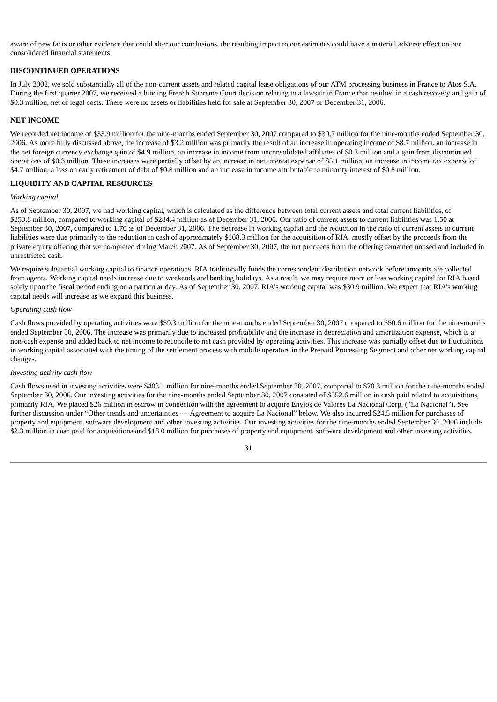aware of new facts or other evidence that could alter our conclusions, the resulting impact to our estimates could have a material adverse effect on our consolidated financial statements.

# **DISCONTINUED OPERATIONS**

In July 2002, we sold substantially all of the non-current assets and related capital lease obligations of our ATM processing business in France to Atos S.A. During the first quarter 2007, we received a binding French Supreme Court decision relating to a lawsuit in France that resulted in a cash recovery and gain of \$0.3 million, net of legal costs. There were no assets or liabilities held for sale at September 30, 2007 or December 31, 2006.

## **NET INCOME**

We recorded net income of \$33.9 million for the nine-months ended September 30, 2007 compared to \$30.7 million for the nine-months ended September 30, 2006. As more fully discussed above, the increase of \$3.2 million was primarily the result of an increase in operating income of \$8.7 million, an increase in the net foreign currency exchange gain of \$4.9 million, an increase in income from unconsolidated affiliates of \$0.3 million and a gain from discontinued operations of \$0.3 million. These increases were partially offset by an increase in net interest expense of \$5.1 million, an increase in income tax expense of \$4.7 million, a loss on early retirement of debt of \$0.8 million and an increase in income attributable to minority interest of \$0.8 million.

#### **LIQUIDITY AND CAPITAL RESOURCES**

# *Working capital*

As of September 30, 2007, we had working capital, which is calculated as the difference between total current assets and total current liabilities, of \$253.8 million, compared to working capital of \$284.4 million as of December 31, 2006. Our ratio of current assets to current liabilities was 1.50 at September 30, 2007, compared to 1.70 as of December 31, 2006. The decrease in working capital and the reduction in the ratio of current assets to current liabilities were due primarily to the reduction in cash of approximately \$168.3 million for the acquisition of RIA, mostly offset by the proceeds from the private equity offering that we completed during March 2007. As of September 30, 2007, the net proceeds from the offering remained unused and included in unrestricted cash.

We require substantial working capital to finance operations. RIA traditionally funds the correspondent distribution network before amounts are collected from agents. Working capital needs increase due to weekends and banking holidays. As a result, we may require more or less working capital for RIA based solely upon the fiscal period ending on a particular day. As of September 30, 2007, RIA's working capital was \$30.9 million. We expect that RIA's working capital needs will increase as we expand this business.

#### *Operating cash flow*

Cash flows provided by operating activities were \$59.3 million for the nine-months ended September 30, 2007 compared to \$50.6 million for the nine-months ended September 30, 2006. The increase was primarily due to increased profitability and the increase in depreciation and amortization expense, which is a non-cash expense and added back to net income to reconcile to net cash provided by operating activities. This increase was partially offset due to fluctuations in working capital associated with the timing of the settlement process with mobile operators in the Prepaid Processing Segment and other net working capital changes.

#### *Investing activity cash flow*

Cash flows used in investing activities were \$403.1 million for nine-months ended September 30, 2007, compared to \$20.3 million for the nine-months ended September 30, 2006. Our investing activities for the nine-months ended September 30, 2007 consisted of \$352.6 million in cash paid related to acquisitions, primarily RIA. We placed \$26 million in escrow in connection with the agreement to acquire Envios de Valores La Nacional Corp. ("La Nacional"). See further discussion under "Other trends and uncertainties — Agreement to acquire La Nacional" below. We also incurred \$24.5 million for purchases of property and equipment, software development and other investing activities. Our investing activities for the nine-months ended September 30, 2006 include \$2.3 million in cash paid for acquisitions and \$18.0 million for purchases of property and equipment, software development and other investing activities.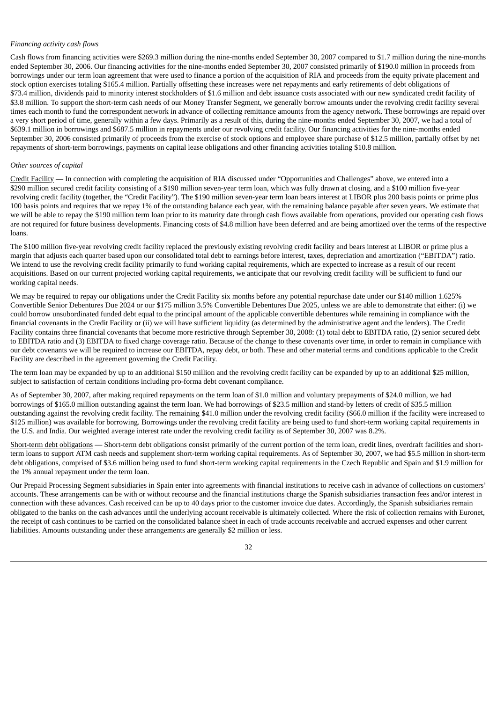# *Financing activity cash flows*

Cash flows from financing activities were \$269.3 million during the nine-months ended September 30, 2007 compared to \$1.7 million during the nine-months ended September 30, 2006. Our financing activities for the nine-months ended September 30, 2007 consisted primarily of \$190.0 million in proceeds from borrowings under our term loan agreement that were used to finance a portion of the acquisition of RIA and proceeds from the equity private placement and stock option exercises totaling \$165.4 million. Partially offsetting these increases were net repayments and early retirements of debt obligations of \$73.4 million, dividends paid to minority interest stockholders of \$1.6 million and debt issuance costs associated with our new syndicated credit facility of \$3.8 million. To support the short-term cash needs of our Money Transfer Segment, we generally borrow amounts under the revolving credit facility several times each month to fund the correspondent network in advance of collecting remittance amounts from the agency network. These borrowings are repaid over a very short period of time, generally within a few days. Primarily as a result of this, during the nine-months ended September 30, 2007, we had a total of \$639.1 million in borrowings and \$687.5 million in repayments under our revolving credit facility. Our financing activities for the nine-months ended September 30, 2006 consisted primarily of proceeds from the exercise of stock options and employee share purchase of \$12.5 million, partially offset by net repayments of short-term borrowings, payments on capital lease obligations and other financing activities totaling \$10.8 million.

#### *Other sources of capital*

Credit Facility — In connection with completing the acquisition of RIA discussed under "Opportunities and Challenges" above, we entered into a \$290 million secured credit facility consisting of a \$190 million seven-year term loan, which was fully drawn at closing, and a \$100 million five-year revolving credit facility (together, the "Credit Facility"). The \$190 million seven-year term loan bears interest at LIBOR plus 200 basis points or prime plus 100 basis points and requires that we repay 1% of the outstanding balance each year, with the remaining balance payable after seven years. We estimate that we will be able to repay the \$190 million term loan prior to its maturity date through cash flows available from operations, provided our operating cash flows are not required for future business developments. Financing costs of \$4.8 million have been deferred and are being amortized over the terms of the respective loans.

The \$100 million five-year revolving credit facility replaced the previously existing revolving credit facility and bears interest at LIBOR or prime plus a margin that adjusts each quarter based upon our consolidated total debt to earnings before interest, taxes, depreciation and amortization ("EBITDA") ratio. We intend to use the revolving credit facility primarily to fund working capital requirements, which are expected to increase as a result of our recent acquisitions. Based on our current projected working capital requirements, we anticipate that our revolving credit facility will be sufficient to fund our working capital needs.

We may be required to repay our obligations under the Credit Facility six months before any potential repurchase date under our \$140 million 1.625% Convertible Senior Debentures Due 2024 or our \$175 million 3.5% Convertible Debentures Due 2025, unless we are able to demonstrate that either: (i) we could borrow unsubordinated funded debt equal to the principal amount of the applicable convertible debentures while remaining in compliance with the financial covenants in the Credit Facility or (ii) we will have sufficient liquidity (as determined by the administrative agent and the lenders). The Credit Facility contains three financial covenants that become more restrictive through September 30, 2008: (1) total debt to EBITDA ratio, (2) senior secured debt to EBITDA ratio and (3) EBITDA to fixed charge coverage ratio. Because of the change to these covenants over time, in order to remain in compliance with our debt covenants we will be required to increase our EBITDA, repay debt, or both. These and other material terms and conditions applicable to the Credit Facility are described in the agreement governing the Credit Facility.

The term loan may be expanded by up to an additional \$150 million and the revolving credit facility can be expanded by up to an additional \$25 million, subject to satisfaction of certain conditions including pro-forma debt covenant compliance.

As of September 30, 2007, after making required repayments on the term loan of \$1.0 million and voluntary prepayments of \$24.0 million, we had borrowings of \$165.0 million outstanding against the term loan. We had borrowings of \$23.5 million and stand-by letters of credit of \$35.5 million outstanding against the revolving credit facility. The remaining \$41.0 million under the revolving credit facility (\$66.0 million if the facility were increased to \$125 million) was available for borrowing. Borrowings under the revolving credit facility are being used to fund short-term working capital requirements in the U.S. and India. Our weighted average interest rate under the revolving credit facility as of September 30, 2007 was 8.2%.

Short-term debt obligations — Short-term debt obligations consist primarily of the current portion of the term loan, credit lines, overdraft facilities and shortterm loans to support ATM cash needs and supplement short-term working capital requirements. As of September 30, 2007, we had \$5.5 million in short-term debt obligations, comprised of \$3.6 million being used to fund short-term working capital requirements in the Czech Republic and Spain and \$1.9 million for the 1% annual repayment under the term loan.

Our Prepaid Processing Segment subsidiaries in Spain enter into agreements with financial institutions to receive cash in advance of collections on customers' accounts. These arrangements can be with or without recourse and the financial institutions charge the Spanish subsidiaries transaction fees and/or interest in connection with these advances. Cash received can be up to 40 days prior to the customer invoice due dates. Accordingly, the Spanish subsidiaries remain obligated to the banks on the cash advances until the underlying account receivable is ultimately collected. Where the risk of collection remains with Euronet, the receipt of cash continues to be carried on the consolidated balance sheet in each of trade accounts receivable and accrued expenses and other current liabilities. Amounts outstanding under these arrangements are generally \$2 million or less.

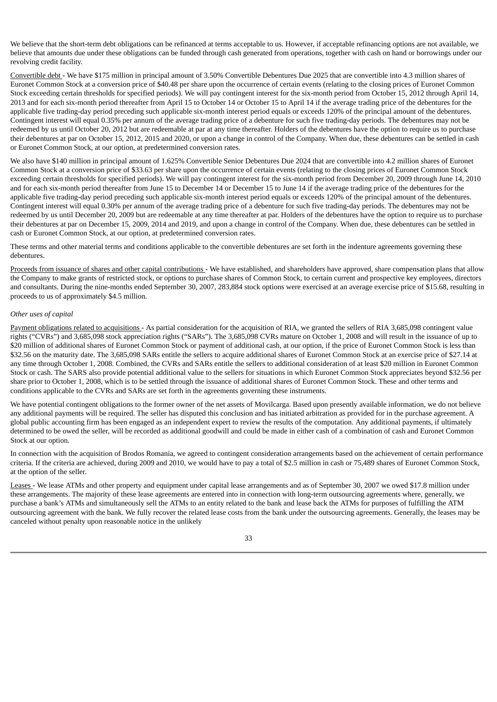We believe that the short-term debt obligations can be refinanced at terms acceptable to us. However, if acceptable refinancing options are not available, we believe that amounts due under these obligations can be funded through cash generated from operations, together with cash on hand or borrowings under our revolving credit facility.

Convertible debt - We have \$175 million in principal amount of 3.50% Convertible Debentures Due 2025 that are convertible into 4.3 million shares of Euronet Common Stock at a conversion price of \$40.48 per share upon the occurrence of certain events (relating to the closing prices of Euronet Common Stock exceeding certain thresholds for specified periods). We will pay contingent interest for the six-month period from October 15, 2012 through April 14, 2013 and for each six-month period thereafter from April 15 to October 14 or October 15 to April 14 if the average trading price of the debentures for the applicable five trading-day period preceding such applicable six-month interest period equals or exceeds 120% of the principal amount of the debentures. Contingent interest will equal 0.35% per annum of the average trading price of a debenture for such five trading-day periods. The debentures may not be redeemed by us until October 20, 2012 but are redeemable at par at any time thereafter. Holders of the debentures have the option to require us to purchase their debentures at par on October 15, 2012, 2015 and 2020, or upon a change in control of the Company. When due, these debentures can be settled in cash or Euronet Common Stock, at our option, at predetermined conversion rates.

We also have \$140 million in principal amount of 1.625% Convertible Senior Debentures Due 2024 that are convertible into 4.2 million shares of Euronet Common Stock at a conversion price of \$33.63 per share upon the occurrence of certain events (relating to the closing prices of Euronet Common Stock exceeding certain thresholds for specified periods). We will pay contingent interest for the six-month period from December 20, 2009 through June 14, 2010 and for each six-month period thereafter from June 15 to December 14 or December 15 to June 14 if the average trading price of the debentures for the applicable five trading-day period preceding such applicable six-month interest period equals or exceeds 120% of the principal amount of the debentures. Contingent interest will equal 0.30% per annum of the average trading price of a debenture for such five trading-day periods. The debentures may not be redeemed by us until December 20, 2009 but are redeemable at any time thereafter at par. Holders of the debentures have the option to require us to purchase their debentures at par on December 15, 2009, 2014 and 2019, and upon a change in control of the Company. When due, these debentures can be settled in cash or Euronet Common Stock, at our option, at predetermined conversion rates.

These terms and other material terms and conditions applicable to the convertible debentures are set forth in the indenture agreements governing these debentures.

Proceeds from issuance of shares and other capital contributions - We have established, and shareholders have approved, share compensation plans that allow the Company to make grants of restricted stock, or options to purchase shares of Common Stock, to certain current and prospective key employees, directors and consultants. During the nine-months ended September 30, 2007, 283,884 stock options were exercised at an average exercise price of \$15.68, resulting in proceeds to us of approximately \$4.5 million.

# *Other uses of capital*

Payment obligations related to acquisitions - As partial consideration for the acquisition of RIA, we granted the sellers of RIA 3,685,098 contingent value rights ("CVRs") and 3,685,098 stock appreciation rights ("SARs"). The 3,685,098 CVRs mature on October 1, 2008 and will result in the issuance of up to \$20 million of additional shares of Euronet Common Stock or payment of additional cash, at our option, if the price of Euronet Common Stock is less than \$32.56 on the maturity date. The 3,685,098 SARs entitle the sellers to acquire additional shares of Euronet Common Stock at an exercise price of \$27.14 at any time through October 1, 2008. Combined, the CVRs and SARs entitle the sellers to additional consideration of at least \$20 million in Euronet Common Stock or cash. The SARS also provide potential additional value to the sellers for situations in which Euronet Common Stock appreciates beyond \$32.56 per share prior to October 1, 2008, which is to be settled through the issuance of additional shares of Euronet Common Stock. These and other terms and conditions applicable to the CVRs and SARs are set forth in the agreements governing these instruments.

We have potential contingent obligations to the former owner of the net assets of Movilcarga. Based upon presently available information, we do not believe any additional payments will be required. The seller has disputed this conclusion and has initiated arbitration as provided for in the purchase agreement. A global public accounting firm has been engaged as an independent expert to review the results of the computation. Any additional payments, if ultimately determined to be owed the seller, will be recorded as additional goodwill and could be made in either cash of a combination of cash and Euronet Common Stock at our option.

In connection with the acquisition of Brodos Romania, we agreed to contingent consideration arrangements based on the achievement of certain performance criteria. If the criteria are achieved, during 2009 and 2010, we would have to pay a total of \$2.5 million in cash or 75,489 shares of Euronet Common Stock, at the option of the seller.

Leases - We lease ATMs and other property and equipment under capital lease arrangements and as of September 30, 2007 we owed \$17.8 million under these arrangements. The majority of these lease agreements are entered into in connection with long-term outsourcing agreements where, generally, we purchase a bank's ATMs and simultaneously sell the ATMs to an entity related to the bank and lease back the ATMs for purposes of fulfilling the ATM outsourcing agreement with the bank. We fully recover the related lease costs from the bank under the outsourcing agreements. Generally, the leases may be canceled without penalty upon reasonable notice in the unlikely

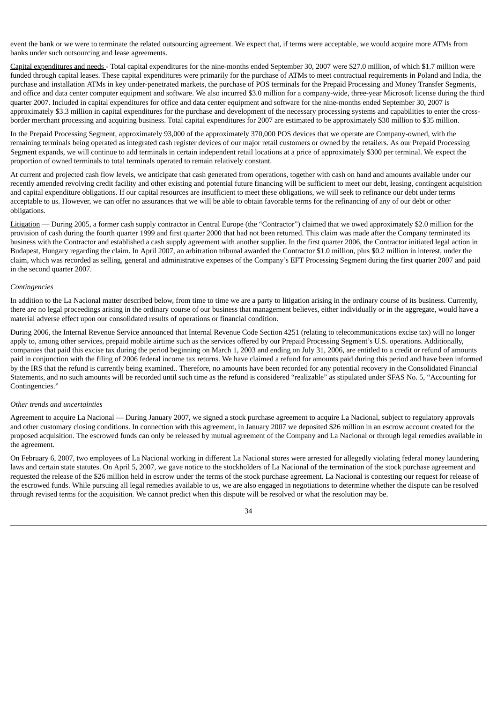event the bank or we were to terminate the related outsourcing agreement. We expect that, if terms were acceptable, we would acquire more ATMs from banks under such outsourcing and lease agreements.

Capital expenditures and needs - Total capital expenditures for the nine-months ended September 30, 2007 were \$27.0 million, of which \$1.7 million were funded through capital leases. These capital expenditures were primarily for the purchase of ATMs to meet contractual requirements in Poland and India, the purchase and installation ATMs in key under-penetrated markets, the purchase of POS terminals for the Prepaid Processing and Money Transfer Segments, and office and data center computer equipment and software. We also incurred \$3.0 million for a company-wide, three-year Microsoft license during the third quarter 2007. Included in capital expenditures for office and data center equipment and software for the nine-months ended September 30, 2007 is approximately \$3.3 million in capital expenditures for the purchase and development of the necessary processing systems and capabilities to enter the crossborder merchant processing and acquiring business. Total capital expenditures for 2007 are estimated to be approximately \$30 million to \$35 million.

In the Prepaid Processing Segment, approximately 93,000 of the approximately 370,000 POS devices that we operate are Company-owned, with the remaining terminals being operated as integrated cash register devices of our major retail customers or owned by the retailers. As our Prepaid Processing Segment expands, we will continue to add terminals in certain independent retail locations at a price of approximately \$300 per terminal. We expect the proportion of owned terminals to total terminals operated to remain relatively constant.

At current and projected cash flow levels, we anticipate that cash generated from operations, together with cash on hand and amounts available under our recently amended revolving credit facility and other existing and potential future financing will be sufficient to meet our debt, leasing, contingent acquisition and capital expenditure obligations. If our capital resources are insufficient to meet these obligations, we will seek to refinance our debt under terms acceptable to us. However, we can offer no assurances that we will be able to obtain favorable terms for the refinancing of any of our debt or other obligations.

Litigation — During 2005, a former cash supply contractor in Central Europe (the "Contractor") claimed that we owed approximately \$2.0 million for the provision of cash during the fourth quarter 1999 and first quarter 2000 that had not been returned. This claim was made after the Company terminated its business with the Contractor and established a cash supply agreement with another supplier. In the first quarter 2006, the Contractor initiated legal action in Budapest, Hungary regarding the claim. In April 2007, an arbitration tribunal awarded the Contractor \$1.0 million, plus \$0.2 million in interest, under the claim, which was recorded as selling, general and administrative expenses of the Company's EFT Processing Segment during the first quarter 2007 and paid in the second quarter 2007.

### *Contingencies*

In addition to the La Nacional matter described below, from time to time we are a party to litigation arising in the ordinary course of its business. Currently, there are no legal proceedings arising in the ordinary course of our business that management believes, either individually or in the aggregate, would have a material adverse effect upon our consolidated results of operations or financial condition.

During 2006, the Internal Revenue Service announced that Internal Revenue Code Section 4251 (relating to telecommunications excise tax) will no longer apply to, among other services, prepaid mobile airtime such as the services offered by our Prepaid Processing Segment's U.S. operations. Additionally, companies that paid this excise tax during the period beginning on March 1, 2003 and ending on July 31, 2006, are entitled to a credit or refund of amounts paid in conjunction with the filing of 2006 federal income tax returns. We have claimed a refund for amounts paid during this period and have been informed by the IRS that the refund is currently being examined.. Therefore, no amounts have been recorded for any potential recovery in the Consolidated Financial Statements, and no such amounts will be recorded until such time as the refund is considered "realizable" as stipulated under SFAS No. 5, "Accounting for Contingencies."

#### *Other trends and uncertainties*

Agreement to acquire La Nacional — During January 2007, we signed a stock purchase agreement to acquire La Nacional, subject to regulatory approvals and other customary closing conditions. In connection with this agreement, in January 2007 we deposited \$26 million in an escrow account created for the proposed acquisition. The escrowed funds can only be released by mutual agreement of the Company and La Nacional or through legal remedies available in the agreement.

On February 6, 2007, two employees of La Nacional working in different La Nacional stores were arrested for allegedly violating federal money laundering laws and certain state statutes. On April 5, 2007, we gave notice to the stockholders of La Nacional of the termination of the stock purchase agreement and requested the release of the \$26 million held in escrow under the terms of the stock purchase agreement. La Nacional is contesting our request for release of the escrowed funds. While pursuing all legal remedies available to us, we are also engaged in negotiations to determine whether the dispute can be resolved through revised terms for the acquisition. We cannot predict when this dispute will be resolved or what the resolution may be.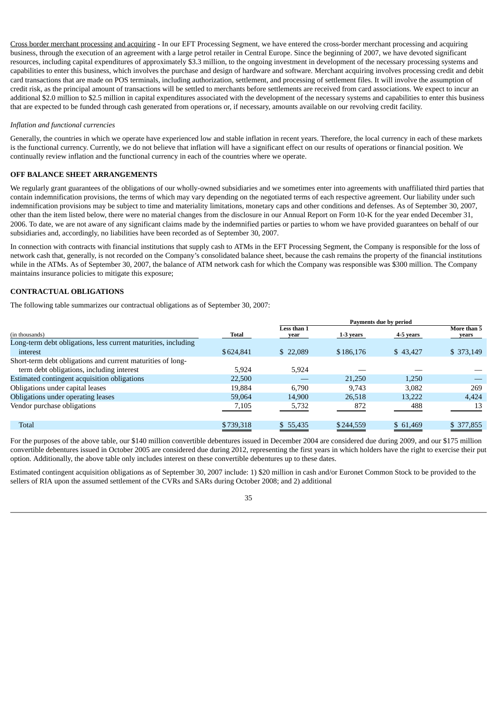Cross border merchant processing and acquiring - In our EFT Processing Segment, we have entered the cross-border merchant processing and acquiring business, through the execution of an agreement with a large petrol retailer in Central Europe. Since the beginning of 2007, we have devoted significant resources, including capital expenditures of approximately \$3.3 million, to the ongoing investment in development of the necessary processing systems and capabilities to enter this business, which involves the purchase and design of hardware and software. Merchant acquiring involves processing credit and debit card transactions that are made on POS terminals, including authorization, settlement, and processing of settlement files. It will involve the assumption of credit risk, as the principal amount of transactions will be settled to merchants before settlements are received from card associations. We expect to incur an additional \$2.0 million to \$2.5 million in capital expenditures associated with the development of the necessary systems and capabilities to enter this business that are expected to be funded through cash generated from operations or, if necessary, amounts available on our revolving credit facility.

## *Inflation and functional currencies*

Generally, the countries in which we operate have experienced low and stable inflation in recent years. Therefore, the local currency in each of these markets is the functional currency. Currently, we do not believe that inflation will have a significant effect on our results of operations or financial position. We continually review inflation and the functional currency in each of the countries where we operate.

# **OFF BALANCE SHEET ARRANGEMENTS**

We regularly grant guarantees of the obligations of our wholly-owned subsidiaries and we sometimes enter into agreements with unaffiliated third parties that contain indemnification provisions, the terms of which may vary depending on the negotiated terms of each respective agreement. Our liability under such indemnification provisions may be subject to time and materiality limitations, monetary caps and other conditions and defenses. As of September 30, 2007, other than the item listed below, there were no material changes from the disclosure in our Annual Report on Form 10-K for the year ended December 31, 2006. To date, we are not aware of any significant claims made by the indemnified parties or parties to whom we have provided guarantees on behalf of our subsidiaries and, accordingly, no liabilities have been recorded as of September 30, 2007.

In connection with contracts with financial institutions that supply cash to ATMs in the EFT Processing Segment, the Company is responsible for the loss of network cash that, generally, is not recorded on the Company's consolidated balance sheet, because the cash remains the property of the financial institutions while in the ATMs. As of September 30, 2007, the balance of ATM network cash for which the Company was responsible was \$300 million. The Company maintains insurance policies to mitigate this exposure;

# **CONTRACTUAL OBLIGATIONS**

The following table summarizes our contractual obligations as of September 30, 2007:

|                                                                |           | Payments due by period |           |           |                      |  |  |
|----------------------------------------------------------------|-----------|------------------------|-----------|-----------|----------------------|--|--|
| (in thousands)                                                 | Total     | Less than 1<br>year    | 1-3 years | 4-5 years | More than 5<br>years |  |  |
| Long-term debt obligations, less current maturities, including |           |                        |           |           |                      |  |  |
| interest                                                       | \$624,841 | \$22.089               | \$186,176 | \$43,427  | \$373,149            |  |  |
| Short-term debt obligations and current maturities of long-    |           |                        |           |           |                      |  |  |
| term debt obligations, including interest                      | 5.924     | 5.924                  |           |           |                      |  |  |
| Estimated contingent acquisition obligations                   | 22,500    |                        | 21,250    | 1.250     |                      |  |  |
| Obligations under capital leases                               | 19.884    | 6.790                  | 9.743     | 3.082     | 269                  |  |  |
| Obligations under operating leases                             | 59.064    | 14,900                 | 26,518    | 13,222    | 4,424                |  |  |
| Vendor purchase obligations                                    | 7,105     | 5,732                  | 872       | 488       | 13                   |  |  |
| <b>Total</b>                                                   | \$739,318 | \$5,435                | \$244,559 | \$61,469  | \$377,855            |  |  |

For the purposes of the above table, our \$140 million convertible debentures issued in December 2004 are considered due during 2009, and our \$175 million convertible debentures issued in October 2005 are considered due during 2012, representing the first years in which holders have the right to exercise their put option. Additionally, the above table only includes interest on these convertible debentures up to these dates.

Estimated contingent acquisition obligations as of September 30, 2007 include: 1) \$20 million in cash and/or Euronet Common Stock to be provided to the sellers of RIA upon the assumed settlement of the CVRs and SARs during October 2008; and 2) additional

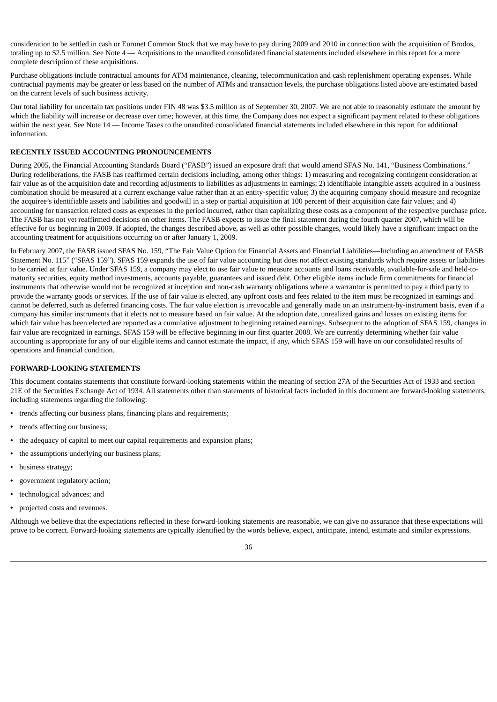consideration to be settled in cash or Euronet Common Stock that we may have to pay during 2009 and 2010 in connection with the acquisition of Brodos, totaling up to \$2.5 million. See Note 4 — Acquisitions to the unaudited consolidated financial statements included elsewhere in this report for a more complete description of these acquisitions.

Purchase obligations include contractual amounts for ATM maintenance, cleaning, telecommunication and cash replenishment operating expenses. While contractual payments may be greater or less based on the number of ATMs and transaction levels, the purchase obligations listed above are estimated based on the current levels of such business activity.

Our total liability for uncertain tax positions under FIN 48 was \$3.5 million as of September 30, 2007. We are not able to reasonably estimate the amount by which the liability will increase or decrease over time; however, at this time, the Company does not expect a significant payment related to these obligations within the next year. See Note 14 — Income Taxes to the unaudited consolidated financial statements included elsewhere in this report for additional information.

# **RECENTLY ISSUED ACCOUNTING PRONOUNCEMENTS**

During 2005, the Financial Accounting Standards Board ("FASB") issued an exposure draft that would amend SFAS No. 141, "Business Combinations." During redeliberations, the FASB has reaffirmed certain decisions including, among other things: 1) measuring and recognizing contingent consideration at fair value as of the acquisition date and recording adjustments to liabilities as adjustments in earnings; 2) identifiable intangible assets acquired in a business combination should be measured at a current exchange value rather than at an entity-specific value; 3) the acquiring company should measure and recognize the acquiree's identifiable assets and liabilities and goodwill in a step or partial acquisition at 100 percent of their acquisition date fair values; and 4) accounting for transaction related costs as expenses in the period incurred, rather than capitalizing these costs as a component of the respective purchase price. The FASB has not yet reaffirmed decisions on other items. The FASB expects to issue the final statement during the fourth quarter 2007, which will be effective for us beginning in 2009. If adopted, the changes described above, as well as other possible changes, would likely have a significant impact on the accounting treatment for acquisitions occurring on or after January 1, 2009.

In February 2007, the FASB issued SFAS No. 159, "The Fair Value Option for Financial Assets and Financial Liabilities—Including an amendment of FASB Statement No. 115" ("SFAS 159"). SFAS 159 expands the use of fair value accounting but does not affect existing standards which require assets or liabilities to be carried at fair value. Under SFAS 159, a company may elect to use fair value to measure accounts and loans receivable, available-for-sale and held-tomaturity securities, equity method investments, accounts payable, guarantees and issued debt. Other eligible items include firm commitments for financial instruments that otherwise would not be recognized at inception and non-cash warranty obligations where a warrantor is permitted to pay a third party to provide the warranty goods or services. If the use of fair value is elected, any upfront costs and fees related to the item must be recognized in earnings and cannot be deferred, such as deferred financing costs. The fair value election is irrevocable and generally made on an instrument-by-instrument basis, even if a company has similar instruments that it elects not to measure based on fair value. At the adoption date, unrealized gains and losses on existing items for which fair value has been elected are reported as a cumulative adjustment to beginning retained earnings. Subsequent to the adoption of SFAS 159, changes in fair value are recognized in earnings. SFAS 159 will be effective beginning in our first quarter 2008. We are currently determining whether fair value accounting is appropriate for any of our eligible items and cannot estimate the impact, if any, which SFAS 159 will have on our consolidated results of operations and financial condition.

#### **FORWARD-LOOKING STATEMENTS**

This document contains statements that constitute forward-looking statements within the meaning of section 27A of the Securities Act of 1933 and section 21E of the Securities Exchange Act of 1934. All statements other than statements of historical facts included in this document are forward-looking statements, including statements regarding the following:

- **•** trends affecting our business plans, financing plans and requirements;
- **•** trends affecting our business;
- **•** the adequacy of capital to meet our capital requirements and expansion plans;
- **•** the assumptions underlying our business plans;
- **•** business strategy;
- **•** government regulatory action;
- **•** technological advances; and
- **•** projected costs and revenues.

Although we believe that the expectations reflected in these forward-looking statements are reasonable, we can give no assurance that these expectations will prove to be correct. Forward-looking statements are typically identified by the words believe, expect, anticipate, intend, estimate and similar expressions.

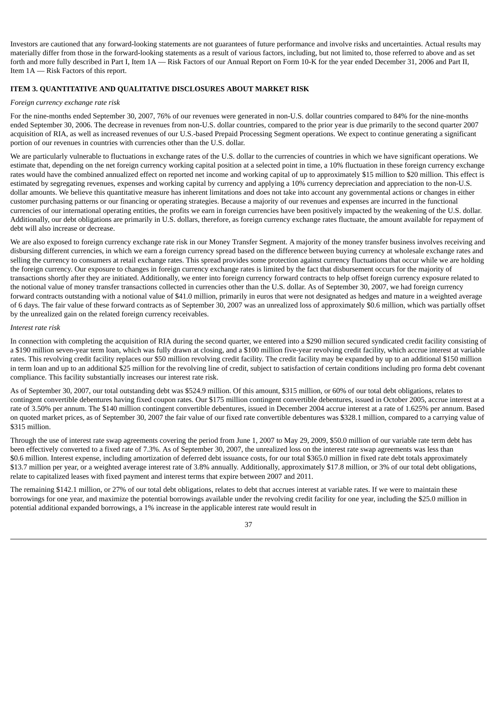Investors are cautioned that any forward-looking statements are not guarantees of future performance and involve risks and uncertainties. Actual results may materially differ from those in the forward-looking statements as a result of various factors, including, but not limited to, those referred to above and as set forth and more fully described in Part I, Item 1A — Risk Factors of our Annual Report on Form 10-K for the year ended December 31, 2006 and Part II, Item 1A — Risk Factors of this report.

# <span id="page-37-0"></span>**ITEM 3. QUANTITATIVE AND QUALITATIVE DISCLOSURES ABOUT MARKET RISK**

## *Foreign currency exchange rate risk*

For the nine-months ended September 30, 2007, 76% of our revenues were generated in non-U.S. dollar countries compared to 84% for the nine-months ended September 30, 2006. The decrease in revenues from non-U.S. dollar countries, compared to the prior year is due primarily to the second quarter 2007 acquisition of RIA, as well as increased revenues of our U.S.-based Prepaid Processing Segment operations. We expect to continue generating a significant portion of our revenues in countries with currencies other than the U.S. dollar.

We are particularly vulnerable to fluctuations in exchange rates of the U.S. dollar to the currencies of countries in which we have significant operations. We estimate that, depending on the net foreign currency working capital position at a selected point in time, a 10% fluctuation in these foreign currency exchange rates would have the combined annualized effect on reported net income and working capital of up to approximately \$15 million to \$20 million. This effect is estimated by segregating revenues, expenses and working capital by currency and applying a 10% currency depreciation and appreciation to the non-U.S. dollar amounts. We believe this quantitative measure has inherent limitations and does not take into account any governmental actions or changes in either customer purchasing patterns or our financing or operating strategies. Because a majority of our revenues and expenses are incurred in the functional currencies of our international operating entities, the profits we earn in foreign currencies have been positively impacted by the weakening of the U.S. dollar. Additionally, our debt obligations are primarily in U.S. dollars, therefore, as foreign currency exchange rates fluctuate, the amount available for repayment of debt will also increase or decrease.

We are also exposed to foreign currency exchange rate risk in our Money Transfer Segment. A majority of the money transfer business involves receiving and disbursing different currencies, in which we earn a foreign currency spread based on the difference between buying currency at wholesale exchange rates and selling the currency to consumers at retail exchange rates. This spread provides some protection against currency fluctuations that occur while we are holding the foreign currency. Our exposure to changes in foreign currency exchange rates is limited by the fact that disbursement occurs for the majority of transactions shortly after they are initiated. Additionally, we enter into foreign currency forward contracts to help offset foreign currency exposure related to the notional value of money transfer transactions collected in currencies other than the U.S. dollar. As of September 30, 2007, we had foreign currency forward contracts outstanding with a notional value of \$41.0 million, primarily in euros that were not designated as hedges and mature in a weighted average of 6 days. The fair value of these forward contracts as of September 30, 2007 was an unrealized loss of approximately \$0.6 million, which was partially offset by the unrealized gain on the related foreign currency receivables.

#### *Interest rate risk*

In connection with completing the acquisition of RIA during the second quarter, we entered into a \$290 million secured syndicated credit facility consisting of a \$190 million seven-year term loan, which was fully drawn at closing, and a \$100 million five-year revolving credit facility, which accrue interest at variable rates. This revolving credit facility replaces our \$50 million revolving credit facility. The credit facility may be expanded by up to an additional \$150 million in term loan and up to an additional \$25 million for the revolving line of credit, subject to satisfaction of certain conditions including pro forma debt covenant compliance. This facility substantially increases our interest rate risk.

As of September 30, 2007, our total outstanding debt was \$524.9 million. Of this amount, \$315 million, or 60% of our total debt obligations, relates to contingent convertible debentures having fixed coupon rates. Our \$175 million contingent convertible debentures, issued in October 2005, accrue interest at a rate of 3.50% per annum. The \$140 million contingent convertible debentures, issued in December 2004 accrue interest at a rate of 1.625% per annum. Based on quoted market prices, as of September 30, 2007 the fair value of our fixed rate convertible debentures was \$328.1 million, compared to a carrying value of \$315 million.

Through the use of interest rate swap agreements covering the period from June 1, 2007 to May 29, 2009, \$50.0 million of our variable rate term debt has been effectively converted to a fixed rate of 7.3%. As of September 30, 2007, the unrealized loss on the interest rate swap agreements was less than \$0.6 million. Interest expense, including amortization of deferred debt issuance costs, for our total \$365.0 million in fixed rate debt totals approximately \$13.7 million per year, or a weighted average interest rate of 3.8% annually. Additionally, approximately \$17.8 million, or 3% of our total debt obligations, relate to capitalized leases with fixed payment and interest terms that expire between 2007 and 2011.

The remaining \$142.1 million, or 27% of our total debt obligations, relates to debt that accrues interest at variable rates. If we were to maintain these borrowings for one year, and maximize the potential borrowings available under the revolving credit facility for one year, including the \$25.0 million in potential additional expanded borrowings, a 1% increase in the applicable interest rate would result in

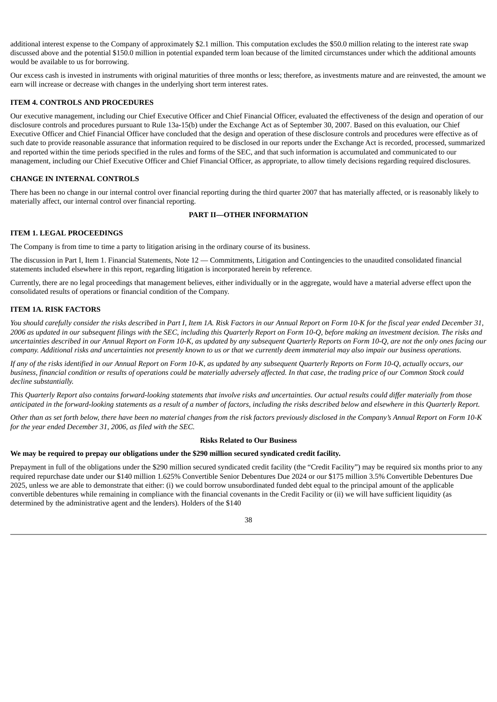additional interest expense to the Company of approximately \$2.1 million. This computation excludes the \$50.0 million relating to the interest rate swap discussed above and the potential \$150.0 million in potential expanded term loan because of the limited circumstances under which the additional amounts would be available to us for borrowing.

Our excess cash is invested in instruments with original maturities of three months or less; therefore, as investments mature and are reinvested, the amount we earn will increase or decrease with changes in the underlying short term interest rates.

# <span id="page-38-0"></span>**ITEM 4. CONTROLS AND PROCEDURES**

Our executive management, including our Chief Executive Officer and Chief Financial Officer, evaluated the effectiveness of the design and operation of our disclosure controls and procedures pursuant to Rule 13a-15(b) under the Exchange Act as of September 30, 2007. Based on this evaluation, our Chief Executive Officer and Chief Financial Officer have concluded that the design and operation of these disclosure controls and procedures were effective as of such date to provide reasonable assurance that information required to be disclosed in our reports under the Exchange Act is recorded, processed, summarized and reported within the time periods specified in the rules and forms of the SEC, and that such information is accumulated and communicated to our management, including our Chief Executive Officer and Chief Financial Officer, as appropriate, to allow timely decisions regarding required disclosures.

# <span id="page-38-1"></span>**CHANGE IN INTERNAL CONTROLS**

<span id="page-38-2"></span>There has been no change in our internal control over financial reporting during the third quarter 2007 that has materially affected, or is reasonably likely to materially affect, our internal control over financial reporting.

# **PART II—OTHER INFORMATION**

# <span id="page-38-3"></span>**ITEM 1. LEGAL PROCEEDINGS**

The Company is from time to time a party to litigation arising in the ordinary course of its business.

The discussion in Part I, Item 1. Financial Statements, Note 12 — Commitments, Litigation and Contingencies to the unaudited consolidated financial statements included elsewhere in this report, regarding litigation is incorporated herein by reference.

Currently, there are no legal proceedings that management believes, either individually or in the aggregate, would have a material adverse effect upon the consolidated results of operations or financial condition of the Company.

# <span id="page-38-4"></span>**ITEM 1A. RISK FACTORS**

You should carefully consider the risks described in Part I, Item 1A. Risk Factors in our Annual Report on Form 10-K for the fiscal year ended December 31, 2006 as updated in our subsequent filings with the SEC, including this Quarterly Report on Form 10-Q, before making an investment decision. The risks and uncertainties described in our Annual Report on Form 10-K, as updated by any subsequent Quarterly Reports on Form 10-Q, are not the only ones facing our company. Additional risks and uncertainties not presently known to us or that we currently deem immaterial may also impair our business operations.

If any of the risks identified in our Annual Report on Form 10-K, as updated by any subsequent Quarterly Reports on Form 10-Q, actually occurs, our business, financial condition or results of operations could be materially adversely affected. In that case, the trading price of our Common Stock could *decline substantially.*

This Quarterly Report also contains forward-looking statements that involve risks and uncertainties. Our actual results could differ materially from those anticipated in the forward-looking statements as a result of a number of factors, including the risks described below and elsewhere in this Quarterly Report.

Other than as set forth below, there have been no material changes from the risk factors previously disclosed in the Company's Annual Report on Form 10-K *for the year ended December 31, 2006, as filed with the SEC.*

#### **Risks Related to Our Business**

#### **We may be required to prepay our obligations under the \$290 million secured syndicated credit facility.**

Prepayment in full of the obligations under the \$290 million secured syndicated credit facility (the "Credit Facility") may be required six months prior to any required repurchase date under our \$140 million 1.625% Convertible Senior Debentures Due 2024 or our \$175 million 3.5% Convertible Debentures Due 2025, unless we are able to demonstrate that either: (i) we could borrow unsubordinated funded debt equal to the principal amount of the applicable convertible debentures while remaining in compliance with the financial covenants in the Credit Facility or (ii) we will have sufficient liquidity (as determined by the administrative agent and the lenders). Holders of the \$140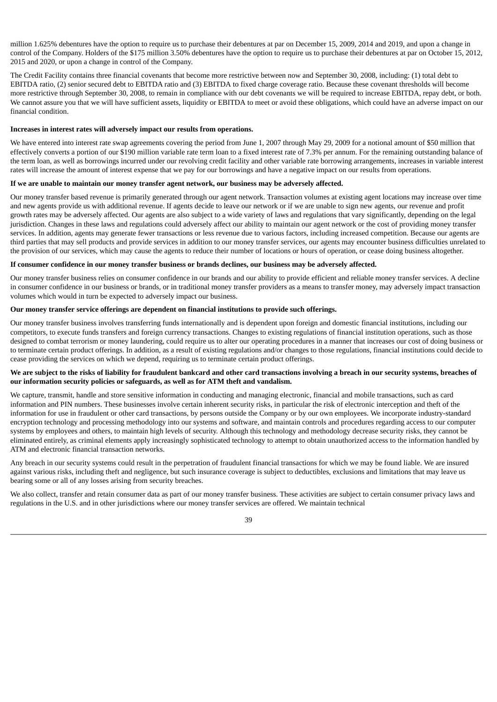million 1.625% debentures have the option to require us to purchase their debentures at par on December 15, 2009, 2014 and 2019, and upon a change in control of the Company. Holders of the \$175 million 3.50% debentures have the option to require us to purchase their debentures at par on October 15, 2012, 2015 and 2020, or upon a change in control of the Company.

The Credit Facility contains three financial covenants that become more restrictive between now and September 30, 2008, including: (1) total debt to EBITDA ratio, (2) senior secured debt to EBITDA ratio and (3) EBITDA to fixed charge coverage ratio. Because these covenant thresholds will become more restrictive through September 30, 2008, to remain in compliance with our debt covenants we will be required to increase EBITDA, repay debt, or both. We cannot assure you that we will have sufficient assets, liquidity or EBITDA to meet or avoid these obligations, which could have an adverse impact on our financial condition.

# **Increases in interest rates will adversely impact our results from operations.**

We have entered into interest rate swap agreements covering the period from June 1, 2007 through May 29, 2009 for a notional amount of \$50 million that effectively converts a portion of our \$190 million variable rate term loan to a fixed interest rate of 7.3% per annum. For the remaining outstanding balance of the term loan, as well as borrowings incurred under our revolving credit facility and other variable rate borrowing arrangements, increases in variable interest rates will increase the amount of interest expense that we pay for our borrowings and have a negative impact on our results from operations.

#### **If we are unable to maintain our money transfer agent network, our business may be adversely affected.**

Our money transfer based revenue is primarily generated through our agent network. Transaction volumes at existing agent locations may increase over time and new agents provide us with additional revenue. If agents decide to leave our network or if we are unable to sign new agents, our revenue and profit growth rates may be adversely affected. Our agents are also subject to a wide variety of laws and regulations that vary significantly, depending on the legal jurisdiction. Changes in these laws and regulations could adversely affect our ability to maintain our agent network or the cost of providing money transfer services. In addition, agents may generate fewer transactions or less revenue due to various factors, including increased competition. Because our agents are third parties that may sell products and provide services in addition to our money transfer services, our agents may encounter business difficulties unrelated to the provision of our services, which may cause the agents to reduce their number of locations or hours of operation, or cease doing business altogether.

# If consumer confidence in our money transfer business or brands declines, our business may be adversely affected.

Our money transfer business relies on consumer confidence in our brands and our ability to provide efficient and reliable money transfer services. A decline in consumer confidence in our business or brands, or in traditional money transfer providers as a means to transfer money, may adversely impact transaction volumes which would in turn be expected to adversely impact our business.

# **Our money transfer service offerings are dependent on financial institutions to provide such offerings.**

Our money transfer business involves transferring funds internationally and is dependent upon foreign and domestic financial institutions, including our competitors, to execute funds transfers and foreign currency transactions. Changes to existing regulations of financial institution operations, such as those designed to combat terrorism or money laundering, could require us to alter our operating procedures in a manner that increases our cost of doing business or to terminate certain product offerings. In addition, as a result of existing regulations and/or changes to those regulations, financial institutions could decide to cease providing the services on which we depend, requiring us to terminate certain product offerings.

# We are subject to the risks of liability for fraudulent bankcard and other card transactions involving a breach in our security systems, breaches of **our information security policies or safeguards, as well as for ATM theft and vandalism.**

We capture, transmit, handle and store sensitive information in conducting and managing electronic, financial and mobile transactions, such as card information and PIN numbers. These businesses involve certain inherent security risks, in particular the risk of electronic interception and theft of the information for use in fraudulent or other card transactions, by persons outside the Company or by our own employees. We incorporate industry-standard encryption technology and processing methodology into our systems and software, and maintain controls and procedures regarding access to our computer systems by employees and others, to maintain high levels of security. Although this technology and methodology decrease security risks, they cannot be eliminated entirely, as criminal elements apply increasingly sophisticated technology to attempt to obtain unauthorized access to the information handled by ATM and electronic financial transaction networks.

Any breach in our security systems could result in the perpetration of fraudulent financial transactions for which we may be found liable. We are insured against various risks, including theft and negligence, but such insurance coverage is subject to deductibles, exclusions and limitations that may leave us bearing some or all of any losses arising from security breaches.

We also collect, transfer and retain consumer data as part of our money transfer business. These activities are subject to certain consumer privacy laws and regulations in the U.S. and in other jurisdictions where our money transfer services are offered. We maintain technical

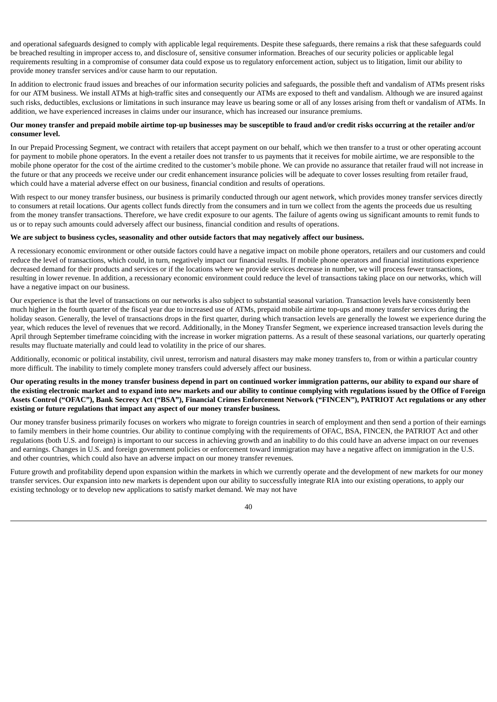and operational safeguards designed to comply with applicable legal requirements. Despite these safeguards, there remains a risk that these safeguards could be breached resulting in improper access to, and disclosure of, sensitive consumer information. Breaches of our security policies or applicable legal requirements resulting in a compromise of consumer data could expose us to regulatory enforcement action, subject us to litigation, limit our ability to provide money transfer services and/or cause harm to our reputation.

In addition to electronic fraud issues and breaches of our information security policies and safeguards, the possible theft and vandalism of ATMs present risks for our ATM business. We install ATMs at high-traffic sites and consequently our ATMs are exposed to theft and vandalism. Although we are insured against such risks, deductibles, exclusions or limitations in such insurance may leave us bearing some or all of any losses arising from theft or vandalism of ATMs. In addition, we have experienced increases in claims under our insurance, which has increased our insurance premiums.

# Our money transfer and prepaid mobile airtime top-up businesses may be susceptible to fraud and/or credit risks occurring at the retailer and/or **consumer level.**

In our Prepaid Processing Segment, we contract with retailers that accept payment on our behalf, which we then transfer to a trust or other operating account for payment to mobile phone operators. In the event a retailer does not transfer to us payments that it receives for mobile airtime, we are responsible to the mobile phone operator for the cost of the airtime credited to the customer's mobile phone. We can provide no assurance that retailer fraud will not increase in the future or that any proceeds we receive under our credit enhancement insurance policies will be adequate to cover losses resulting from retailer fraud, which could have a material adverse effect on our business, financial condition and results of operations.

With respect to our money transfer business, our business is primarily conducted through our agent network, which provides money transfer services directly to consumers at retail locations. Our agents collect funds directly from the consumers and in turn we collect from the agents the proceeds due us resulting from the money transfer transactions. Therefore, we have credit exposure to our agents. The failure of agents owing us significant amounts to remit funds to us or to repay such amounts could adversely affect our business, financial condition and results of operations.

# We are subject to business cycles, seasonality and other outside factors that may negatively affect our business.

A recessionary economic environment or other outside factors could have a negative impact on mobile phone operators, retailers and our customers and could reduce the level of transactions, which could, in turn, negatively impact our financial results. If mobile phone operators and financial institutions experience decreased demand for their products and services or if the locations where we provide services decrease in number, we will process fewer transactions, resulting in lower revenue. In addition, a recessionary economic environment could reduce the level of transactions taking place on our networks, which will have a negative impact on our business.

Our experience is that the level of transactions on our networks is also subject to substantial seasonal variation. Transaction levels have consistently been much higher in the fourth quarter of the fiscal year due to increased use of ATMs, prepaid mobile airtime top-ups and money transfer services during the holiday season. Generally, the level of transactions drops in the first quarter, during which transaction levels are generally the lowest we experience during the year, which reduces the level of revenues that we record. Additionally, in the Money Transfer Segment, we experience increased transaction levels during the April through September timeframe coinciding with the increase in worker migration patterns. As a result of these seasonal variations, our quarterly operating results may fluctuate materially and could lead to volatility in the price of our shares.

Additionally, economic or political instability, civil unrest, terrorism and natural disasters may make money transfers to, from or within a particular country more difficult. The inability to timely complete money transfers could adversely affect our business.

# Our operating results in the money transfer business depend in part on continued worker immigration patterns, our ability to expand our share of the existing electronic market and to expand into new markets and our ability to continue complying with regulations issued by the Office of Foreign Assets Control ("OFAC"), Bank Secrecy Act ("BSA"), Financial Crimes Enforcement Network ("FINCEN"), PATRIOT Act regulations or any other **existing or future regulations that impact any aspect of our money transfer business.**

Our money transfer business primarily focuses on workers who migrate to foreign countries in search of employment and then send a portion of their earnings to family members in their home countries. Our ability to continue complying with the requirements of OFAC, BSA, FINCEN, the PATRIOT Act and other regulations (both U.S. and foreign) is important to our success in achieving growth and an inability to do this could have an adverse impact on our revenues and earnings. Changes in U.S. and foreign government policies or enforcement toward immigration may have a negative affect on immigration in the U.S. and other countries, which could also have an adverse impact on our money transfer revenues.

Future growth and profitability depend upon expansion within the markets in which we currently operate and the development of new markets for our money transfer services. Our expansion into new markets is dependent upon our ability to successfully integrate RIA into our existing operations, to apply our existing technology or to develop new applications to satisfy market demand. We may not have

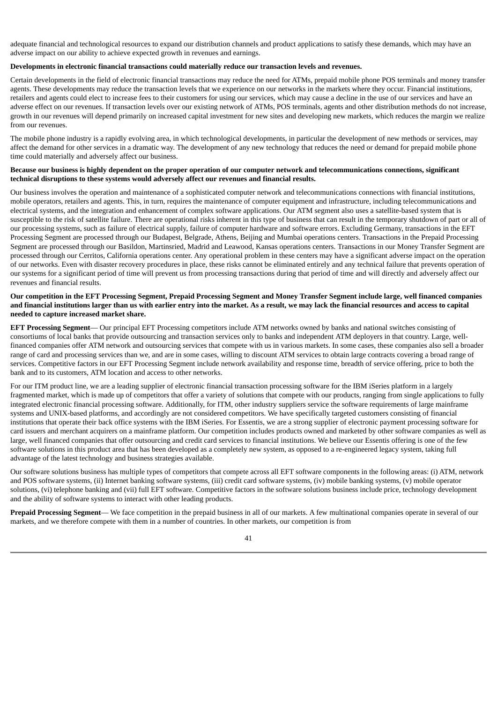adequate financial and technological resources to expand our distribution channels and product applications to satisfy these demands, which may have an adverse impact on our ability to achieve expected growth in revenues and earnings.

## **Developments in electronic financial transactions could materially reduce our transaction levels and revenues.**

Certain developments in the field of electronic financial transactions may reduce the need for ATMs, prepaid mobile phone POS terminals and money transfer agents. These developments may reduce the transaction levels that we experience on our networks in the markets where they occur. Financial institutions, retailers and agents could elect to increase fees to their customers for using our services, which may cause a decline in the use of our services and have an adverse effect on our revenues. If transaction levels over our existing network of ATMs, POS terminals, agents and other distribution methods do not increase, growth in our revenues will depend primarily on increased capital investment for new sites and developing new markets, which reduces the margin we realize from our revenues.

The mobile phone industry is a rapidly evolving area, in which technological developments, in particular the development of new methods or services, may affect the demand for other services in a dramatic way. The development of any new technology that reduces the need or demand for prepaid mobile phone time could materially and adversely affect our business.

#### Because our business is highly dependent on the proper operation of our computer network and telecommunications connections, significant **technical disruptions to these systems would adversely affect our revenues and financial results.**

Our business involves the operation and maintenance of a sophisticated computer network and telecommunications connections with financial institutions, mobile operators, retailers and agents. This, in turn, requires the maintenance of computer equipment and infrastructure, including telecommunications and electrical systems, and the integration and enhancement of complex software applications. Our ATM segment also uses a satellite-based system that is susceptible to the risk of satellite failure. There are operational risks inherent in this type of business that can result in the temporary shutdown of part or all of our processing systems, such as failure of electrical supply, failure of computer hardware and software errors. Excluding Germany, transactions in the EFT Processing Segment are processed through our Budapest, Belgrade, Athens, Beijing and Mumbai operations centers. Transactions in the Prepaid Processing Segment are processed through our Basildon, Martinsried, Madrid and Leawood, Kansas operations centers. Transactions in our Money Transfer Segment are processed through our Cerritos, California operations center. Any operational problem in these centers may have a significant adverse impact on the operation of our networks. Even with disaster recovery procedures in place, these risks cannot be eliminated entirely and any technical failure that prevents operation of our systems for a significant period of time will prevent us from processing transactions during that period of time and will directly and adversely affect our revenues and financial results.

# Our competition in the EFT Processing Segment, Prepaid Processing Segment and Money Transfer Segment include large, well financed companies and financial institutions larger than us with earlier entry into the market. As a result, we may lack the financial resources and access to capital **needed to capture increased market share.**

**EFT Processing Segment**— Our principal EFT Processing competitors include ATM networks owned by banks and national switches consisting of consortiums of local banks that provide outsourcing and transaction services only to banks and independent ATM deployers in that country. Large, wellfinanced companies offer ATM network and outsourcing services that compete with us in various markets. In some cases, these companies also sell a broader range of card and processing services than we, and are in some cases, willing to discount ATM services to obtain large contracts covering a broad range of services. Competitive factors in our EFT Processing Segment include network availability and response time, breadth of service offering, price to both the bank and to its customers, ATM location and access to other networks.

For our ITM product line, we are a leading supplier of electronic financial transaction processing software for the IBM iSeries platform in a largely fragmented market, which is made up of competitors that offer a variety of solutions that compete with our products, ranging from single applications to fully integrated electronic financial processing software. Additionally, for ITM, other industry suppliers service the software requirements of large mainframe systems and UNIX-based platforms, and accordingly are not considered competitors. We have specifically targeted customers consisting of financial institutions that operate their back office systems with the IBM iSeries. For Essentis, we are a strong supplier of electronic payment processing software for card issuers and merchant acquirers on a mainframe platform. Our competition includes products owned and marketed by other software companies as well as large, well financed companies that offer outsourcing and credit card services to financial institutions. We believe our Essentis offering is one of the few software solutions in this product area that has been developed as a completely new system, as opposed to a re-engineered legacy system, taking full advantage of the latest technology and business strategies available.

Our software solutions business has multiple types of competitors that compete across all EFT software components in the following areas: (i) ATM, network and POS software systems, (ii) Internet banking software systems, (iii) credit card software systems, (iv) mobile banking systems, (v) mobile operator solutions, (vi) telephone banking and (vii) full EFT software. Competitive factors in the software solutions business include price, technology development and the ability of software systems to interact with other leading products.

**Prepaid Processing Segment**— We face competition in the prepaid business in all of our markets. A few multinational companies operate in several of our markets, and we therefore compete with them in a number of countries. In other markets, our competition is from

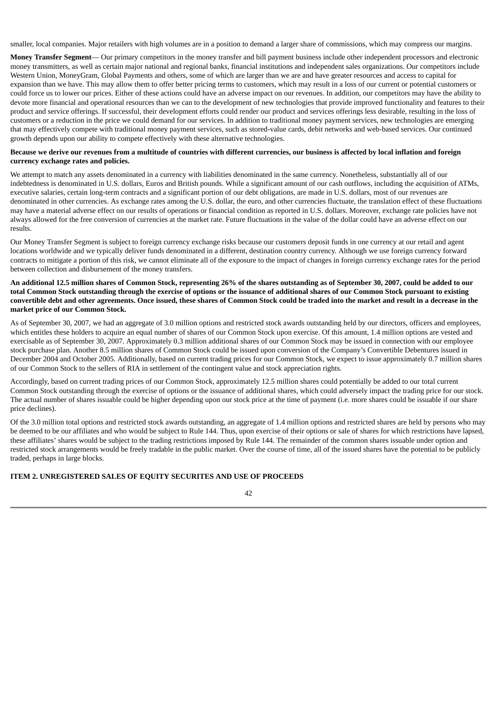smaller, local companies. Major retailers with high volumes are in a position to demand a larger share of commissions, which may compress our margins.

**Money Transfer Segment**— Our primary competitors in the money transfer and bill payment business include other independent processors and electronic money transmitters, as well as certain major national and regional banks, financial institutions and independent sales organizations. Our competitors include Western Union, MoneyGram, Global Payments and others, some of which are larger than we are and have greater resources and access to capital for expansion than we have. This may allow them to offer better pricing terms to customers, which may result in a loss of our current or potential customers or could force us to lower our prices. Either of these actions could have an adverse impact on our revenues. In addition, our competitors may have the ability to devote more financial and operational resources than we can to the development of new technologies that provide improved functionality and features to their product and service offerings. If successful, their development efforts could render our product and services offerings less desirable, resulting in the loss of customers or a reduction in the price we could demand for our services. In addition to traditional money payment services, new technologies are emerging that may effectively compete with traditional money payment services, such as stored-value cards, debit networks and web-based services. Our continued growth depends upon our ability to compete effectively with these alternative technologies.

# Because we derive our revenues from a multitude of countries with different currencies, our business is affected by local inflation and foreign **currency exchange rates and policies.**

We attempt to match any assets denominated in a currency with liabilities denominated in the same currency. Nonetheless, substantially all of our indebtedness is denominated in U.S. dollars, Euros and British pounds. While a significant amount of our cash outflows, including the acquisition of ATMs, executive salaries, certain long-term contracts and a significant portion of our debt obligations, are made in U.S. dollars, most of our revenues are denominated in other currencies. As exchange rates among the U.S. dollar, the euro, and other currencies fluctuate, the translation effect of these fluctuations may have a material adverse effect on our results of operations or financial condition as reported in U.S. dollars. Moreover, exchange rate policies have not always allowed for the free conversion of currencies at the market rate. Future fluctuations in the value of the dollar could have an adverse effect on our results.

Our Money Transfer Segment is subject to foreign currency exchange risks because our customers deposit funds in one currency at our retail and agent locations worldwide and we typically deliver funds denominated in a different, destination country currency. Although we use foreign currency forward contracts to mitigate a portion of this risk, we cannot eliminate all of the exposure to the impact of changes in foreign currency exchange rates for the period between collection and disbursement of the money transfers.

An additional 12.5 million shares of Common Stock, representing 26% of the shares outstanding as of September 30, 2007, could be added to our total Common Stock outstanding through the exercise of options or the issuance of additional shares of our Common Stock pursuant to existing convertible debt and other agreements. Once issued, these shares of Common Stock could be traded into the market and result in a decrease in the **market price of our Common Stock.**

As of September 30, 2007, we had an aggregate of 3.0 million options and restricted stock awards outstanding held by our directors, officers and employees, which entitles these holders to acquire an equal number of shares of our Common Stock upon exercise. Of this amount, 1.4 million options are vested and exercisable as of September 30, 2007. Approximately 0.3 million additional shares of our Common Stock may be issued in connection with our employee stock purchase plan. Another 8.5 million shares of Common Stock could be issued upon conversion of the Company's Convertible Debentures issued in December 2004 and October 2005. Additionally, based on current trading prices for our Common Stock, we expect to issue approximately 0.7 million shares of our Common Stock to the sellers of RIA in settlement of the contingent value and stock appreciation rights.

Accordingly, based on current trading prices of our Common Stock, approximately 12.5 million shares could potentially be added to our total current Common Stock outstanding through the exercise of options or the issuance of additional shares, which could adversely impact the trading price for our stock. The actual number of shares issuable could be higher depending upon our stock price at the time of payment (i.e. more shares could be issuable if our share price declines).

Of the 3.0 million total options and restricted stock awards outstanding, an aggregate of 1.4 million options and restricted shares are held by persons who may be deemed to be our affiliates and who would be subject to Rule 144. Thus, upon exercise of their options or sale of shares for which restrictions have lapsed, these affiliates' shares would be subject to the trading restrictions imposed by Rule 144. The remainder of the common shares issuable under option and restricted stock arrangements would be freely tradable in the public market. Over the course of time, all of the issued shares have the potential to be publicly traded, perhaps in large blocks.

# **ITEM 2. UNREGISTERED SALES OF EQUITY SECURITES AND USE OF PROCEEDS**

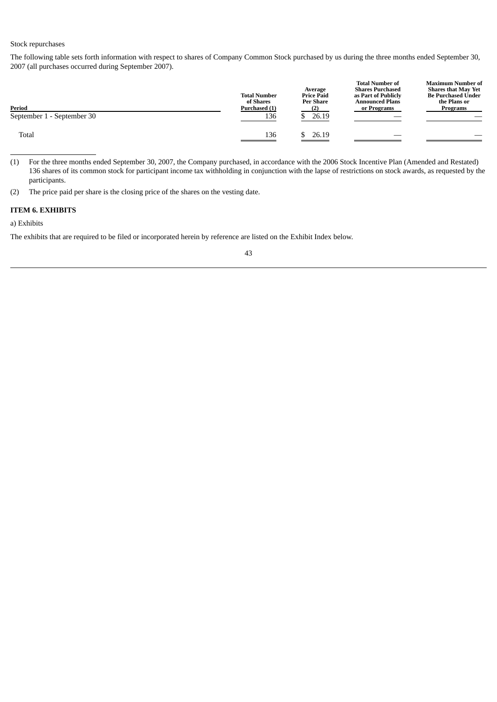# Stock repurchases

The following table sets forth information with respect to shares of Company Common Stock purchased by us during the three months ended September 30, 2007 (all purchases occurred during September 2007).

| Period                     | <b>Total Number</b><br>of Shares<br>Purchased (1) | Average<br><b>Price Paid</b><br><b>Per Share</b><br>(2) | <b>Total Number of</b><br><b>Shares Purchased</b><br>as Part of Publicly<br><b>Announced Plans</b><br>or Programs | <b>Maximum Number of</b><br><b>Shares that May Yet</b><br><b>Be Purchased Under</b><br>the Plans or<br>Programs |
|----------------------------|---------------------------------------------------|---------------------------------------------------------|-------------------------------------------------------------------------------------------------------------------|-----------------------------------------------------------------------------------------------------------------|
| September 1 - September 30 | 136                                               | 26.19                                                   |                                                                                                                   |                                                                                                                 |
| Total                      | 136                                               | 26.19                                                   | _                                                                                                                 | __                                                                                                              |

(1) For the three months ended September 30, 2007, the Company purchased, in accordance with the 2006 Stock Incentive Plan (Amended and Restated) 136 shares of its common stock for participant income tax withholding in conjunction with the lapse of restrictions on stock awards, as requested by the participants.

<span id="page-43-0"></span>(2) The price paid per share is the closing price of the shares on the vesting date.

## **ITEM 6. EXHIBITS**

a) Exhibits

The exhibits that are required to be filed or incorporated herein by reference are listed on the Exhibit Index below.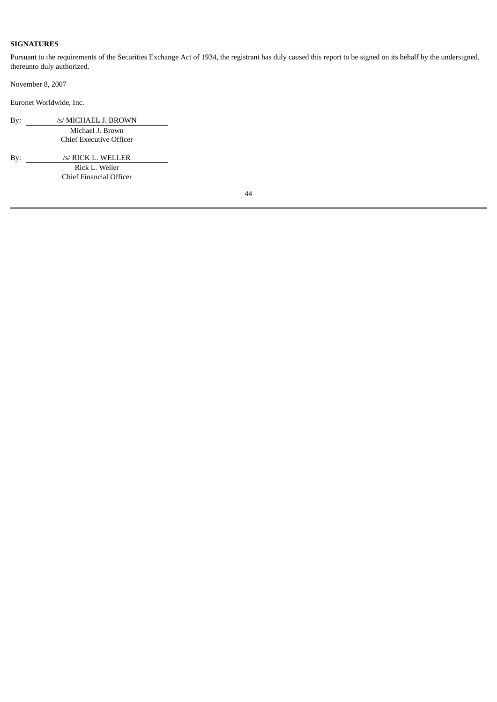# **SIGNATURES**

Pursuant to the requirements of the Securities Exchange Act of 1934, the registrant has duly caused this report to be signed on its behalf by the undersigned, thereunto duly authorized.

November 8, 2007

Euronet Worldwide, Inc.

| By: | /s/ MICHAEL J. BROWN    |  |  |  |  |
|-----|-------------------------|--|--|--|--|
|     | Michael J. Brown        |  |  |  |  |
|     | Chief Executive Officer |  |  |  |  |
|     |                         |  |  |  |  |
| Bv: | /s/ RICK L. WELLER      |  |  |  |  |

Rick L. Weller Chief Financial Officer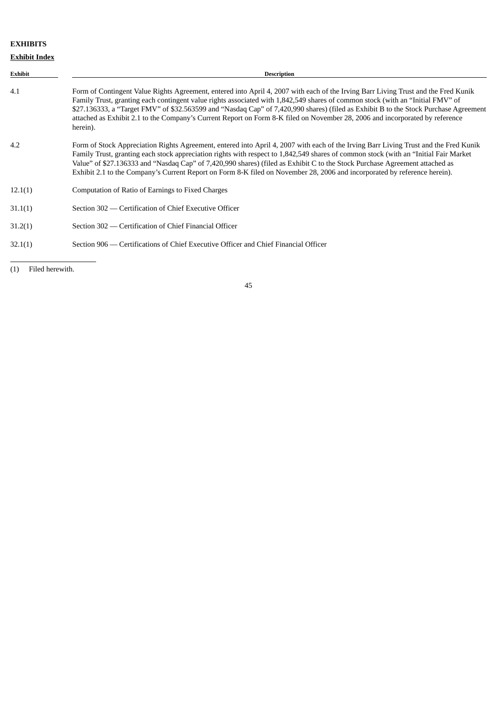# **EXHIBITS**

| <b>Exhibit Index</b> |                                                                                                                                                                                                                                                                                                                                                                                                                                                                                                                                                          |  |  |  |
|----------------------|----------------------------------------------------------------------------------------------------------------------------------------------------------------------------------------------------------------------------------------------------------------------------------------------------------------------------------------------------------------------------------------------------------------------------------------------------------------------------------------------------------------------------------------------------------|--|--|--|
| Exhibit              | <b>Description</b>                                                                                                                                                                                                                                                                                                                                                                                                                                                                                                                                       |  |  |  |
| 4.1                  | Form of Contingent Value Rights Agreement, entered into April 4, 2007 with each of the Irving Barr Living Trust and the Fred Kunik<br>Family Trust, granting each contingent value rights associated with 1,842,549 shares of common stock (with an "Initial FMV" of<br>\$27.136333, a "Target FMV" of \$32.563599 and "Nasdaq Cap" of 7,420,990 shares) (filed as Exhibit B to the Stock Purchase Agreement<br>attached as Exhibit 2.1 to the Company's Current Report on Form 8-K filed on November 28, 2006 and incorporated by reference<br>herein). |  |  |  |
| 4.2                  | Form of Stock Appreciation Rights Agreement, entered into April 4, 2007 with each of the Irving Barr Living Trust and the Fred Kunik<br>Family Trust, granting each stock appreciation rights with respect to 1,842,549 shares of common stock (with an "Initial Fair Market<br>Value" of \$27.136333 and "Nasdaq Cap" of 7,420,990 shares) (filed as Exhibit C to the Stock Purchase Agreement attached as<br>Exhibit 2.1 to the Company's Current Report on Form 8-K filed on November 28, 2006 and incorporated by reference herein).                 |  |  |  |
| 12.1(1)              | Computation of Ratio of Earnings to Fixed Charges                                                                                                                                                                                                                                                                                                                                                                                                                                                                                                        |  |  |  |
| 31.1(1)              | Section 302 — Certification of Chief Executive Officer                                                                                                                                                                                                                                                                                                                                                                                                                                                                                                   |  |  |  |
| 31.2(1)              | Section 302 — Certification of Chief Financial Officer                                                                                                                                                                                                                                                                                                                                                                                                                                                                                                   |  |  |  |
| 32.1(1)              | Section 906 — Certifications of Chief Executive Officer and Chief Financial Officer                                                                                                                                                                                                                                                                                                                                                                                                                                                                      |  |  |  |

(1) Filed herewith.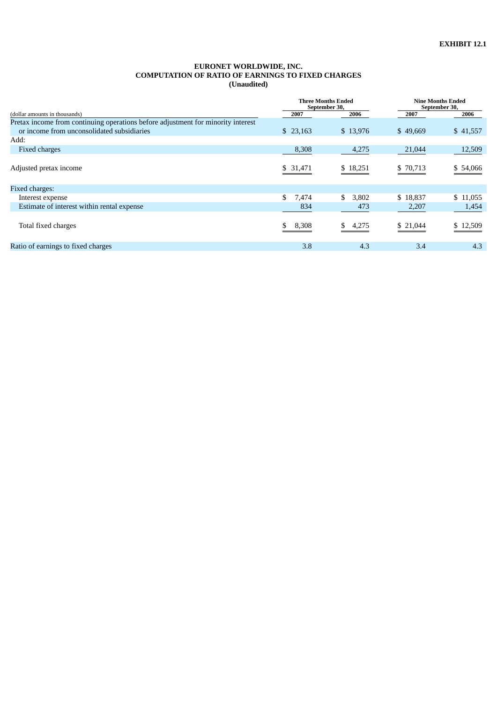#### **EURONET WORLDWIDE, INC. COMPUTATION OF RATIO OF EARNINGS TO FIXED CHARGES (Unaudited)**

|                                                                                  | <b>Three Months Ended</b><br>September 30, |              | <b>Nine Months Ended</b><br>September 30, |          |
|----------------------------------------------------------------------------------|--------------------------------------------|--------------|-------------------------------------------|----------|
| (dollar amounts in thousands)                                                    | 2007                                       | 2006         | 2007                                      | 2006     |
| Pretax income from continuing operations before adjustment for minority interest |                                            |              |                                           |          |
| or income from unconsolidated subsidiaries                                       | \$23,163                                   | \$13,976     | \$49,669                                  | \$41,557 |
| Add:                                                                             |                                            |              |                                           |          |
| Fixed charges                                                                    | 8,308                                      | 4,275        | 21,044                                    | 12,509   |
|                                                                                  |                                            |              |                                           |          |
| Adjusted pretax income                                                           | \$31,471                                   | \$18,251     | \$70,713                                  | \$54,066 |
|                                                                                  |                                            |              |                                           |          |
| <b>Fixed charges:</b>                                                            |                                            |              |                                           |          |
| Interest expense                                                                 | \$<br>7,474                                | 3,802<br>\$. | \$18,837                                  | \$11,055 |
| Estimate of interest within rental expense                                       | 834                                        | 473          | 2,207                                     | 1,454    |
|                                                                                  |                                            |              |                                           |          |
| Total fixed charges                                                              | 8,308<br>\$.                               | 4,275<br>\$  | \$21,044                                  | \$12,509 |
|                                                                                  |                                            |              |                                           |          |
| Ratio of earnings to fixed charges                                               | 3.8                                        | 4.3          | 3.4                                       | 4.3      |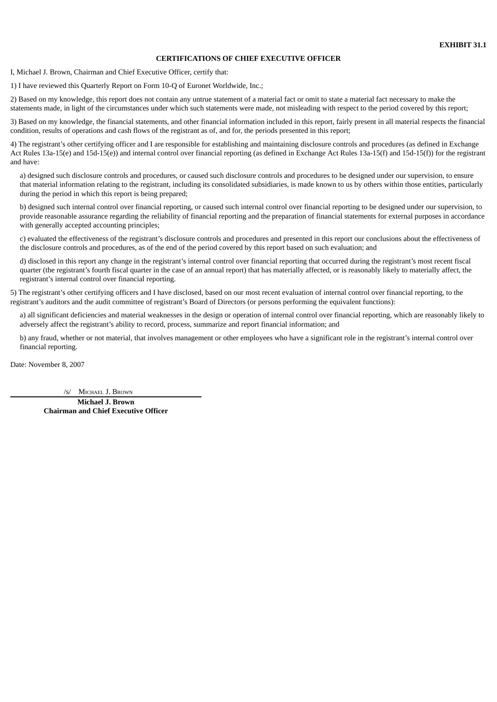# **CERTIFICATIONS OF CHIEF EXECUTIVE OFFICER**

I, Michael J. Brown, Chairman and Chief Executive Officer, certify that:

1) I have reviewed this Quarterly Report on Form 10-Q of Euronet Worldwide, Inc.;

2) Based on my knowledge, this report does not contain any untrue statement of a material fact or omit to state a material fact necessary to make the statements made, in light of the circumstances under which such statements were made, not misleading with respect to the period covered by this report;

3) Based on my knowledge, the financial statements, and other financial information included in this report, fairly present in all material respects the financial condition, results of operations and cash flows of the registrant as of, and for, the periods presented in this report;

4) The registrant's other certifying officer and I are responsible for establishing and maintaining disclosure controls and procedures (as defined in Exchange Act Rules 13a-15(e) and 15d-15(e)) and internal control over financial reporting (as defined in Exchange Act Rules 13a-15(f) and 15d-15(f)) for the registrant and have:

a) designed such disclosure controls and procedures, or caused such disclosure controls and procedures to be designed under our supervision, to ensure that material information relating to the registrant, including its consolidated subsidiaries, is made known to us by others within those entities, particularly during the period in which this report is being prepared;

b) designed such internal control over financial reporting, or caused such internal control over financial reporting to be designed under our supervision, to provide reasonable assurance regarding the reliability of financial reporting and the preparation of financial statements for external purposes in accordance with generally accepted accounting principles;

c) evaluated the effectiveness of the registrant's disclosure controls and procedures and presented in this report our conclusions about the effectiveness of the disclosure controls and procedures, as of the end of the period covered by this report based on such evaluation; and

d) disclosed in this report any change in the registrant's internal control over financial reporting that occurred during the registrant's most recent fiscal quarter (the registrant's fourth fiscal quarter in the case of an annual report) that has materially affected, or is reasonably likely to materially affect, the registrant's internal control over financial reporting.

5) The registrant's other certifying officers and I have disclosed, based on our most recent evaluation of internal control over financial reporting, to the registrant's auditors and the audit committee of registrant's Board of Directors (or persons performing the equivalent functions):

a) all significant deficiencies and material weaknesses in the design or operation of internal control over financial reporting, which are reasonably likely to adversely affect the registrant's ability to record, process, summarize and report financial information; and

b) any fraud, whether or not material, that involves management or other employees who have a significant role in the registrant's internal control over financial reporting.

Date: November 8, 2007

/s/ MICHAEL J. BROWN

**Michael J. Brown Chairman and Chief Executive Officer**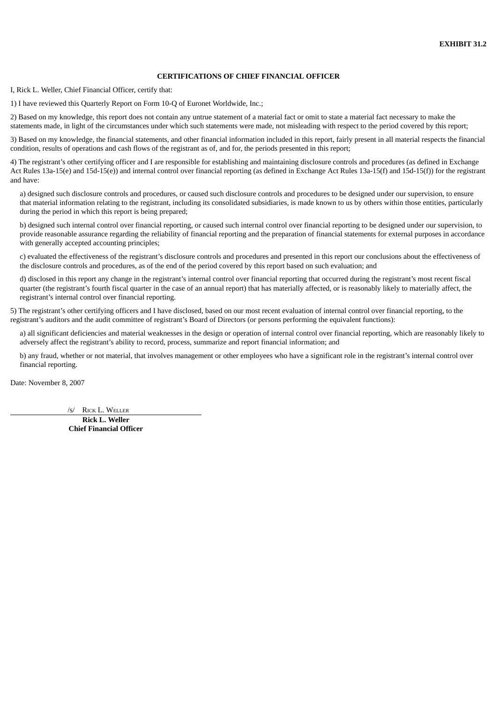#### **CERTIFICATIONS OF CHIEF FINANCIAL OFFICER**

I, Rick L. Weller, Chief Financial Officer, certify that:

1) I have reviewed this Quarterly Report on Form 10-Q of Euronet Worldwide, Inc.;

2) Based on my knowledge, this report does not contain any untrue statement of a material fact or omit to state a material fact necessary to make the statements made, in light of the circumstances under which such statements were made, not misleading with respect to the period covered by this report;

3) Based on my knowledge, the financial statements, and other financial information included in this report, fairly present in all material respects the financial condition, results of operations and cash flows of the registrant as of, and for, the periods presented in this report;

4) The registrant's other certifying officer and I are responsible for establishing and maintaining disclosure controls and procedures (as defined in Exchange Act Rules 13a-15(e) and 15d-15(e)) and internal control over financial reporting (as defined in Exchange Act Rules 13a-15(f) and 15d-15(f)) for the registrant and have:

a) designed such disclosure controls and procedures, or caused such disclosure controls and procedures to be designed under our supervision, to ensure that material information relating to the registrant, including its consolidated subsidiaries, is made known to us by others within those entities, particularly during the period in which this report is being prepared;

b) designed such internal control over financial reporting, or caused such internal control over financial reporting to be designed under our supervision, to provide reasonable assurance regarding the reliability of financial reporting and the preparation of financial statements for external purposes in accordance with generally accepted accounting principles;

c) evaluated the effectiveness of the registrant's disclosure controls and procedures and presented in this report our conclusions about the effectiveness of the disclosure controls and procedures, as of the end of the period covered by this report based on such evaluation; and

d) disclosed in this report any change in the registrant's internal control over financial reporting that occurred during the registrant's most recent fiscal quarter (the registrant's fourth fiscal quarter in the case of an annual report) that has materially affected, or is reasonably likely to materially affect, the registrant's internal control over financial reporting.

5) The registrant's other certifying officers and I have disclosed, based on our most recent evaluation of internal control over financial reporting, to the registrant's auditors and the audit committee of registrant's Board of Directors (or persons performing the equivalent functions):

a) all significant deficiencies and material weaknesses in the design or operation of internal control over financial reporting, which are reasonably likely to adversely affect the registrant's ability to record, process, summarize and report financial information; and

b) any fraud, whether or not material, that involves management or other employees who have a significant role in the registrant's internal control over financial reporting.

Date: November 8, 2007

/s/ RICK L. WELLER

**Rick L. Weller Chief Financial Officer**